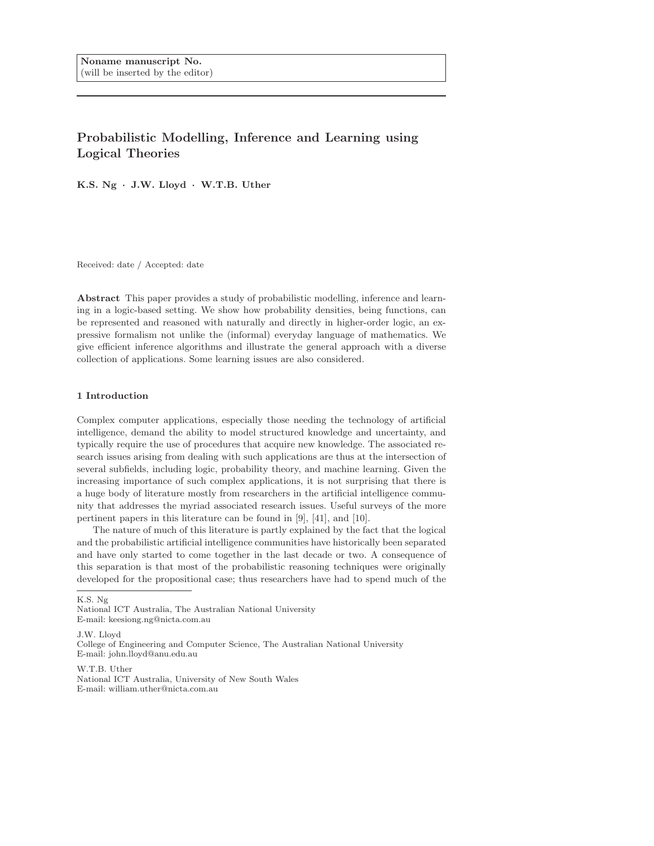# Probabilistic Modelling, Inference and Learning using Logical Theories

K.S. Ng · J.W. Lloyd · W.T.B. Uther

Received: date / Accepted: date

Abstract This paper provides a study of probabilistic modelling, inference and learning in a logic-based setting. We show how probability densities, being functions, can be represented and reasoned with naturally and directly in higher-order logic, an expressive formalism not unlike the (informal) everyday language of mathematics. We give efficient inference algorithms and illustrate the general approach with a diverse collection of applications. Some learning issues are also considered.

## 1 Introduction

Complex computer applications, especially those needing the technology of artificial intelligence, demand the ability to model structured knowledge and uncertainty, and typically require the use of procedures that acquire new knowledge. The associated research issues arising from dealing with such applications are thus at the intersection of several subfields, including logic, probability theory, and machine learning. Given the increasing importance of such complex applications, it is not surprising that there is a huge body of literature mostly from researchers in the artificial intelligence community that addresses the myriad associated research issues. Useful surveys of the more pertinent papers in this literature can be found in [9], [41], and [10].

The nature of much of this literature is partly explained by the fact that the logical and the probabilistic artificial intelligence communities have historically been separated and have only started to come together in the last decade or two. A consequence of this separation is that most of the probabilistic reasoning techniques were originally developed for the propositional case; thus researchers have had to spend much of the

K.S. Ng

J.W. Lloyd

College of Engineering and Computer Science, The Australian National University E-mail: john.lloyd@anu.edu.au

W.T.B. Uther National ICT Australia, University of New South Wales E-mail: william.uther@nicta.com.au

National ICT Australia, The Australian National University E-mail: keesiong.ng@nicta.com.au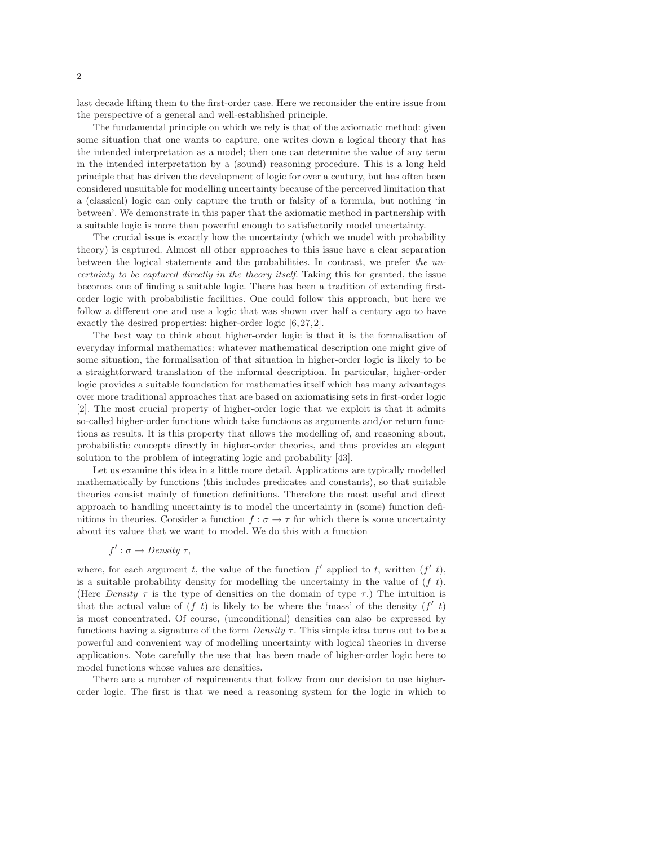last decade lifting them to the first-order case. Here we reconsider the entire issue from the perspective of a general and well-established principle.

The fundamental principle on which we rely is that of the axiomatic method: given some situation that one wants to capture, one writes down a logical theory that has the intended interpretation as a model; then one can determine the value of any term in the intended interpretation by a (sound) reasoning procedure. This is a long held principle that has driven the development of logic for over a century, but has often been considered unsuitable for modelling uncertainty because of the perceived limitation that a (classical) logic can only capture the truth or falsity of a formula, but nothing 'in between'. We demonstrate in this paper that the axiomatic method in partnership with a suitable logic is more than powerful enough to satisfactorily model uncertainty.

The crucial issue is exactly how the uncertainty (which we model with probability theory) is captured. Almost all other approaches to this issue have a clear separation between the logical statements and the probabilities. In contrast, we prefer the uncertainty to be captured directly in the theory itself. Taking this for granted, the issue becomes one of finding a suitable logic. There has been a tradition of extending firstorder logic with probabilistic facilities. One could follow this approach, but here we follow a different one and use a logic that was shown over half a century ago to have exactly the desired properties: higher-order logic [6,27,2].

The best way to think about higher-order logic is that it is the formalisation of everyday informal mathematics: whatever mathematical description one might give of some situation, the formalisation of that situation in higher-order logic is likely to be a straightforward translation of the informal description. In particular, higher-order logic provides a suitable foundation for mathematics itself which has many advantages over more traditional approaches that are based on axiomatising sets in first-order logic [2]. The most crucial property of higher-order logic that we exploit is that it admits so-called higher-order functions which take functions as arguments and/or return functions as results. It is this property that allows the modelling of, and reasoning about, probabilistic concepts directly in higher-order theories, and thus provides an elegant solution to the problem of integrating logic and probability [43].

Let us examine this idea in a little more detail. Applications are typically modelled mathematically by functions (this includes predicates and constants), so that suitable theories consist mainly of function definitions. Therefore the most useful and direct approach to handling uncertainty is to model the uncertainty in (some) function definitions in theories. Consider a function  $f : \sigma \to \tau$  for which there is some uncertainty about its values that we want to model. We do this with a function

## $f' : \sigma \longrightarrow Density \tau,$

where, for each argument t, the value of the function  $f'$  applied to t, written  $(f'$  t), is a suitable probability density for modelling the uncertainty in the value of  $(f t)$ . (Here *Density*  $\tau$  is the type of densities on the domain of type  $\tau$ .) The intuition is that the actual value of  $(f t)$  is likely to be where the 'mass' of the density  $(f t)$ is most concentrated. Of course, (unconditional) densities can also be expressed by functions having a signature of the form *Density*  $\tau$ . This simple idea turns out to be a powerful and convenient way of modelling uncertainty with logical theories in diverse applications. Note carefully the use that has been made of higher-order logic here to model functions whose values are densities.

There are a number of requirements that follow from our decision to use higherorder logic. The first is that we need a reasoning system for the logic in which to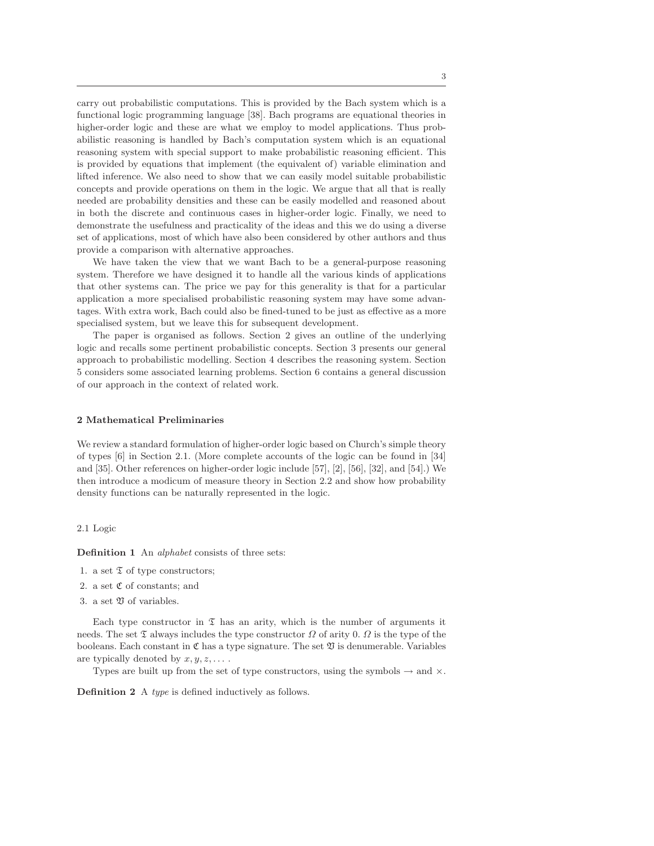carry out probabilistic computations. This is provided by the Bach system which is a functional logic programming language [38]. Bach programs are equational theories in higher-order logic and these are what we employ to model applications. Thus probabilistic reasoning is handled by Bach's computation system which is an equational reasoning system with special support to make probabilistic reasoning efficient. This is provided by equations that implement (the equivalent of) variable elimination and lifted inference. We also need to show that we can easily model suitable probabilistic concepts and provide operations on them in the logic. We argue that all that is really needed are probability densities and these can be easily modelled and reasoned about in both the discrete and continuous cases in higher-order logic. Finally, we need to demonstrate the usefulness and practicality of the ideas and this we do using a diverse set of applications, most of which have also been considered by other authors and thus provide a comparison with alternative approaches.

We have taken the view that we want Bach to be a general-purpose reasoning system. Therefore we have designed it to handle all the various kinds of applications that other systems can. The price we pay for this generality is that for a particular application a more specialised probabilistic reasoning system may have some advantages. With extra work, Bach could also be fined-tuned to be just as effective as a more specialised system, but we leave this for subsequent development.

The paper is organised as follows. Section 2 gives an outline of the underlying logic and recalls some pertinent probabilistic concepts. Section 3 presents our general approach to probabilistic modelling. Section 4 describes the reasoning system. Section 5 considers some associated learning problems. Section 6 contains a general discussion of our approach in the context of related work.

#### 2 Mathematical Preliminaries

We review a standard formulation of higher-order logic based on Church's simple theory of types [6] in Section 2.1. (More complete accounts of the logic can be found in [34] and [35]. Other references on higher-order logic include [57], [2], [56], [32], and [54].) We then introduce a modicum of measure theory in Section 2.2 and show how probability density functions can be naturally represented in the logic.

2.1 Logic

Definition 1 An alphabet consists of three sets:

- 1. a set  $\mathfrak T$  of type constructors;
- 2. a set  $\mathfrak C$  of constants; and
- 3. a set  $\mathfrak V$  of variables.

Each type constructor in  $\mathfrak T$  has an arity, which is the number of arguments it needs. The set  $\mathfrak T$  always includes the type constructor  $\Omega$  of arity 0.  $\Omega$  is the type of the booleans. Each constant in  $\mathfrak C$  has a type signature. The set  $\mathfrak V$  is denumerable. Variables are typically denoted by  $x, y, z, \ldots$ .

Types are built up from the set of type constructors, using the symbols  $\rightarrow$  and  $\times$ .

Definition 2 A type is defined inductively as follows.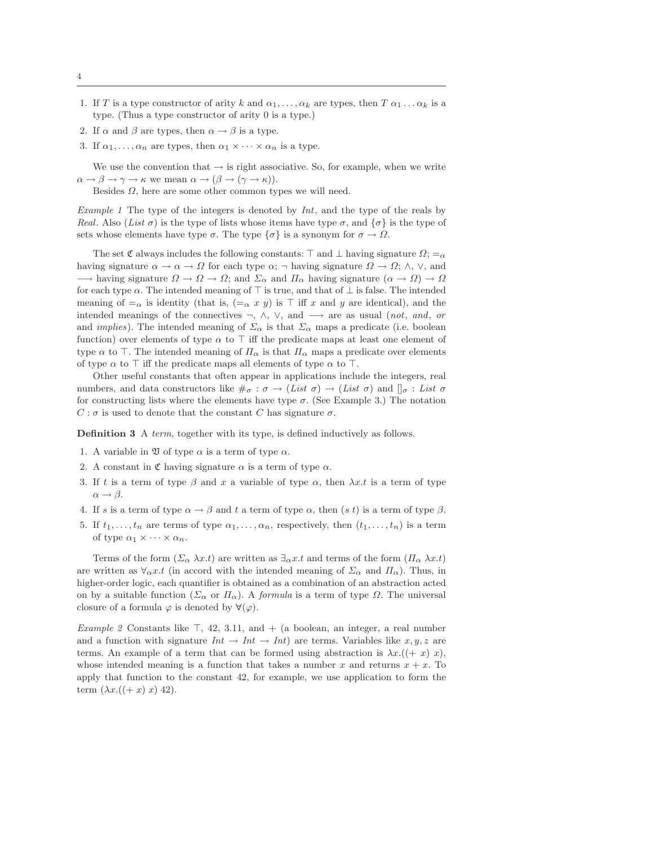- 1. If T is a type constructor of arity k and  $\alpha_1, \ldots, \alpha_k$  are types, then  $T \alpha_1 \ldots \alpha_k$  is a type. (Thus a type constructor of arity 0 is a type.)
- 2. If  $\alpha$  and  $\beta$  are types, then  $\alpha \rightarrow \beta$  is a type.
- 3. If  $\alpha_1, \ldots, \alpha_n$  are types, then  $\alpha_1 \times \cdots \times \alpha_n$  is a type.

We use the convention that  $\rightarrow$  is right associative. So, for example, when we write  $\alpha \to \beta \to \gamma \to \kappa$  we mean  $\alpha \to (\beta \to (\gamma \to \kappa))$ .

Besides  $\Omega$ , here are some other common types we will need.

Example 1 The type of the integers is denoted by  $Int$ , and the type of the reals by Real. Also (List  $\sigma$ ) is the type of lists whose items have type  $\sigma$ , and  $\{\sigma\}$  is the type of sets whose elements have type  $\sigma$ . The type  $\{\sigma\}$  is a synonym for  $\sigma \to \Omega$ .

The set  $\mathfrak C$  always includes the following constants:  $\top$  and  $\bot$  having signature  $\Omega$ ;  $=_{\alpha}$ having signature  $\alpha \to \alpha \to \Omega$  for each type  $\alpha$ ;  $\neg$  having signature  $\Omega \to \Omega$ ;  $\wedge$ ,  $\vee$ , and  $\rightarrow$  having signature  $\Omega \rightarrow \Omega \rightarrow \Omega$ ; and  $\Sigma_{\alpha}$  and  $\Pi_{\alpha}$  having signature  $(\alpha \rightarrow \Omega) \rightarrow \Omega$ for each type  $\alpha$ . The intended meaning of  $\top$  is true, and that of  $\bot$  is false. The intended meaning of  $=\alpha$  is identity (that is,  $(=\alpha x y)$  is  $\top$  iff x and y are identical), and the intended meanings of the connectives  $\neg$ ,  $\wedge$ ,  $\vee$ , and  $\longrightarrow$  are as usual (not, and, or and *implies*). The intended meaning of  $\Sigma_{\alpha}$  is that  $\Sigma_{\alpha}$  maps a predicate (i.e. boolean function) over elements of type  $\alpha$  to  $\top$  iff the predicate maps at least one element of type  $\alpha$  to ⊤. The intended meaning of  $\Pi_{\alpha}$  is that  $\Pi_{\alpha}$  maps a predicate over elements of type  $\alpha$  to  $\top$  iff the predicate maps all elements of type  $\alpha$  to  $\top$ .

Other useful constants that often appear in applications include the integers, real numbers, and data constructors like  $\#\sigma : \sigma \to (List \sigma) \to (List \sigma)$  and  $\lbrack \sigma : List \sigma$ for constructing lists where the elements have type  $\sigma$ . (See Example 3.) The notation  $C : \sigma$  is used to denote that the constant C has signature  $\sigma$ .

Definition 3 A term, together with its type, is defined inductively as follows.

- 1. A variable in  $\mathfrak V$  of type  $\alpha$  is a term of type  $\alpha$ .
- 2. A constant in  $\mathfrak C$  having signature  $\alpha$  is a term of type  $\alpha$ .
- 3. If t is a term of type  $\beta$  and x a variable of type  $\alpha$ , then  $\lambda x.t$  is a term of type  $\alpha \rightarrow \beta$ .
- 4. If s is a term of type  $\alpha \rightarrow \beta$  and t a term of type  $\alpha$ , then  $(s t)$  is a term of type  $\beta$ .
- 5. If  $t_1, \ldots, t_n$  are terms of type  $\alpha_1, \ldots, \alpha_n$ , respectively, then  $(t_1, \ldots, t_n)$  is a term of type  $\alpha_1 \times \cdots \times \alpha_n$ .

Terms of the form  $(\Sigma_{\alpha} \lambda x.t)$  are written as  $\exists_{\alpha} x.t$  and terms of the form  $(\Pi_{\alpha} \lambda x.t)$ are written as  $\forall_{\alpha} x.t$  (in accord with the intended meaning of  $\Sigma_{\alpha}$  and  $\Pi_{\alpha}$ ). Thus, in higher-order logic, each quantifier is obtained as a combination of an abstraction acted on by a suitable function ( $\Sigma_{\alpha}$  or  $\Pi_{\alpha}$ ). A formula is a term of type  $\Omega$ . The universal closure of a formula  $\varphi$  is denoted by  $\forall (\varphi)$ .

Example 2 Constants like  $\top$ , 42, 3.11, and + (a boolean, an integer, a real number and a function with signature  $Int \to Int \to Int$  are terms. Variables like  $x, y, z$  are terms. An example of a term that can be formed using abstraction is  $\lambda x.((+ x) x)$ , whose intended meaning is a function that takes a number x and returns  $x + x$ . To apply that function to the constant 42, for example, we use application to form the term  $(\lambda x. ((+ x) x) 42).$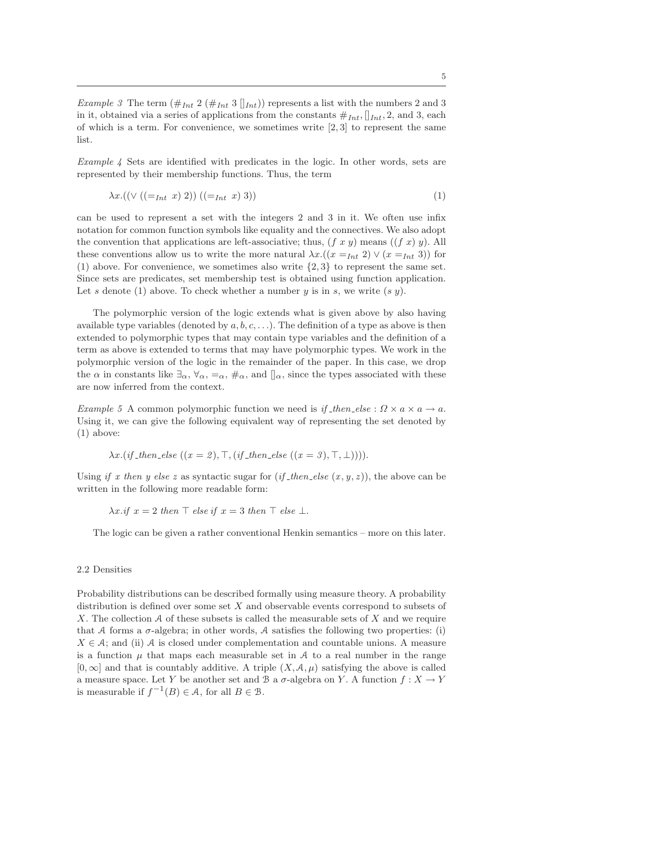Example 3 The term  $(\#_{Int} 2 (\#_{Int} 3 ||_{Int}))$  represents a list with the numbers 2 and 3 in it, obtained via a series of applications from the constants  $\#_{Int}$ ,  $[|_{Int}$ , 2, and 3, each of which is a term. For convenience, we sometimes write  $[2,3]$  to represent the same list.

Example 4 Sets are identified with predicates in the logic. In other words, sets are represented by their membership functions. Thus, the term

$$
\lambda x. ((\vee ((=_{Int} x) 2)) ((=_{Int} x) 3)) \tag{1}
$$

can be used to represent a set with the integers 2 and 3 in it. We often use infix notation for common function symbols like equality and the connectives. We also adopt the convention that applications are left-associative; thus,  $(f x y)$  means  $((f x) y)$ . All these conventions allow us to write the more natural  $\lambda x.((x =_{Int} 2) \vee (x =_{Int} 3))$  for (1) above. For convenience, we sometimes also write  $\{2,3\}$  to represent the same set. Since sets are predicates, set membership test is obtained using function application. Let s denote (1) above. To check whether a number  $y$  is in s, we write  $(s, y)$ .

The polymorphic version of the logic extends what is given above by also having available type variables (denoted by  $a, b, c, \ldots$ ). The definition of a type as above is then extended to polymorphic types that may contain type variables and the definition of a term as above is extended to terms that may have polymorphic types. We work in the polymorphic version of the logic in the remainder of the paper. In this case, we drop the  $\alpha$  in constants like  $\exists_{\alpha}, \forall_{\alpha}, \exists_{\alpha}, \#_{\alpha}$ , and  $[\alpha]$ , since the types associated with these are now inferred from the context.

Example 5 A common polymorphic function we need is if then else :  $\Omega \times a \times a \rightarrow a$ . Using it, we can give the following equivalent way of representing the set denoted by (1) above:

$$
\lambda x. (if\_then\_else ((x = 2), \top, (if\_then\_else ((x = 3), \top, \bot))))
$$

Using if x then y else z as syntactic sugar for  $(if\_then\_else(x, y, z))$ , the above can be written in the following more readable form:

 $\lambda x.$ if  $x = 2$  then  $\top$  else if  $x = 3$  then  $\top$  else  $\bot$ .

The logic can be given a rather conventional Henkin semantics – more on this later.

### 2.2 Densities

Probability distributions can be described formally using measure theory. A probability distribution is defined over some set X and observable events correspond to subsets of X. The collection A of these subsets is called the measurable sets of X and we require that A forms a  $\sigma$ -algebra; in other words, A satisfies the following two properties: (i)  $X \in \mathcal{A}$ ; and (ii) A is closed under complementation and countable unions. A measure is a function  $\mu$  that maps each measurable set in  $\mathcal A$  to a real number in the range  $[0, \infty]$  and that is countably additive. A triple  $(X, \mathcal{A}, \mu)$  satisfying the above is called a measure space. Let Y be another set and B a  $\sigma$ -algebra on Y. A function  $f: X \to Y$ is measurable if  $f^{-1}(B) \in \mathcal{A}$ , for all  $B \in \mathcal{B}$ .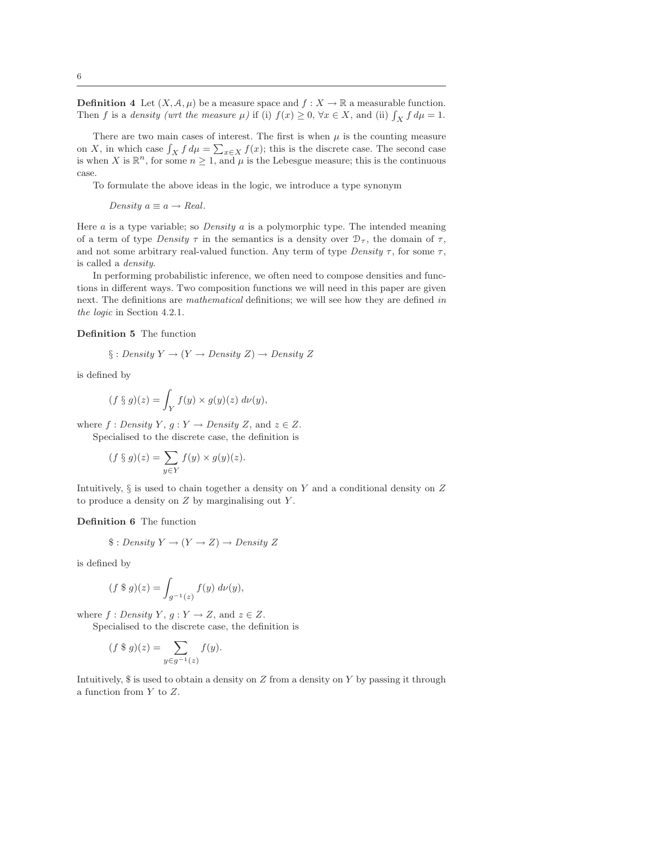**Definition 4** Let  $(X, \mathcal{A}, \mu)$  be a measure space and  $f : X \to \mathbb{R}$  a measurable function. Then f is a density (wrt the measure  $\mu$ ) if (i)  $f(x) \geq 0$ ,  $\forall x \in X$ , and (ii)  $\int_X f d\mu = 1$ .

There are two main cases of interest. The first is when  $\mu$  is the counting measure on X, in which case  $\int_X f d\mu = \sum_{x \in X} f(x)$ ; this is the discrete case. The second case is when X is  $\mathbb{R}^n$ , for some  $n \geq 1$ , and  $\mu$  is the Lebesgue measure; this is the continuous case.

To formulate the above ideas in the logic, we introduce a type synonym

Density  $a \equiv a \rightarrow Real$ .

Here  $a$  is a type variable; so *Density*  $a$  is a polymorphic type. The intended meaning of a term of type Density  $\tau$  in the semantics is a density over  $\mathcal{D}_{\tau}$ , the domain of  $\tau$ , and not some arbitrary real-valued function. Any term of type  $Density\ \tau,$  for some  $\tau,$ is called a density.

In performing probabilistic inference, we often need to compose densities and functions in different ways. Two composition functions we will need in this paper are given next. The definitions are mathematical definitions; we will see how they are defined in the logic in Section 4.2.1.

Definition 5 The function

§: Density 
$$
Y \rightarrow (Y \rightarrow Density Z) \rightarrow Density Z
$$

is defined by

$$
(f \S g)(z) = \int_Y f(y) \times g(y)(z) d\nu(y),
$$

where  $f : Density Y, g : Y \rightarrow Density Z, and z \in Z$ .

Specialised to the discrete case, the definition is

$$
(f \S g)(z) = \sum_{y \in Y} f(y) \times g(y)(z).
$$

Intuitively,  $\S$  is used to chain together a density on Y and a conditional density on Z to produce a density on  $Z$  by marginalising out  $Y$ .

Definition 6 The function

$$
$: Density Y \rightarrow (Y \rightarrow Z) \rightarrow Density Z
$$

is defined by

$$
(f \, \, \textcircled{\tiny\!} \, g)(z) = \int_{g^{-1}(z)} f(y) \, \, d\nu(y),
$$

where  $f : Density Y, g : Y \rightarrow Z$ , and  $z \in Z$ . Specialised to the discrete case, the definition is

$$
(f \, \, \textcircled{s} \, g)(z) = \sum_{y \in g^{-1}(z)} f(y).
$$

Intuitively,  $\frac{1}{2}$  is used to obtain a density on Z from a density on Y by passing it through a function from Y to Z.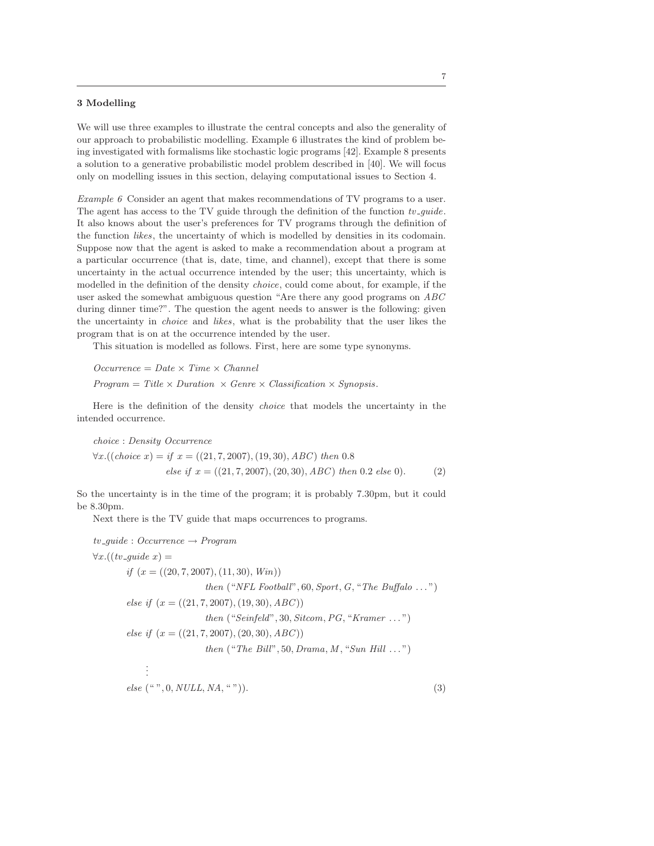## 3 Modelling

We will use three examples to illustrate the central concepts and also the generality of our approach to probabilistic modelling. Example 6 illustrates the kind of problem being investigated with formalisms like stochastic logic programs [42]. Example 8 presents a solution to a generative probabilistic model problem described in [40]. We will focus only on modelling issues in this section, delaying computational issues to Section 4.

Example 6 Consider an agent that makes recommendations of TV programs to a user. The agent has access to the TV guide through the definition of the function  $tv$ -guide. It also knows about the user's preferences for TV programs through the definition of the function likes, the uncertainty of which is modelled by densities in its codomain. Suppose now that the agent is asked to make a recommendation about a program at a particular occurrence (that is, date, time, and channel), except that there is some uncertainty in the actual occurrence intended by the user; this uncertainty, which is modelled in the definition of the density choice, could come about, for example, if the user asked the somewhat ambiguous question "Are there any good programs on  $ABC$ during dinner time?". The question the agent needs to answer is the following: given the uncertainty in choice and likes, what is the probability that the user likes the program that is on at the occurrence intended by the user.

This situation is modelled as follows. First, here are some type synonyms.

 $Occurrence = Date \times Time \times Channel$  $Program = Title \times Duration \times Genre \times Classification \times Synopsis.$ 

Here is the definition of the density choice that models the uncertainty in the intended occurrence.

choice : Density Occurrence  $\forall x.((choice \; x) = if \; x = ((21, 7, 2007), (19, 30), ABC) \; then \; 0.8$ else if  $x = ((21, 7, 2007), (20, 30), ABC)$  then 0.2 else 0). (2)

So the uncertainty is in the time of the program; it is probably 7.30pm, but it could be 8.30pm.

Next there is the TV guide that maps occurrences to programs.

$$
tv_guide: Occurrence \rightarrow Program
$$
  
\n
$$
\forall x.((tv_guide \ x) =
$$
  
\n
$$
if (x = ((20, 7, 2007), (11, 30), Win))
$$
  
\n
$$
then ("NFL Football", 60, Sport, G, "The Buffalo ...")
$$
  
\n
$$
else if (x = ((21, 7, 2007), (19, 30), ABC))
$$
  
\n
$$
then ("Seinfeld", 30, Sitcom, PG, "Kramer ...")
$$
  
\n
$$
else if (x = ((21, 7, 2007), (20, 30), ABC))
$$
  
\n
$$
then ("The Bill", 50, Drama, M, "Sun Hill ...")
$$
  
\n
$$
else ("", 0, NULL, NA, "")).
$$
  
\n(3)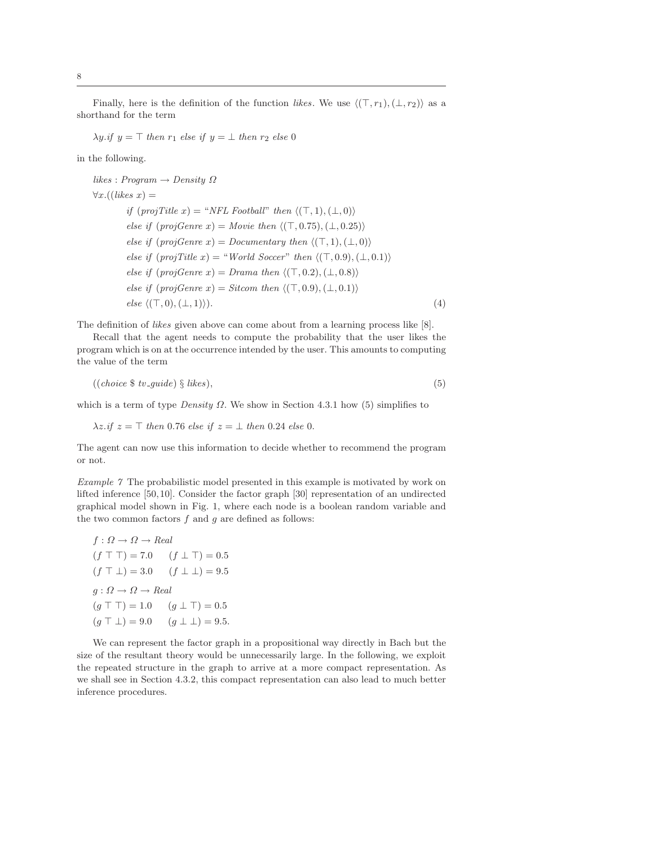Finally, here is the definition of the function likes. We use  $\langle (\top, r_1), (\bot, r_2) \rangle$  as a shorthand for the term

 $\lambda y$  if  $y = \top$  then  $r_1$  else if  $y = \bot$  then  $r_2$  else 0

in the following.

likes : Program  $\rightarrow$  Density  $\Omega$  $\forall x.((\text{likes } x) =$ if  $(projTitle\ x) = "NFL \ Football" then \langle (\top, 1), (\bot, 0) \rangle$ else if  $(proiGenre x) = Movie then \langle (\top, 0.75), (\bot, 0.25) \rangle$ else if  $(projGenre x) = Documentary then \langle (T, 1), (\perp, 0) \rangle$ else if  $(projTitle\ x) = "World Society\ the\ ((\top, 0.9), (\bot, 0.1))$ else if  $(projGenre x) = Drama then \langle (\top, 0.2), (\bot, 0.8) \rangle$ else if  $(projGenre\ x) = Sitcom\ then\ \langle (\top, 0.9), (\bot, 0.1) \rangle$  $else \langle (\top, 0), (\bot, 1) \rangle).$  (4)

The definition of *likes* given above can come about from a learning process like [8].

Recall that the agent needs to compute the probability that the user likes the program which is on at the occurrence intended by the user. This amounts to computing the value of the term

$$
((choice \; \$ \; tv\_guide) \; \S \; likes), \tag{5}
$$

which is a term of type  $Density \Omega$ . We show in Section 4.3.1 how (5) simplifies to

$$
\lambda z. \text{if } z = \top \text{ then } 0.76 \text{ else if } z = \bot \text{ then } 0.24 \text{ else } 0.
$$

The agent can now use this information to decide whether to recommend the program or not.

Example 7 The probabilistic model presented in this example is motivated by work on lifted inference [50,10]. Consider the factor graph [30] representation of an undirected graphical model shown in Fig. 1, where each node is a boolean random variable and the two common factors  $f$  and  $q$  are defined as follows:

 $f: \Omega \to \Omega \to Real$  $(f \top \top) = 7.0$   $(f \bot \top) = 0.5$  $(f \top \bot) = 3.0$   $(f \bot \bot) = 9.5$  $q: \Omega \to \Omega \to Real$  $(g \top \top) = 1.0$   $(g \bot \top) = 0.5$  $(g \top \bot) = 9.0$   $(g \bot \bot) = 9.5.$ 

We can represent the factor graph in a propositional way directly in Bach but the size of the resultant theory would be unnecessarily large. In the following, we exploit the repeated structure in the graph to arrive at a more compact representation. As we shall see in Section 4.3.2, this compact representation can also lead to much better inference procedures.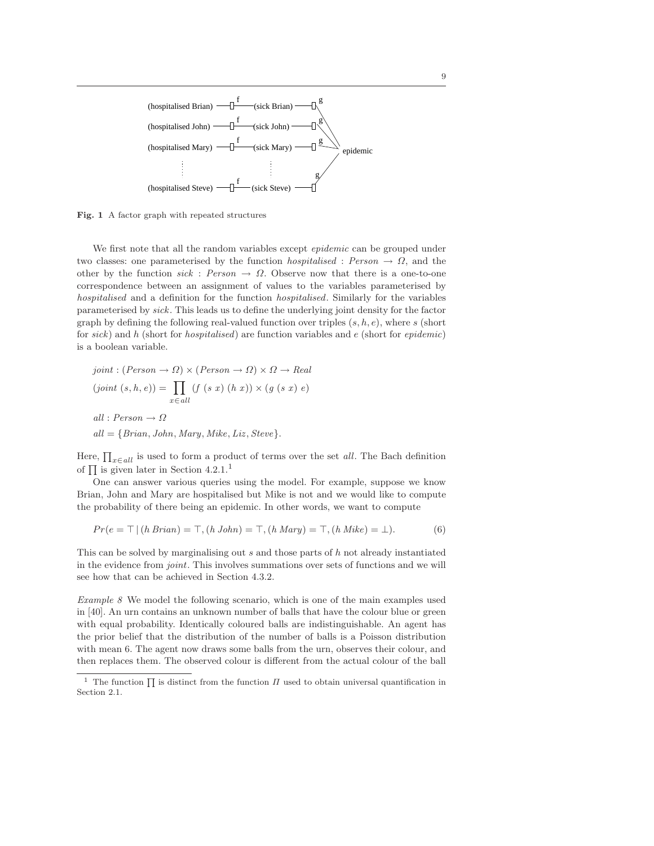

Fig. 1 A factor graph with repeated structures

We first note that all the random variables except *epidemic* can be grouped under two classes: one parameterised by the function hospitalised : Person  $\rightarrow \Omega$ , and the other by the function sick : Person  $\rightarrow \Omega$ . Observe now that there is a one-to-one correspondence between an assignment of values to the variables parameterised by hospitalised and a definition for the function hospitalised. Similarly for the variables parameterised by sick. This leads us to define the underlying joint density for the factor graph by defining the following real-valued function over triples  $(s, h, e)$ , where s (short for sick) and h (short for hospitalised) are function variables and  $e$  (short for *epidemic*) is a boolean variable.

joint: 
$$
(Person \rightarrow \Omega) \times (Person \rightarrow \Omega) \times \Omega \rightarrow Real
$$
  
\n(*joint*  $(s, h, e)$ ) =  $\prod_{x \in all} (f (s x) (h x)) \times (g (s x) e)$   
\nall: Person  $\rightarrow \Omega$   
\nall = {*Brain*, *John*, *Mary*, *Mike*, *Liz*, *Steve*}.

Here,  $\prod_{x \in all}$  is used to form a product of terms over the set *all*. The Bach definition of  $\prod$  is given later in Section 4.2.1.<sup>1</sup>

One can answer various queries using the model. For example, suppose we know Brian, John and Mary are hospitalised but Mike is not and we would like to compute the probability of there being an epidemic. In other words, we want to compute

$$
Pr(e = \top | (h \text{ Brian}) = \top, (h \text{ John}) = \top, (h \text{ Mary}) = \top, (h \text{ Mike}) = \bot).
$$
 (6)

This can be solved by marginalising out s and those parts of h not already instantiated in the evidence from *joint*. This involves summations over sets of functions and we will see how that can be achieved in Section 4.3.2.

Example 8 We model the following scenario, which is one of the main examples used in [40]. An urn contains an unknown number of balls that have the colour blue or green with equal probability. Identically coloured balls are indistinguishable. An agent has the prior belief that the distribution of the number of balls is a Poisson distribution with mean 6. The agent now draws some balls from the urn, observes their colour, and then replaces them. The observed colour is different from the actual colour of the ball

<sup>&</sup>lt;sup>1</sup> The function  $\Pi$  is distinct from the function  $\Pi$  used to obtain universal quantification in Section 2.1.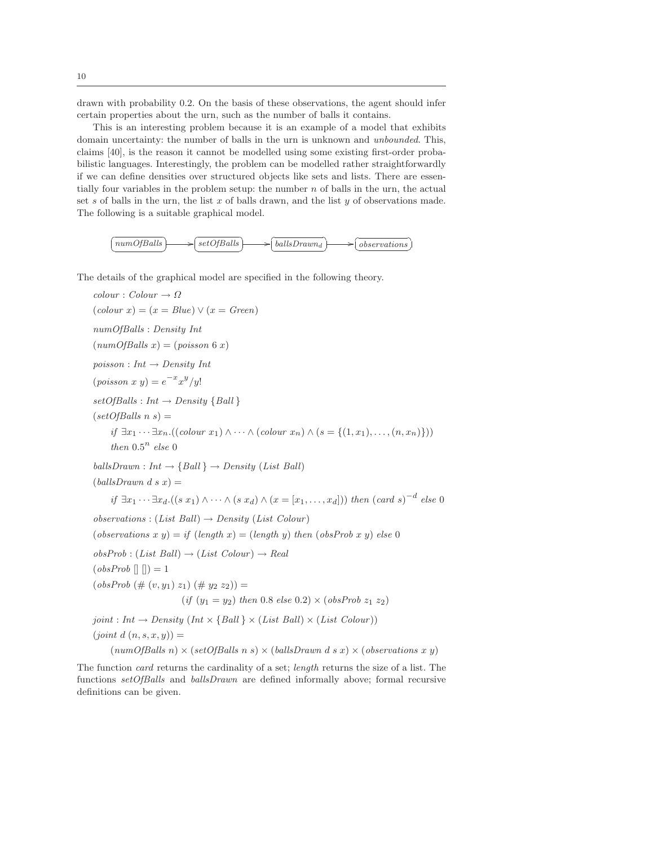drawn with probability 0.2. On the basis of these observations, the agent should infer certain properties about the urn, such as the number of balls it contains.

This is an interesting problem because it is an example of a model that exhibits domain uncertainty: the number of balls in the urn is unknown and *unbounded*. This, claims [40], is the reason it cannot be modelled using some existing first-order probabilistic languages. Interestingly, the problem can be modelled rather straightforwardly if we can define densities over structured objects like sets and lists. There are essentially four variables in the problem setup: the number  $n$  of balls in the urn, the actual set s of balls in the urn, the list x of balls drawn, and the list  $y$  of observations made. The following is a suitable graphical model.

$$
\fbox{$\left(numOfBalls\right)$} \longrightarrow \fbox{$\left( setOfBalls\right)$} \longrightarrow \fbox{$\left( ballsDrawn_d\right)$} \longrightarrow \fbox{$\left( observations\right)$}
$$

The details of the graphical model are specified in the following theory.

 $colour: Color \rightarrow \Omega$  $(colour x) = (x = Blue) \vee (x = Green)$ numOfBalls : Density Int  $(numOfBalls x) = (poisson 6 x)$  $poisson: Int \rightarrow Density Int$  $(poisson x y) = e^{-x} x^y/y!$  $setOfBalls : Int \rightarrow Density \{Ball\}$  $(setOfBalls \; n \; s) =$ if  $\exists x_1 \cdots \exists x_n. ((colour\ x_1) \wedge \cdots \wedge (colour\ x_n) \wedge (s = \{(1, x_1), \ldots, (n, x_n)\}))$ then  $0.5^n$  else 0 ballsDrawn : Int  $\rightarrow$  {Ball}  $\rightarrow$  Density (List Ball)  $(ballsDrawn d s x) =$ if  $\exists x_1 \cdots \exists x_d. ((s x_1) \land \cdots \land (s x_d) \land (x = [x_1, \ldots, x_d]))$  then  $(card s)^{-d}$  else 0  $observations : (List Ball) \rightarrow Density (List Colour)$ (observations x y) = if (length x) = (length y) then (obsProb x y) else 0  $obsProb : (List Ball) \rightarrow (List Colour) \rightarrow Real$  $(obsProb \parallel ||) = 1$  $(obsProb (\# (v, y_1) z_1) (\# y_2 z_2)) =$  $(if (y_1 = y_2) then 0.8 else 0.2) \times (obsProb z_1 z_2)$  $joint: Int \rightarrow Density (Int \times {Ball} \times (List Ball) \times (List Colour))$  $(joint d(n, s, x, y)) =$  $(numOfBalls\ n) \times (setOfBalls\ n\ s) \times (ballsDrawn\ d\ s\ x) \times (observations\ x\ y)$ 

The function card returns the cardinality of a set; length returns the size of a list. The functions setOfBalls and ballsDrawn are defined informally above; formal recursive definitions can be given.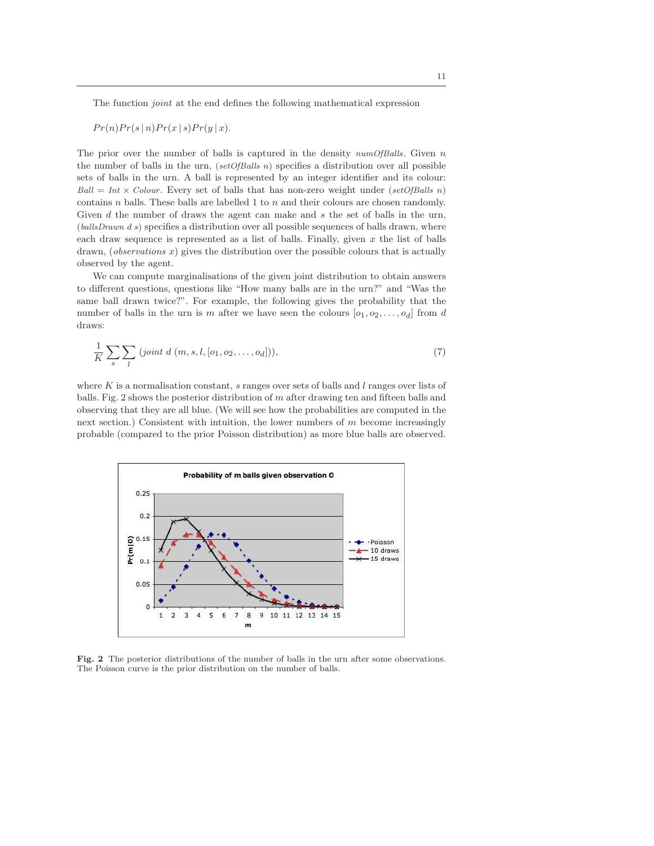The function *joint* at the end defines the following mathematical expression

 $Pr(n)Pr(s | n)Pr(x | s)Pr(y | x).$ 

The prior over the number of balls is captured in the density  $numOfBalls$ . Given n the number of balls in the urn,  $(setOfBalls n)$  specifies a distribution over all possible sets of balls in the urn. A ball is represented by an integer identifier and its colour:  $Ball = Int \times Color$ . Every set of balls that has non-zero weight under (setOfBalls n) contains n balls. These balls are labelled 1 to n and their colours are chosen randomly. Given  $d$  the number of draws the agent can make and  $s$  the set of balls in the urn,  $(ballsDrawn d s)$  specifies a distribution over all possible sequences of balls drawn, where each draw sequence is represented as a list of balls. Finally, given  $x$  the list of balls drawn, (*observations x*) gives the distribution over the possible colours that is actually observed by the agent.

We can compute marginalisations of the given joint distribution to obtain answers to different questions, questions like "How many balls are in the urn?" and "Was the same ball drawn twice?". For example, the following gives the probability that the number of balls in the urn is m after we have seen the colours  $[o_1, o_2, \ldots, o_d]$  from d draws:

$$
\frac{1}{K} \sum_{s} \sum_{l} (joint \ d \ (m, s, l, [o_1, o_2, \dots, o_d])), \tag{7}
$$

where K is a normalisation constant,  $s$  ranges over sets of balls and  $l$  ranges over lists of balls. Fig. 2 shows the posterior distribution of  $m$  after drawing ten and fifteen balls and observing that they are all blue. (We will see how the probabilities are computed in the next section.) Consistent with intuition, the lower numbers of  $m$  become increasingly probable (compared to the prior Poisson distribution) as more blue balls are observed.



Fig. 2 The posterior distributions of the number of balls in the urn after some observations. The Poisson curve is the prior distribution on the number of balls.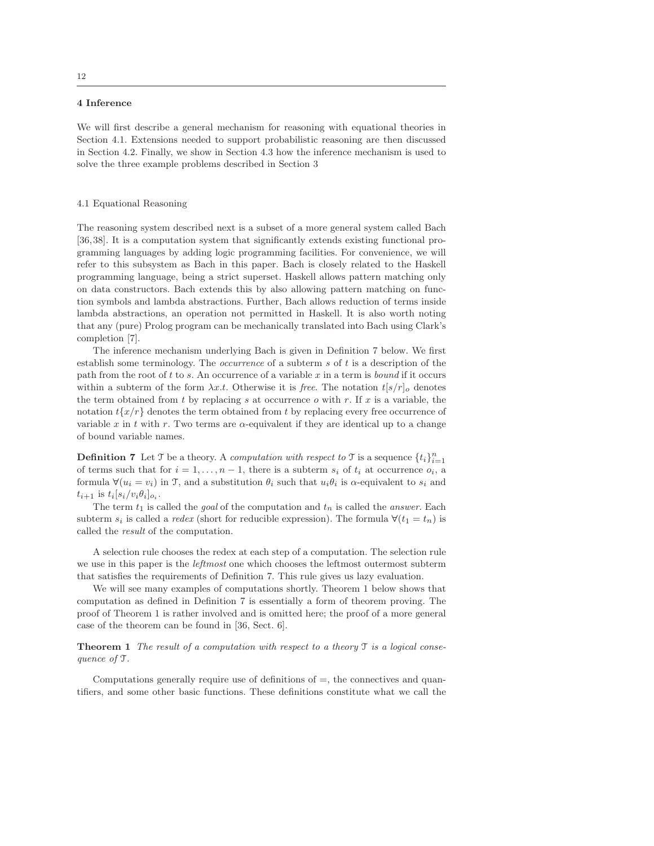#### 4 Inference

We will first describe a general mechanism for reasoning with equational theories in Section 4.1. Extensions needed to support probabilistic reasoning are then discussed in Section 4.2. Finally, we show in Section 4.3 how the inference mechanism is used to solve the three example problems described in Section 3

#### 4.1 Equational Reasoning

The reasoning system described next is a subset of a more general system called Bach [36,38]. It is a computation system that significantly extends existing functional programming languages by adding logic programming facilities. For convenience, we will refer to this subsystem as Bach in this paper. Bach is closely related to the Haskell programming language, being a strict superset. Haskell allows pattern matching only on data constructors. Bach extends this by also allowing pattern matching on function symbols and lambda abstractions. Further, Bach allows reduction of terms inside lambda abstractions, an operation not permitted in Haskell. It is also worth noting that any (pure) Prolog program can be mechanically translated into Bach using Clark's completion [7].

The inference mechanism underlying Bach is given in Definition 7 below. We first establish some terminology. The occurrence of a subterm s of t is a description of the path from the root of  $t$  to  $s$ . An occurrence of a variable  $x$  in a term is *bound* if it occurs within a subterm of the form  $\lambda x.t.$  Otherwise it is free. The notation  $t[s/r]_o$  denotes the term obtained from t by replacing s at occurrence o with  $r$ . If  $x$  is a variable, the notation  $t\{x/r\}$  denotes the term obtained from t by replacing every free occurrence of variable x in t with r. Two terms are  $\alpha$ -equivalent if they are identical up to a change of bound variable names.

**Definition 7** Let  $\mathcal{T}$  be a theory. A *computation with respect to*  $\mathcal{T}$  is a sequence  $\{t_i\}_{i=1}^n$ of terms such that for  $i = 1, ..., n - 1$ , there is a subterm  $s_i$  of  $t_i$  at occurrence  $o_i$ , a formula  $\forall (u_i = v_i)$  in T, and a substitution  $\theta_i$  such that  $u_i \theta_i$  is  $\alpha$ -equivalent to  $s_i$  and  $t_{i+1}$  is  $t_i[s_i/v_i\theta_i]_{o_i}$ .

The term  $t_1$  is called the *goal* of the computation and  $t_n$  is called the *answer*. Each subterm  $s_i$  is called a *redex* (short for reducible expression). The formula  $\forall (t_1 = t_n)$  is called the result of the computation.

A selection rule chooses the redex at each step of a computation. The selection rule we use in this paper is the *leftmost* one which chooses the leftmost outermost subterm that satisfies the requirements of Definition 7. This rule gives us lazy evaluation.

We will see many examples of computations shortly. Theorem 1 below shows that computation as defined in Definition 7 is essentially a form of theorem proving. The proof of Theorem 1 is rather involved and is omitted here; the proof of a more general case of the theorem can be found in [36, Sect. 6].

**Theorem 1** The result of a computation with respect to a theory  $\mathcal{T}$  is a logical consequence of T.

Computations generally require use of definitions of  $=$ , the connectives and quantifiers, and some other basic functions. These definitions constitute what we call the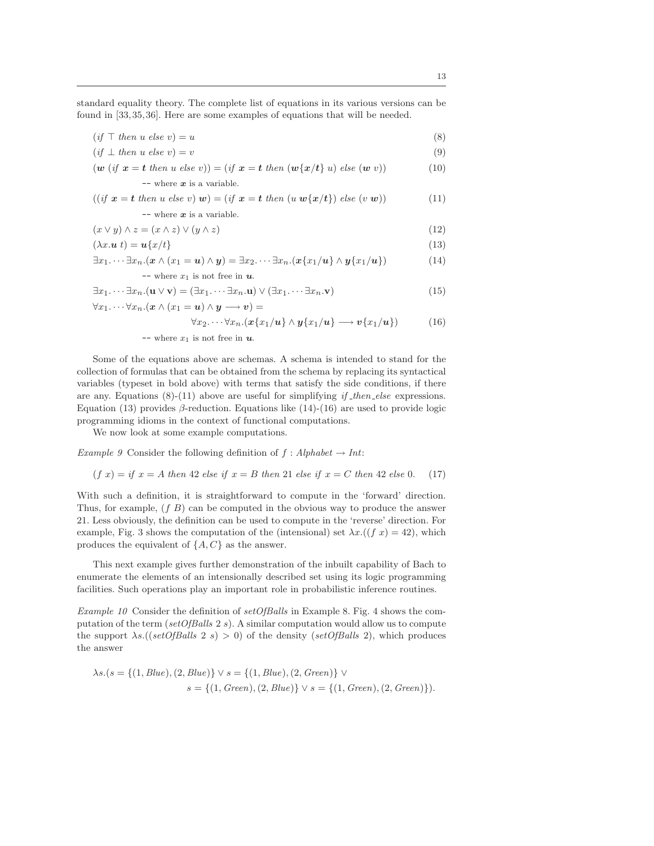standard equality theory. The complete list of equations in its various versions can be found in [33,35,36]. Here are some examples of equations that will be needed.

$$
(if \top then u else v) = u \tag{8}
$$

$$
(if \perp then \ u \ else \ v) = v \tag{9}
$$

$$
(\mathbf{w} \ (if \ \mathbf{x} = \mathbf{t} \ then \ u \ else \ v)) = (if \ \mathbf{x} = \mathbf{t} \ then \ (\mathbf{w} \{ \mathbf{x} / \mathbf{t} \} \ u) \ else \ (\mathbf{w} \ v))
$$
\n<sup>(10)</sup>

 $\overline{\phantom{a}}$  -- where  $\overline{x}$  is a variable.

$$
((if x = t then u else v) w) = (if x = t then (u w\{x/t\}) else (v w))
$$
\n
$$
--- where x is a variable.
$$
\n(11)

$$
(x \lor y) \land z = (x \land z) \lor (y \land z) \tag{12}
$$

$$
(\lambda x. \mathbf{u} \ t) = \mathbf{u} \{x/t\} \tag{13}
$$

$$
\exists x_1 \dots \exists x_n . (\pmb{x} \land (\pmb{x}_1 = \pmb{u}) \land \pmb{y}) = \exists x_2 \dots \exists x_n . (\pmb{x} \{x_1/\pmb{u}\} \land \pmb{y} \{x_1/\pmb{u}\})
$$
(14)  
-- where  $x_1$  is not free in  $\pmb{u}$ .

$$
\exists x_1 \cdots \exists x_n . (\mathbf{u} \vee \mathbf{v}) = (\exists x_1 \cdots \exists x_n . \mathbf{u}) \vee (\exists x_1 \cdots \exists x_n . \mathbf{v})
$$
\n(15)

$$
\forall x_1.\cdots\forall x_n. (x \wedge (x_1 = u) \wedge y \longrightarrow v) =
$$

$$
\forall x_2 \ldots \forall x_n . (x\{x_1/u\} \wedge y\{x_1/u\} \longrightarrow v\{x_1/u\}) \tag{16}
$$

-- where  $x_1$  is not free in  $u$ .

Some of the equations above are schemas. A schema is intended to stand for the collection of formulas that can be obtained from the schema by replacing its syntactical variables (typeset in bold above) with terms that satisfy the side conditions, if there are any. Equations  $(8)-(11)$  above are useful for simplifying if then else expressions. Equation (13) provides β-reduction. Equations like  $(14)-(16)$  are used to provide logic programming idioms in the context of functional computations.

We now look at some example computations.

Example 9 Consider the following definition of  $f : Alphabet \rightarrow Int$ :

$$
(f x) = if x = A
$$
 then 42 else if  $x = B$  then 21 else if  $x = C$  then 42 else 0. (17)

With such a definition, it is straightforward to compute in the 'forward' direction. Thus, for example,  $(f \cdot B)$  can be computed in the obvious way to produce the answer 21. Less obviously, the definition can be used to compute in the 'reverse' direction. For example, Fig. 3 shows the computation of the (intensional) set  $\lambda x.((f x) = 42)$ , which produces the equivalent of  $\{A, C\}$  as the answer.

This next example gives further demonstration of the inbuilt capability of Bach to enumerate the elements of an intensionally described set using its logic programming facilities. Such operations play an important role in probabilistic inference routines.

Example 10 Consider the definition of  $setOfBalls$  in Example 8. Fig. 4 shows the computation of the term (setOfBalls  $2 s$ ). A similar computation would allow us to compute the support  $\lambda s.((setOfBalls 2 s) > 0)$  of the density  $(setOfBalls 2)$ , which produces the answer

$$
\lambda s.(s = \{(1, Blue), (2, Blue)\} \lor s = \{(1, Blue), (2, Green)\} \lor s = \{(1, Green), (2, Blue)\} \lor s = \{(1, Green), (2, Green)\}.
$$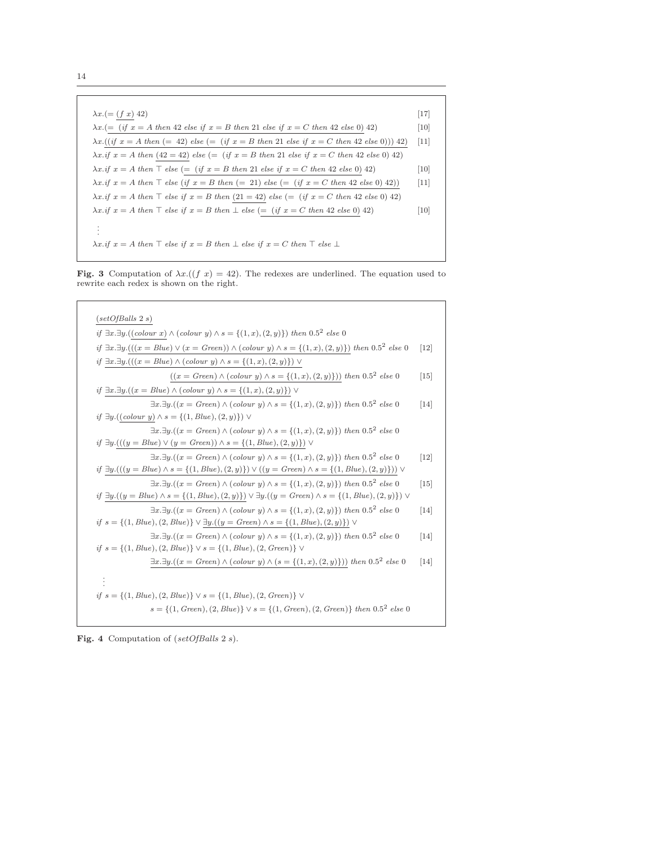

Fig. 3 Computation of  $\lambda x$ . ( $f(x) = 42$ ). The redexes are underlined. The equation used to rewrite each redex is shown on the right.

| if $\exists x. \exists y. ((colour x) \land (colour y) \land s = \{(1, x), (2, y)\})$ then 0.5 <sup>2</sup> else 0                                                                       |        |
|------------------------------------------------------------------------------------------------------------------------------------------------------------------------------------------|--------|
| if $\exists x.\exists y.(((x = Blue) \vee (x = Green)) \wedge (colour y) \wedge s = \{(1,x),(2,y)\})$ then 0.5 <sup>2</sup> else 0                                                       | $[12]$ |
| if $\exists x. \exists y. (((x = Blue) \land (colour y) \land s = \{(1, x), (2, y)\}) \lor$                                                                                              |        |
| $((x = Green) \land (colour y) \land s = \{(1, x), (2, y)\}))$ then 0.5 <sup>2</sup> else 0                                                                                              | $[15]$ |
| if $\exists x. \exists y. ((x = Blue) \land (colour y) \land s = \{(1, x), (2, y)\}) \lor$                                                                                               |        |
| $\exists x.\exists y.((x = Green) \land (colour y) \land s = \{(1, x), (2, y)\})$ then 0.5 <sup>2</sup> else 0                                                                           | $[14]$ |
| if $\exists y.((\text{colour } y) \land s = \{(1, Blue), (2, y)\}) \lor$                                                                                                                 |        |
| $\exists x.\exists y.((x = Green) \wedge (colour y) \wedge s = \{(1, x), (2, y)\})$ then 0.5 <sup>2</sup> else 0                                                                         |        |
| if $\exists y. (((y = Blue) \vee (y = Green)) \wedge s = \{(1, Blue), (2, y)\}) \vee$                                                                                                    |        |
| $\exists x.\exists y.((x = Green) \land (colour y) \land s = \{(1, x), (2, y)\})$ then 0.5 <sup>2</sup> else 0                                                                           | $[12]$ |
| if $\exists y. (((y = Blue) \land s = \{(1, Blue), (2, y)\}) \lor ((y = Green) \land s = \{(1, Blue), (2, y)\})) \lor$                                                                   |        |
| $\exists x.\exists y.((x = Green) \land (colour y) \land s = \{(1, x), (2, y)\})$ then 0.5 <sup>2</sup> else 0                                                                           | $[15]$ |
| if $\exists y. ((y = Blue) \land s = \{(1, Blue), (2, y)\}) \lor \exists y. ((y = Green) \land s = \{(1, Blue), (2, y)\}) \lor \exists y. ((y = Green) \land s = \{(1, Blue), (2, y)\})$ |        |
| $\exists x. \exists y. ((x = Green) \land (colour y) \land s = \{(1, x), (2, y)\})$ then 0.5 <sup>2</sup> else 0                                                                         | $[14]$ |
| if $s = \{(1, Blue), (2, Blue)\} \vee \exists y. ((y = Green) \wedge s = \{(1, Blue), (2, y)\}) \vee$                                                                                    |        |
| $\exists x.\exists y.((x = Green) \land (colour y) \land s = \{(1, x), (2, y)\})$ then 0.5 <sup>2</sup> else 0                                                                           | $[14]$ |
| if $s = \{(1, Blue), (2, Blue)\} \vee s = \{(1, Blue), (2, Green)\} \vee$                                                                                                                |        |
| $\exists x. \exists y. ((x = Green) \land (colour y) \land (s = \{(1, x), (2, y)\}))$ then 0.5 <sup>2</sup> else 0                                                                       | $[14]$ |
|                                                                                                                                                                                          |        |
| if $s = \{(1, Blue), (2, Blue)\} \vee s = \{(1, Blue), (2, Green)\} \vee$                                                                                                                |        |
| $s = \{(1, Green), (2, Blue)\} \vee s = \{(1, Green), (2, Green)\}$ then 0.5 <sup>2</sup> else 0                                                                                         |        |

Fig. 4 Computation of  $(setOfBalls 2 s)$ .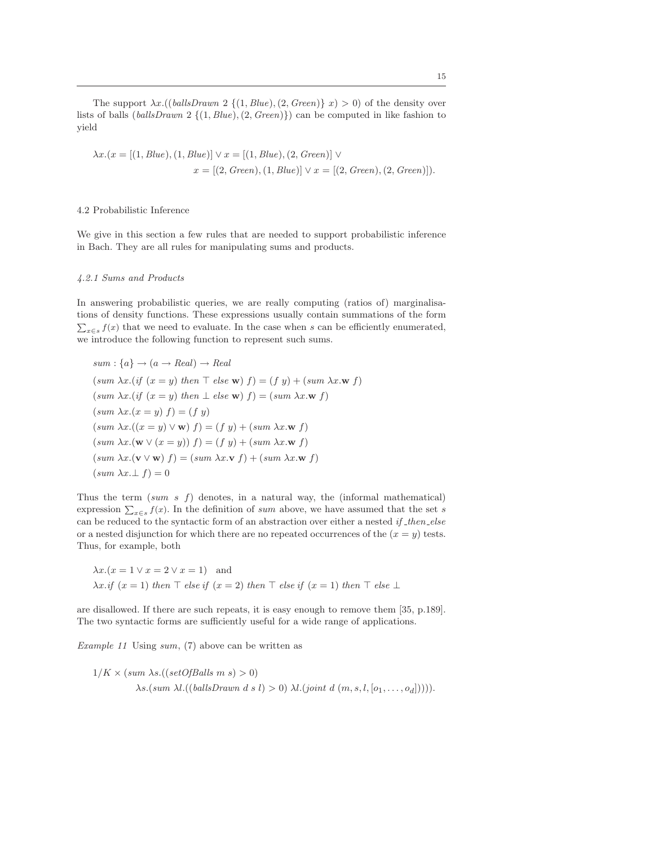The support  $\lambda x.((ballsDraw 2 \{(1, Blue), (2, Green)\}\ x) > 0)$  of the density over lists of balls (ballsDrawn 2 { $(1, Blue), (2, Green)$ }) can be computed in like fashion to yield

$$
\lambda x.(x = [(1, Blue), (1, Blue)] \lor x = [(1, Blue), (2, Green)] \lor x = [(2, Green), (1, Blue)] \lor x = [(2, Green), (2, Green)].
$$

4.2 Probabilistic Inference

We give in this section a few rules that are needed to support probabilistic inference in Bach. They are all rules for manipulating sums and products.

#### 4.2.1 Sums and Products

In answering probabilistic queries, we are really computing (ratios of) marginalisations of density functions. These expressions usually contain summations of the form  $\sum_{x\in s} f(x)$  that we need to evaluate. In the case when s can be efficiently enumerated, we introduce the following function to represent such sums.

 $sum : \{a\} \rightarrow (a \rightarrow Real) \rightarrow Real$  $(sum \lambda x.(if (x = y) then \top else \mathbf{w}) f) = (f y) + (sum \lambda x. \mathbf{w} f)$  $(sum \lambda x.(if (x = y) then \perp else \mathbf{w}) f) = (sum \lambda x.\mathbf{w} f)$  $(sum \lambda x.(x = y) f) = (f y)$  $(sum \lambda x.((x = y) \vee \mathbf{w}) f) = (f y) + (sum \lambda x. \mathbf{w} f)$  $(sum \lambda x.(\mathbf{w} \vee (x = y)) f) = (f y) + (sum \lambda x. \mathbf{w} f)$  $(sum \lambda x.(\mathbf{v} \vee \mathbf{w}) f) = (sum \lambda x. \mathbf{v} f) + (sum \lambda x. \mathbf{w} f)$  $(sum \lambda x. \perp f) = 0$ 

Thus the term  $(sum \ s \ f)$  denotes, in a natural way, the (informal mathematical) expression  $\sum_{x \in s} f(x)$ . In the definition of sum above, we have assumed that the set s can be reduced to the syntactic form of an abstraction over either a nested  $if_{\text{t}}$  then else or a nested disjunction for which there are no repeated occurrences of the  $(x = y)$  tests. Thus, for example, both

$$
\lambda x.(x = 1 \lor x = 2 \lor x = 1)
$$
 and  

$$
\lambda x. if (x = 1) then \top else if (x = 2) then \top else if (x = 1) then \top else \bot
$$

are disallowed. If there are such repeats, it is easy enough to remove them [35, p.189]. The two syntactic forms are sufficiently useful for a wide range of applications.

Example 11 Using  $sum$ , (7) above can be written as

$$
1/K \times (sum \lambda s.((setOfBalls \ m \ s) > 0)
$$
\n
$$
\lambda s. (sum \lambda l.((ballsDraw n \ d \ s \ l) > 0) \ \lambda l. (joint \ d \ (m, s, l, [o_1, \ldots, o_d])))).
$$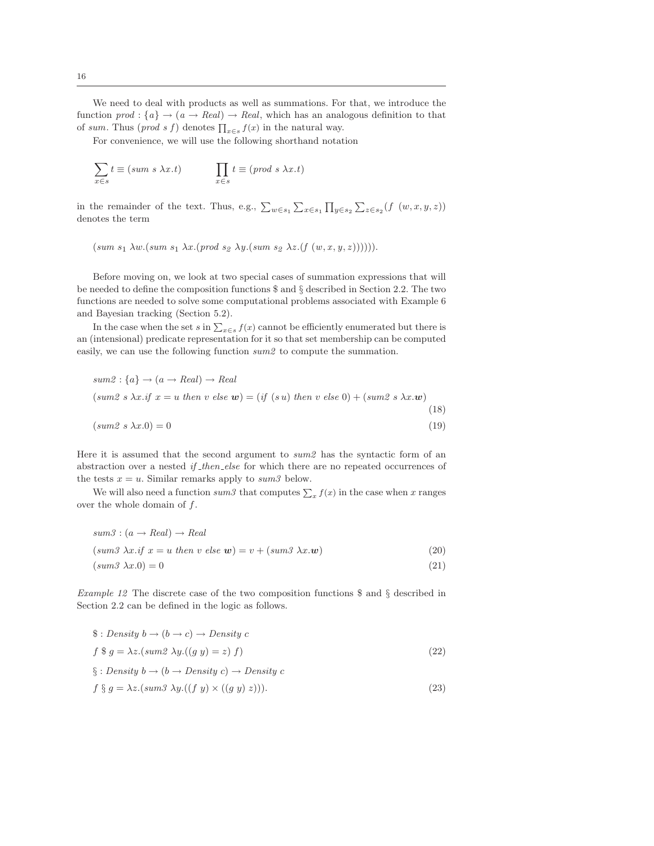We need to deal with products as well as summations. For that, we introduce the function  $prod : \{a\} \rightarrow (a \rightarrow Real) \rightarrow Real$ , which has an analogous definition to that of sum. Thus  $(pred \ s \ f)$  denotes  $\prod_{x \in s} f(x)$  in the natural way.

For convenience, we will use the following shorthand notation

$$
\sum_{x \in s} t \equiv (sum \ s \lambda x.t) \qquad \prod_{x \in s} t \equiv (prod \ s \lambda x.t)
$$

in the remainder of the text. Thus, e.g.,  $\sum_{w \in s_1} \sum_{x \in s_1} \prod_{y \in s_2} \sum_{z \in s_2} (f(w, x, y, z))$ denotes the term

 $(sum s<sub>1</sub> \lambda w.(sum s<sub>1</sub> \lambda x.(prod s<sub>2</sub> \lambda y.(sum s<sub>2</sub> \lambda z.(f (w, x, y, z)))))).$ 

Before moving on, we look at two special cases of summation expressions that will be needed to define the composition functions \$ and § described in Section 2.2. The two functions are needed to solve some computational problems associated with Example 6 and Bayesian tracking (Section 5.2).

In the case when the set s in  $\sum_{x \in s} f(x)$  cannot be efficiently enumerated but there is an (intensional) predicate representation for it so that set membership can be computed easily, we can use the following function  $sum2$  to compute the summation.

$$
sum2 : \{a\} \rightarrow (a \rightarrow Real) \rightarrow Real
$$
  
(
$$
(sum2 s \lambda x. if x = u then v else w) = (if (s u) then v else 0) + (sum2 s \lambda x. w)
$$
  
(
$$
(sum2 s \lambda x.0) = 0
$$
 (19)

Here it is assumed that the second argument to  $sum2$  has the syntactic form of an abstraction over a nested  $if_{\text{t}}$  then else for which there are no repeated occurrences of the tests  $x = u$ . Similar remarks apply to sum3 below.

We will also need a function  $sum3$  that computes  $\sum_x f(x)$  in the case when x ranges over the whole domain of  $f$ .

$$
sum3 : (a \rightarrow Real) \rightarrow Real
$$
  
\n
$$
(sum3 \lambda x.if x = u then v else w) = v + (sum3 \lambda x. w)
$$
  
\n
$$
(sum3 \lambda x.0) = 0
$$
 (21)

Example 12 The discrete case of the two composition functions \$ and § described in Section 2.2 can be defined in the logic as follows.

$$
\$: Density\ b \rightarrow (b \rightarrow c) \rightarrow Density\ c
$$
  

$$
f \$ g = \lambda z.(sum2\ \lambda u.(g\ u) = z) \ f)
$$
 (22)

$$
f * g = \lambda x. (\text{sum } \lambda g. ((g g) - x) f)
$$
\n
$$
s \cdot \text{Domain} \quad b \to b \quad \text{Domain} \quad b \to \text{Domain} \quad b \to b \quad \text{Domain} \quad b \to b \quad \text{Domain} \quad b \to b \quad \text{nonoint} \quad c \to b \quad \text{nonoint} \quad c \to b \quad \text{nonadj} \quad c \to b \quad \text{nonadj} \quad c \to b \quad \text{nonadj} \quad c \to b \quad \text{nonadj} \quad c \to b \quad \text{nonadj} \quad c \to b \quad \text{nonadj} \quad c \to b \quad \text{nonadj} \quad c \to b \quad \text{nonadj} \quad c \to b \quad \text{nonadj} \quad c \to b \quad \text{nonadj} \quad c \to b \quad \text{nonadj} \quad c \to b \quad \text{nonadj} \quad c \to b \quad \text{nonadj} \quad c \to b \quad \text{nonadj} \quad c \to b \quad \text{nonadj} \quad c \to b \quad \text{nonadj} \quad c \to b \quad \text{nonadj} \quad c \to b \quad \text{nonadj} \quad c \to b \quad \text{nonadj} \quad c \to b \quad \text{nonadj} \quad c \to b \quad \text{nonadj} \quad c \to b \quad \text{nonadj} \quad c \to b \quad \text{nonadj} \quad c \to b \quad \text{nonadj} \quad c \to b \quad \text{nonadj} \quad c \to b \quad \text{nonadj} \quad c \to b \quad \text{nonadj} \quad c \to b \quad \text{nonadj} \quad c \to b \quad \text{nonadj} \quad c \to b \quad \text{nonadj} \quad c \to b \quad \text{nonadj} \quad c \to b \quad \text{nonadj} \quad c \to b \quad \text{nonadj} \quad c \to b \quad \text{nonadj} \quad c \to b \quad \text{nonadj} \quad c \to b \quad \text{nonadj} \quad c \to b \quad \text{nonadj} \quad c \to b \quad \text{nonadj} \quad c \to b \quad \text{nonadj} \quad c \to b \quad \text{nonadj} \quad c \to b \quad \text{nonadj} \quad c \to b \quad \text{nonadj} \quad c \to b \quad \text{nonadj} \quad c \to b \quad \text{nonadj} \quad c \to b \quad \text{nonadj} \quad c \to b \quad \
$$

$$
g: Density \space o \rightarrow (o \rightarrow Density \space c) \rightarrow Density \space c
$$
\n
$$
f \space s \space c \rightarrow \lambda \space s \space (a \times 2 \lambda \times ((f \space a) \times ((g \cdot a) \times (h)) \land (h \cdot a)) \land (h \cdot a)) \land (h \cdot a) \land (h \cdot a) \land (h \cdot a) \land (h \cdot a) \land (h \cdot a) \land (h \cdot a) \land (h \cdot a) \land (h \cdot a) \land (h \cdot a) \land (h \cdot a) \land (h \cdot a) \land (h \cdot a) \land (h \cdot a) \land (h \cdot a) \land (h \cdot a) \land (h \cdot a) \land (h \cdot a) \land (h \cdot a) \land (h \cdot a) \land (h \cdot a) \land (h \cdot a) \land (h \cdot a) \land (h \cdot a) \land (h \cdot a) \land (h \cdot a) \land (h \cdot a) \land (h \cdot a) \land (h \cdot a) \land (h \cdot a) \land (h \cdot a) \land (h \cdot a) \land (h \cdot a) \land (h \cdot a) \land (h \cdot a) \land (h \cdot a) \land (h \cdot a) \land (h \cdot a) \land (h \cdot a) \land (h \cdot a) \land (h \cdot a) \land (h \cdot a) \land (h \cdot a) \land (h \cdot a) \land (h \cdot a) \land (h \cdot a) \land (h \cdot a) \land (h \cdot a) \land (h \cdot a) \land (h \cdot a) \land (h \cdot a) \land (h \cdot a) \land (h \cdot a) \land (h \cdot a) \land (h \cdot a) \land (h \cdot a) \land (h \cdot a) \land (h \cdot a) \land (h \cdot a) \land (h \cdot a) \land (h \cdot a) \land (h \cdot a) \land (h \cdot a) \land (h \cdot a) \land (h \cdot a) \land (h \cdot a) \land (h \cdot a) \land (h \cdot a) \land (h \cdot a) \land (h \cdot a) \land (h \cdot a) \land (h \cdot a) \land (h \cdot a) \land (h \cdot a) \land (h \cdot a) \land (h \cdot a) \land (h \cdot a) \land (h \cdot a) \land (h \cdot a) \land (h \cdot a) \land (h \cdot a) \land (h \cdot a) \land (h \cdot a) \land (h \cdot a) \
$$

$$
f \S g = \lambda z. (sum3 \lambda y. ((f y) \times ((g y) z))). \tag{23}
$$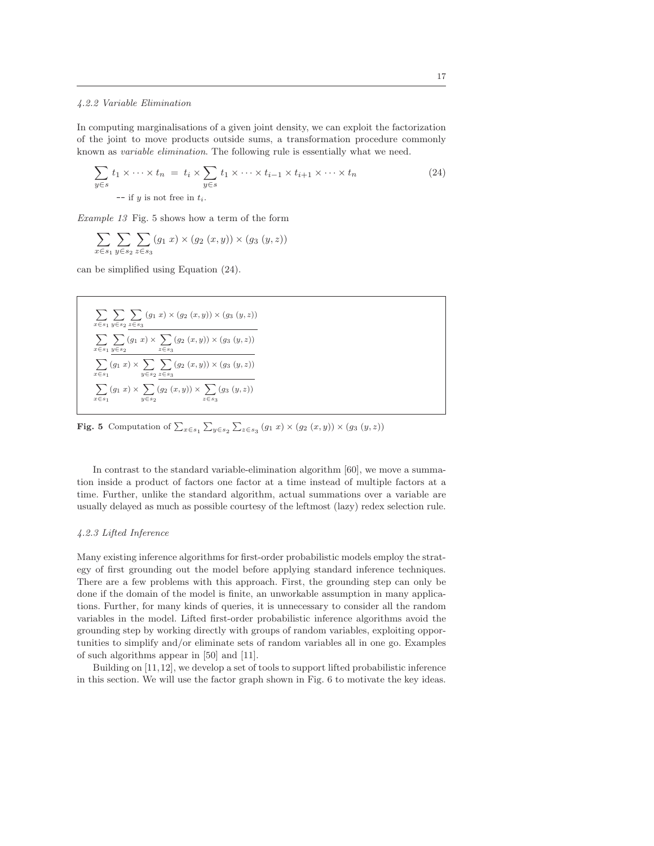#### 4.2.2 Variable Elimination

In computing marginalisations of a given joint density, we can exploit the factorization of the joint to move products outside sums, a transformation procedure commonly known as variable elimination. The following rule is essentially what we need.

$$
\sum_{y \in s} t_1 \times \cdots \times t_n = t_i \times \sum_{y \in s} t_1 \times \cdots \times t_{i-1} \times t_{i+1} \times \cdots \times t_n
$$
\n
$$
\text{-- if } y \text{ is not free in } t_i.
$$
\n
$$
(24)
$$

Example 13 Fig. 5 shows how a term of the form

$$
\sum_{x \in s_1} \sum_{y \in s_2} \sum_{z \in s_3} (g_1 \ x) \times (g_2 \ (x, y)) \times (g_3 \ (y, z))
$$

can be simplified using Equation (24).

| $\sum_{x} \sum_{y} (g_1 x) \times (g_2 (x, y)) \times (g_3 (y, z))$<br>$x \in s_1$ $y \in s_2$ $z \in s_3$ |  |
|------------------------------------------------------------------------------------------------------------|--|
| $\sum \sum (g_1 x) \times \sum (g_2 (x, y)) \times (g_3 (y, z))$<br>$x \in s_1$ $y \in s_2$ $z \in s_3$    |  |
| $\sum (g_1 x) \times \sum (\sum (g_2 (x, y)) \times (g_3 (y, z))$<br>$x \in s_1$ $y \in s_2$ $z \in s_3$   |  |
| $\sum (g_1 x) \times \sum (g_2 (x, y)) \times \sum (g_3 (y, z))$<br>$x \in s_1$ $y \in s_2$ $z \in s_3$    |  |

**Fig. 5** Computation of  $\sum_{x \in s_1} \sum_{y \in s_2} \sum_{z \in s_3} (g_1 x) \times (g_2 (x, y)) \times (g_3 (y, z))$ 

In contrast to the standard variable-elimination algorithm [60], we move a summation inside a product of factors one factor at a time instead of multiple factors at a time. Further, unlike the standard algorithm, actual summations over a variable are usually delayed as much as possible courtesy of the leftmost (lazy) redex selection rule.

#### 4.2.3 Lifted Inference

Many existing inference algorithms for first-order probabilistic models employ the strategy of first grounding out the model before applying standard inference techniques. There are a few problems with this approach. First, the grounding step can only be done if the domain of the model is finite, an unworkable assumption in many applications. Further, for many kinds of queries, it is unnecessary to consider all the random variables in the model. Lifted first-order probabilistic inference algorithms avoid the grounding step by working directly with groups of random variables, exploiting opportunities to simplify and/or eliminate sets of random variables all in one go. Examples of such algorithms appear in [50] and [11].

Building on [11,12], we develop a set of tools to support lifted probabilistic inference in this section. We will use the factor graph shown in Fig. 6 to motivate the key ideas.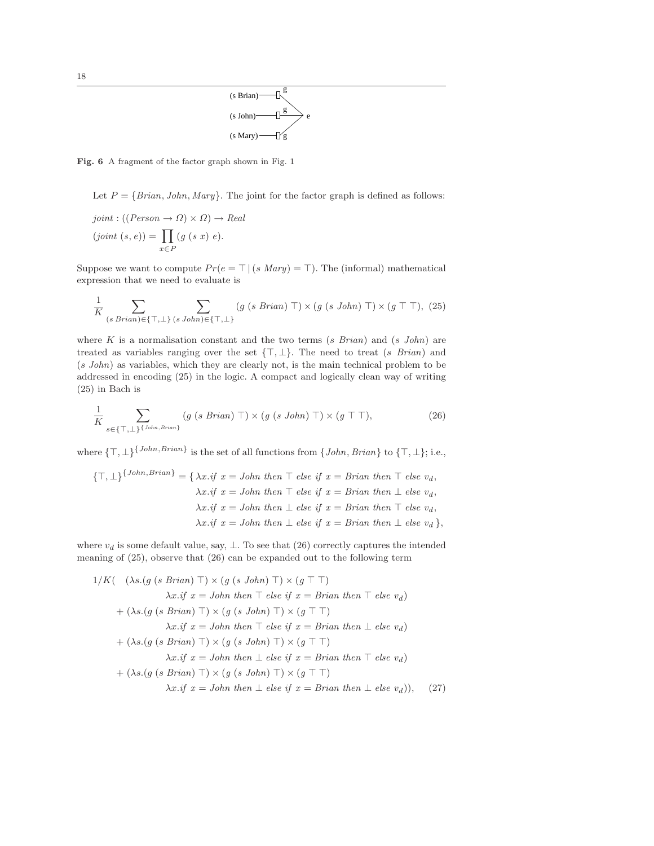

Fig. 6 A fragment of the factor graph shown in Fig. 1

- Let  $P = \{Brian, John, Mary\}$ . The joint for the factor graph is defined as follows:
- $joint : ((Person \rightarrow \Omega) \times \Omega) \rightarrow Real$  $(joint (s, e)) = \prod$ x∈P  $(g(s x) e).$

Suppose we want to compute  $Pr(e = \top | (s \text{ Mary}) = \top)$ . The (informal) mathematical expression that we need to evaluate is

$$
\frac{1}{K} \sum_{(s\, Brian) \in \{\top, \bot\}} \sum_{(s\, John) \in \{\top, \bot\}} (g \,(s\, Brian) \top) \times (g \,(s\, John) \top) \times (g \top \top), \tag{25}
$$

where  $K$  is a normalisation constant and the two terms  $(s \; Brian)$  and  $(s \; John)$  are treated as variables ranging over the set  $\{\top, \bot\}$ . The need to treat (s Brian) and (s John) as variables, which they are clearly not, is the main technical problem to be addressed in encoding (25) in the logic. A compact and logically clean way of writing (25) in Bach is

$$
\frac{1}{K} \sum_{s \in \{\top, \bot\}^{\{John, Brian\}}} (g \ (s \ Brian) \ T) \times (g \ (s \ John) \ T) \times (g \ T \ T), \tag{26}
$$

where  $\{\top, \bot\}^{\{John, Brian\}}$  is the set of all functions from  $\{John, Brian\}$  to  $\{\top, \bot\}$ ; i.e.,

$$
\{\top, \bot\}^{\{John, Brian\}} = \{\lambda x. if \ x = John \ then \top \ else \ if \ x = Brian \ then \top \ else \ v_d,
$$
  

$$
\lambda x. if \ x = John \ then \top \ else \ if \ x = Brian \ then \bot \ else \ v_d,
$$
  

$$
\lambda x. if \ x = John \ then \bot \ else \ if \ x = Brian \ then \top \ else \ v_d,
$$
  

$$
\lambda x. if \ x = John \ then \bot \ else \ if \ x = Brian \ then \bot \ else \ v_d \},
$$

where  $v_d$  is some default value, say,  $\perp$ . To see that (26) correctly captures the intended meaning of (25), observe that (26) can be expanded out to the following term

1/K(
$$
(\lambda s.(g (s Brian) T) \times (g (s John) T) \times (g T T)
$$
  
\n $\lambda x.if x = John then T else if x = Brian then T else v_d)$   
\n+ ( $\lambda s.(g (s Brian) T) \times (g (s John) T) \times (g T T)$   
\n $\lambda x.if x = John then T else if x = Brian then \perp else v_d)$   
\n+ ( $\lambda s.(g (s Brian) T) \times (g (s John) T) \times (g T T)$   
\n $\lambda x.if x = John then \perp else if x = Brian then T else v_d)$   
\n+ ( $\lambda s.(g (s Brian) T) \times (g (s John) T) \times (g T T)$   
\n $\lambda x.if x = John then \perp else if x = Brian then \perp else v_d)$ ), (27)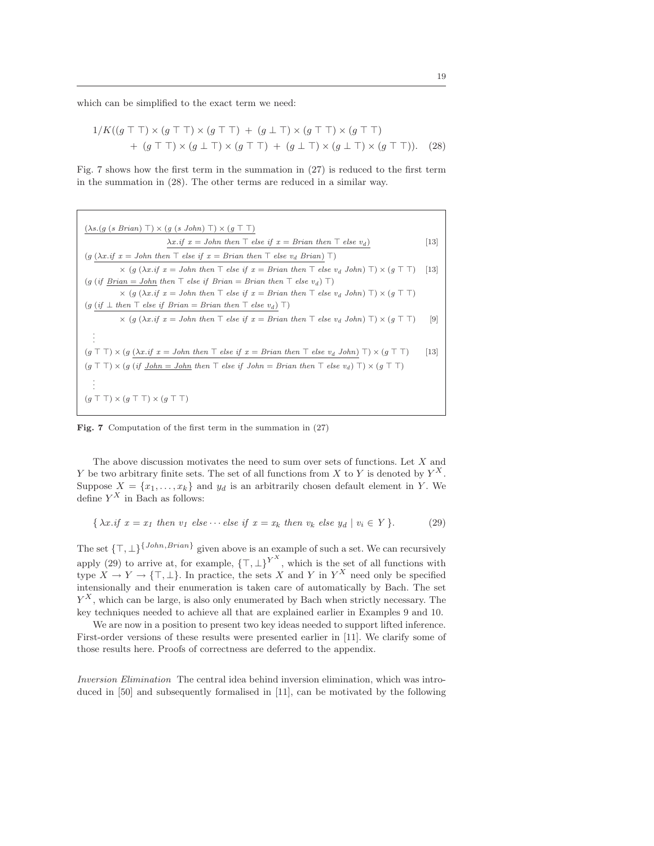which can be simplified to the exact term we need:

$$
1/K((g \top \top) \times (g \top \top) \times (g \top \top) + (g \bot \top) \times (g \top \top) \times (g \top \top))
$$
  
+ 
$$
(g \top \top) \times (g \bot \top) \times (g \top \top) + (g \bot \top) \times (g \bot \top) \times (g \top \top)).
$$
 (28)

Fig. 7 shows how the first term in the summation in (27) is reduced to the first term in the summation in (28). The other terms are reduced in a similar way.

| $(\lambda s. (g (s Brian) \top) \times (g (s John) \top) \times (g \top \top))$                                                                      |                   |
|------------------------------------------------------------------------------------------------------------------------------------------------------|-------------------|
| $\lambda x$ if $x = John$ then $\top$ else if $x = Brian$ then $\top$ else $v_d$ )                                                                   | $[13]$            |
| $(g (\lambda x. if x = John then \top else if x = Brian then \top else v_d Brian) \top)$                                                             |                   |
| $\times$ (q ( $\lambda x$ if $x = John$ then $\top$ else if $x = Brian$ then $\top$ else $v_d$ John) $\top$ ) $\times$ (q $\top$ $\top$ )            | $\left[13\right]$ |
| $(g (if Brian = John then \top else if Brian = Brian then \top else v_d) \top)$                                                                      |                   |
| $\times$ (g ( $\lambda x.$ if $x = John$ then $\top$ else if $x = Brian$ then $\top$ else $v_d$ John) $\top$ ) $\times$ (g $\top$ $\top$ )           |                   |
| $(g (if \perp then \top else if Brian = Brian then \top else v_d) \top)$                                                                             |                   |
| $\times$ (g ( $\lambda x.$ if $x = John$ then $\top$ else if $x = Brian$ then $\top$ else $v_d$ John) $\top$ ) $\times$ (g $\top$ $\top$ )           | $\lceil 9 \rceil$ |
|                                                                                                                                                      |                   |
| $(g \top \top) \times (g (\lambda x \cdot if \ x = John \ then \top else \ if \ x = Brian \ then \top else \ v_d \ John) \top) \times (g \top \top)$ | $[13]$            |
| $(g \top \top) \times (g (if John = John then \top else if John = Brian then \top else v_d) \top) \times (g \top \top)$                              |                   |
|                                                                                                                                                      |                   |
|                                                                                                                                                      |                   |
| $(g \top \top) \times (g \top \top) \times (g \top \top)$                                                                                            |                   |
|                                                                                                                                                      |                   |

Fig. 7 Computation of the first term in the summation in (27)

The above discussion motivates the need to sum over sets of functions. Let X and Y be two arbitrary finite sets. The set of all functions from X to Y is denoted by  $Y^X$ . Suppose  $X = \{x_1, \ldots, x_k\}$  and  $y_d$  is an arbitrarily chosen default element in Y. We define  $Y^X$  in Bach as follows:

$$
\{\lambda x. \text{if } x = x_1 \text{ then } v_1 \text{ else } \cdots \text{ else if } x = x_k \text{ then } v_k \text{ else } y_d \mid v_i \in Y\}. \tag{29}
$$

The set  $\{\top, \bot\}^{\{John, Brian\}}$  given above is an example of such a set. We can recursively apply (29) to arrive at, for example,  $\{\top, \bot\}^{Y^X}$ , which is the set of all functions with type  $X \to Y \to {\{\top, \bot\}}$ . In practice, the sets X and Y in  $Y^X$  need only be specified intensionally and their enumeration is taken care of automatically by Bach. The set  $Y^X$ , which can be large, is also only enumerated by Bach when strictly necessary. The key techniques needed to achieve all that are explained earlier in Examples 9 and 10.

We are now in a position to present two key ideas needed to support lifted inference. First-order versions of these results were presented earlier in [11]. We clarify some of those results here. Proofs of correctness are deferred to the appendix.

Inversion Elimination The central idea behind inversion elimination, which was introduced in [50] and subsequently formalised in [11], can be motivated by the following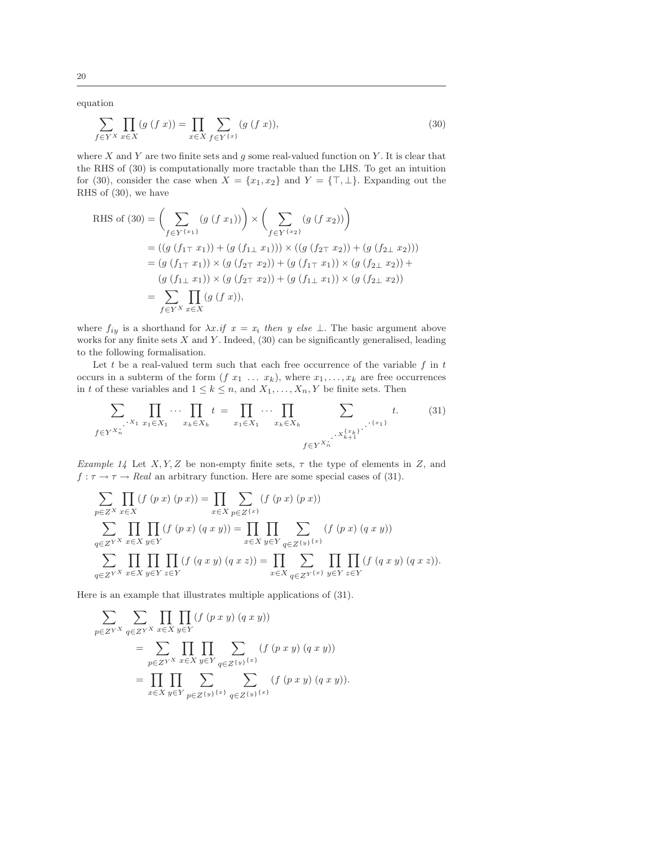equation

$$
\sum_{f \in Y^X} \prod_{x \in X} (g(f\ x)) = \prod_{x \in X} \sum_{f \in Y^{\{x\}}} (g(f\ x)),\tag{30}
$$

where  $X$  and  $Y$  are two finite sets and  $g$  some real-valued function on  $Y$ . It is clear that the RHS of (30) is computationally more tractable than the LHS. To get an intuition for (30), consider the case when  $X = \{x_1, x_2\}$  and  $Y = \{\top, \bot\}$ . Expanding out the RHS of (30), we have

RHS of (30) = 
$$
\left(\sum_{f \in Y^{\{x_1\}}}(g(f x_1))\right) \times \left(\sum_{f \in Y^{\{x_2\}}}(g(f x_2))\right)
$$
  
\n=  $((g(f_1 \top x_1)) + (g(f_1 \bot x_1))) \times ((g(f_2 \top x_2)) + (g(f_2 \bot x_2)))$   
\n=  $(g(f_1 \top x_1)) \times (g(f_2 \top x_2)) + (g(f_1 \top x_1)) \times (g(f_2 \bot x_2)) +$   
\n $(g(f_1 \bot x_1)) \times (g(f_2 \top x_2)) + (g(f_1 \bot x_1)) \times (g(f_2 \bot x_2))$   
\n=  $\sum_{f \in Y^X} \prod_{x \in X} (g(f x)),$ 

where  $f_{iy}$  is a shorthand for  $\lambda x.$ if  $x = x_i$  then y else ⊥. The basic argument above works for any finite sets  $X$  and  $Y$ . Indeed, (30) can be significantly generalised, leading to the following formalisation.

Let  $t$  be a real-valued term such that each free occurrence of the variable  $f$  in  $t$ occurs in a subterm of the form  $(f x_1 \ldots x_k)$ , where  $x_1, \ldots, x_k$  are free occurrences in t of these variables and  $1 \leq k \leq n$ , and  $X_1, \ldots, X_n, Y$  be finite sets. Then

$$
\sum_{f \in Y^{X_n}} \prod_{x_1 x_1 \in X_1} \cdots \prod_{x_k \in X_k} t = \prod_{x_1 \in X_1} \cdots \prod_{x_k \in X_k} \sum_{\substack{x_k \in X_k \\ f \in Y^{X_n}}} t. \tag{31}
$$

Example 14 Let X, Y, Z be non-empty finite sets,  $\tau$  the type of elements in Z, and  $f : \tau \to \tau \to Real$  an arbitrary function. Here are some special cases of (31).

$$
\sum_{p \in Z^X} \prod_{x \in X} (f (p x) (p x)) = \prod_{x \in X} \sum_{p \in Z^{\{x\}}} (f (p x) (p x))
$$
\n
$$
\sum_{q \in Z^Y} \prod_{x \in X} \prod_{y \in Y} (f (p x) (q x y)) = \prod_{x \in X} \prod_{y \in Y} \sum_{q \in Z^{\{y\}}^{\{x\}}} (f (p x) (q x y))
$$
\n
$$
\sum_{q \in Z^Y} \prod_{x \in X} \prod_{y \in Y} \prod_{z \in Y} (f (q x y) (q x z)) = \prod_{x \in X} \sum_{q \in Z^Y^{\{x\}}} \prod_{y \in Y} \prod_{z \in Y} (f (q x y) (q x z)).
$$

Here is an example that illustrates multiple applications of (31).

$$
\sum_{p \in Z^{Y^X}} \sum_{q \in Z^{Y^X}} \prod_{x \in X} \prod_{y \in Y} (f (p x y) (q x y))
$$
\n
$$
= \sum_{p \in Z^{Y^X}} \prod_{x \in X} \prod_{y \in Y} \sum_{q \in Z^{y}} (f (p x y) (q x y))
$$
\n
$$
= \prod_{x \in X} \prod_{y \in Y} \sum_{p \in Z^{y}} \sum_{y \in Z^{y}} (f (p x y) (q x y)).
$$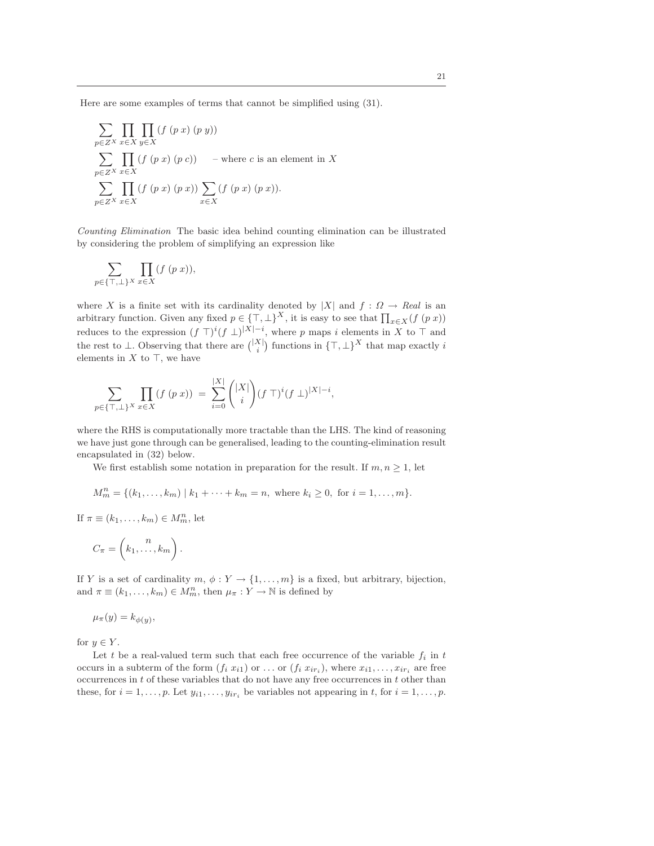Here are some examples of terms that cannot be simplified using (31).

$$
\sum_{p \in Z^X} \prod_{x \in X} \prod_{y \in X} (f (p x) (p y))
$$
\n
$$
\sum_{p \in Z^X} \prod_{x \in X} (f (p x) (p c)) \quad \text{where } c \text{ is an element in } X
$$
\n
$$
\sum_{p \in Z^X} \prod_{x \in X} (f (p x) (p x)) \sum_{x \in X} (f (p x) (p x)).
$$

Counting Elimination The basic idea behind counting elimination can be illustrated by considering the problem of simplifying an expression like

$$
\sum_{p \in \{\top, \bot\}^X} \prod_{x \in X} (f(p \ x)),
$$

where X is a finite set with its cardinality denoted by  $|X|$  and  $f: \Omega \to Real$  is an arbitrary function. Given any fixed  $p \in {\{\top, \bot\}}^X$ , it is easy to see that  $\prod_{x \in X} (f(p\ x))$ reduces to the expression  $(f\top)^{i}(f\perp)^{|X|-i}$ , where p maps i elements in X to  $\top$  and the rest to ⊥. Observing that there are  $\binom{|X|}{i}$  functions in  $\{\top, \bot\}^X$  that map exactly i elements in  $X$  to  $\top$ , we have

$$
\sum_{p \in \{\top, \bot\}^X} \prod_{x \in X} (f(p \ x)) = \sum_{i=0}^{|X|} \binom{|X|}{i} (f \top)^i (f \bot)^{|X|-i}
$$

where the RHS is computationally more tractable than the LHS. The kind of reasoning we have just gone through can be generalised, leading to the counting-elimination result encapsulated in (32) below.

,

We first establish some notation in preparation for the result. If  $m, n \geq 1$ , let

$$
M_m^n = \{(k_1, \ldots, k_m) \mid k_1 + \cdots + k_m = n, \text{ where } k_i \ge 0, \text{ for } i = 1, \ldots, m\}.
$$

If  $\pi \equiv (k_1, \ldots, k_m) \in M_m^n$ , let

$$
C_{\pi} = \left(k_1, \ldots, k_m\right).
$$

If Y is a set of cardinality  $m, \phi: Y \to \{1, ..., m\}$  is a fixed, but arbitrary, bijection, and  $\pi \equiv (k_1, \ldots, k_m) \in M_m^n$ , then  $\mu_{\pi}: Y \to \mathbb{N}$  is defined by

$$
\mu_{\pi}(y) = k_{\phi(y)},
$$

for  $y \in Y$ .

Let t be a real-valued term such that each free occurrence of the variable  $f_i$  in t occurs in a subterm of the form  $(f_i x_{i1})$  or ... or  $(f_i x_{ir_i})$ , where  $x_{i1},...,x_{ir_i}$  are free occurrences in t of these variables that do not have any free occurrences in t other than these, for  $i = 1, \ldots, p$ . Let  $y_{i1}, \ldots, y_{ir_i}$  be variables not appearing in t, for  $i = 1, \ldots, p$ .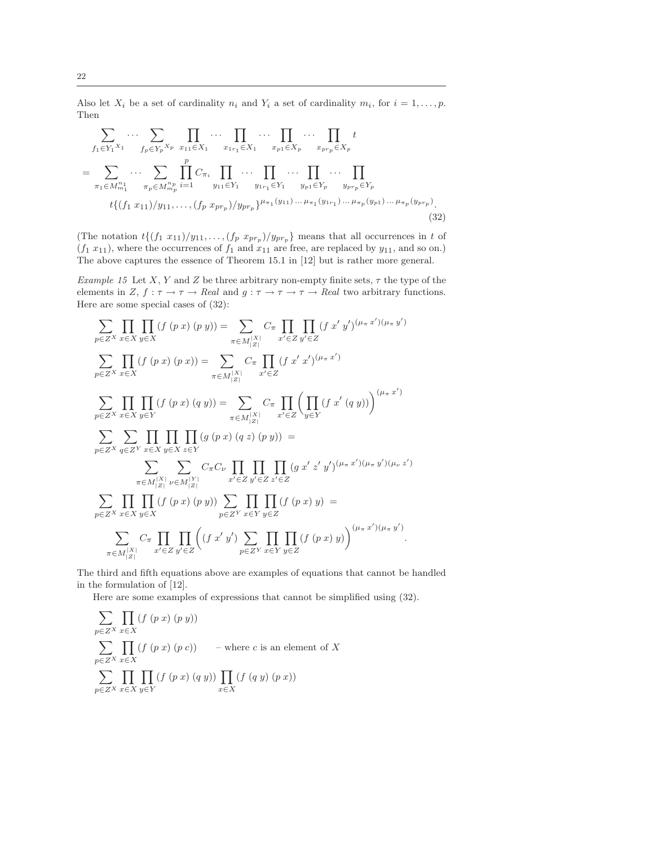Also let  $X_i$  be a set of cardinality  $n_i$  and  $Y_i$  a set of cardinality  $m_i$ , for  $i = 1, \ldots, p$ . Then

$$
\sum_{f_1 \in Y_1} \cdots \sum_{f_p \in Y_p} \prod_{x_{11} \in X_1} \cdots \prod_{x_{1r_1} \in X_1} \cdots \prod_{x_{p1} \in X_p} \cdots \prod_{x_{pr_p} \in X_p} t
$$
\n
$$
= \sum_{\pi_1 \in M_{m_1}^{n_1}} \cdots \sum_{\pi_p \in M_{mp}^{n_p}} \prod_{i=1}^p C_{\pi_i} \prod_{y_{11} \in Y_1} \cdots \prod_{y_{1r_1} \in Y_1} \cdots \prod_{y_p \in Y_p} \cdots \prod_{y_{pr_p} \in Y_p} t
$$
\n
$$
t \{(f_1 x_{11})/y_{11}, \ldots, (f_p x_{pr_p})/y_{pr_p}\}^{\mu_{\pi_1}(y_{11}) \ldots \mu_{\pi_1}(y_{1r_1}) \ldots \mu_{\pi_p}(y_{p1}) \ldots \mu_{\pi_p}(y_{pr_p})} (32)
$$

(The notation  $t\{(f_1 x_{11})/y_{11}, \ldots, (f_p x_{pr_p})/y_{pr_p}\}\$  means that all occurrences in t of  $(f_1 x_{11})$ , where the occurrences of  $f_1$  and  $x_{11}$  are free, are replaced by  $y_{11}$ , and so on.) The above captures the essence of Theorem 15.1 in [12] but is rather more general.

Example 15 Let X, Y and Z be three arbitrary non-empty finite sets,  $\tau$  the type of the elements in Z,  $f : \tau \to \tau \to Real$  and  $g : \tau \to \tau \to Real$  two arbitrary functions. Here are some special cases of (32):

$$
\sum_{p \in Z^X} \prod_{x \in X} \prod_{y \in X} (f (p x) (p y)) = \sum_{\pi \in M_{|Z|}^{|X|}} C_{\pi} \prod_{x' \in Z} \prod_{y' \in Z} (f x' y')^{(\mu_{\pi} x')(\mu_{\pi} y')}
$$
\n
$$
\sum_{p \in Z^X} \prod_{x \in X} (f (p x) (p x)) = \sum_{\pi \in M_{|Z|}^{|X|}} C_{\pi} \prod_{x' \in Z} (f x' x')^{(\mu_{\pi} x')}
$$
\n
$$
\sum_{p \in Z^X} \prod_{x \in X} \prod_{y \in Y} (f (p x) (q y)) = \sum_{\pi \in M_{|Z|}^{|X|}} C_{\pi} \prod_{x' \in Z} \left( \prod_{y \in Y} (f x' (q y)) \right)^{(\mu_{\pi} x')}
$$
\n
$$
\sum_{p \in Z^X} \sum_{x \in X} \prod_{y \in Y} \prod_{y \in X} \prod_{z \in Y} (g (p x) (q z) (p y)) =
$$
\n
$$
\sum_{\pi \in M_{|Z|}^{|X|}} \sum_{\nu \in M_{|Z|}^{|Y|}} C_{\pi} C_{\nu} \prod_{x' \in Z} \prod_{y' \in Z} \prod_{z' \in Z} (g x' z' y')^{(\mu_{\pi} x')(\mu_{\pi} y')(\mu_{\nu} z')}
$$
\n
$$
\sum_{p \in Z^X} \prod_{x \in X} \prod_{y \in X} (f (p x) (p y)) \sum_{p \in Z^Y} \prod_{x \in Y} \prod_{y \in Z} (f (p x) y) =
$$
\n
$$
\sum_{\pi \in M_{|Z|}^{|X|}} C_{\pi} \prod_{x' \in Z} \prod_{y' \in Z} \left( (f x' y') \sum_{p \in Z^Y} \prod_{x \in Y} \prod_{y \in Z} (f (p x) y) \right)^{(\mu_{\pi} x')(\mu_{\pi} y')}
$$

The third and fifth equations above are examples of equations that cannot be handled in the formulation of [12].

Here are some examples of expressions that cannot be simplified using (32).

$$
\sum_{p \in Z^X} \prod_{x \in X} (f (p x) (p y))
$$
\n
$$
\sum_{p \in Z^X} \prod_{x \in X} (f (p x) (p c)) \qquad \text{where } c \text{ is an element of } X
$$
\n
$$
\sum_{p \in Z^X} \prod_{x \in X} \prod_{y \in Y} (f (p x) (q y)) \prod_{x \in X} (f (q y) (p x))
$$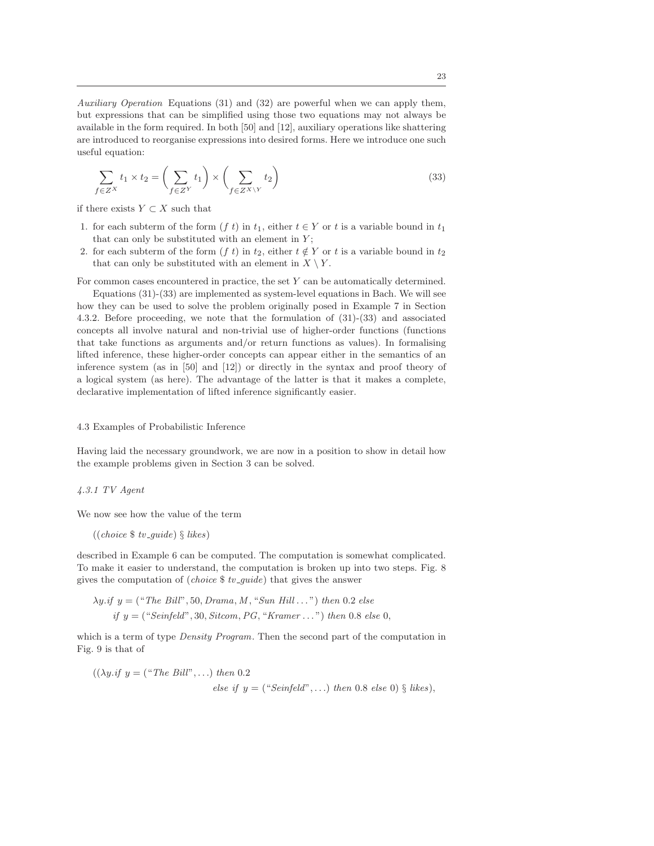Auxiliary Operation Equations (31) and (32) are powerful when we can apply them, but expressions that can be simplified using those two equations may not always be available in the form required. In both [50] and [12], auxiliary operations like shattering are introduced to reorganise expressions into desired forms. Here we introduce one such useful equation:

$$
\sum_{f \in Z^X} t_1 \times t_2 = \left(\sum_{f \in Z^Y} t_1\right) \times \left(\sum_{f \in Z^X \setminus Y} t_2\right) \tag{33}
$$

if there exists  $Y \subset X$  such that

- 1. for each subterm of the form  $(f t)$  in  $t_1$ , either  $t \in Y$  or t is a variable bound in  $t_1$ that can only be substituted with an element in  $Y$ ;
- 2. for each subterm of the form  $(f t)$  in  $t_2$ , either  $t \notin Y$  or  $t$  is a variable bound in  $t_2$ that can only be substituted with an element in  $X \setminus Y$ .

For common cases encountered in practice, the set Y can be automatically determined.

Equations (31)-(33) are implemented as system-level equations in Bach. We will see how they can be used to solve the problem originally posed in Example 7 in Section 4.3.2. Before proceeding, we note that the formulation of (31)-(33) and associated concepts all involve natural and non-trivial use of higher-order functions (functions that take functions as arguments and/or return functions as values). In formalising lifted inference, these higher-order concepts can appear either in the semantics of an inference system (as in [50] and [12]) or directly in the syntax and proof theory of a logical system (as here). The advantage of the latter is that it makes a complete, declarative implementation of lifted inference significantly easier.

#### 4.3 Examples of Probabilistic Inference

Having laid the necessary groundwork, we are now in a position to show in detail how the example problems given in Section 3 can be solved.

#### 4.3.1 TV Agent

We now see how the value of the term

 $((choice \; \$ \; tv \; -guide) \; \S \; likes)$ 

described in Example 6 can be computed. The computation is somewhat complicated. To make it easier to understand, the computation is broken up into two steps. Fig. 8 gives the computation of (*choice*  $\text{\$ }tv$ -*guide*) that gives the answer

$$
\lambda y. if \ y = ("The Bill", 50, Drama, M, "Sun Hill...") then 0.2 elseif \ y = ("Seinfeld", 30, Sitcom, PG, "Kramer...") then 0.8 else 0,
$$

which is a term of type *Density Program*. Then the second part of the computation in Fig. 9 is that of

 $((\lambda y \cdot \text{if } y = (\text{``The Bill''}, \ldots) \text{ then } 0.2)$ else if  $y =$  ("Seinfeld",...) then 0.8 else 0)  $\S$  likes),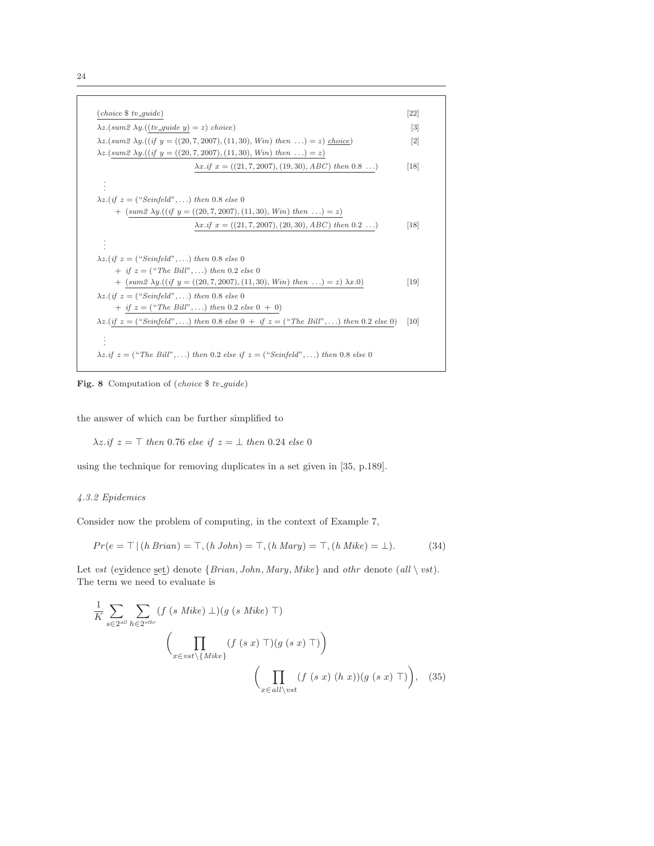24

| $(choice \; tw\_guide)$                                                                     | [22]              |
|---------------------------------------------------------------------------------------------|-------------------|
| $\lambda z. (sum2 \lambda y. ((tv\_guide y) = z) choice)$                                   | $\lceil 3 \rceil$ |
| $\lambda z. (sum2 \lambda y. ((if y = ((20, 7, 2007), (11, 30), Win) then ) = z)$ choice)   | $[2]$             |
| $\lambda z. (sum2 \lambda y. ((if y = ((20, 7, 2007), (11, 30), Win) then ) = z)$           |                   |
| $\lambda x.$ if $x = ((21, 7, 2007), (19, 30), ABC)$ then 0.8 )                             | [18]              |
|                                                                                             |                   |
| $\lambda z.(if z = ("Seinfeld",) then 0.8 else 0$                                           |                   |
| $+$ (sum2 $\lambda y. ((if \ y = ((20, 7, 2007), (11, 30), Win) then ) = z)$ )              |                   |
| $\lambda x.$ if $x = ((21, 7, 2007), (20, 30), ABC)$ then 0.2                               | [18]              |
|                                                                                             |                   |
| $\lambda z. (if z = ("Seinfeld",) then 0.8 else 0)$                                         |                   |
| $+$ if $z =$ ("The Bill",) then 0.2 else 0                                                  |                   |
| $+$ (sum2 $\lambda y. ((if \ y = ((20, 7, 2007), (11, 30), Win) then ) = z) \lambda x.0)$ ) | 19                |
| $\lambda z. (if z = ("Seinfeld",) then 0.8 else 0)$                                         |                   |
| $+ if z = ("The Bill",) then 0.2 else 0 + 0)$                                               |                   |
| $\lambda z.(if z = ("Seinfeld",) then 0.8 else 0 + if z = ("The Bill",) then 0.2 else 0)$   | [10]              |
|                                                                                             |                   |
|                                                                                             |                   |
| $\lambda z$ if $z =$ ("The Bill",) then 0.2 else if $z =$ ("Seinfeld",) then 0.8 else 0     |                   |

Fig. 8 Computation of  $(choice \; \& \; two \; dy)$ 

the answer of which can be further simplified to

 $\lambda z.$ if  $z = \top$  then 0.76 else if  $z = \bot$  then 0.24 else 0

using the technique for removing duplicates in a set given in [35, p.189].

## 4.3.2 Epidemics

Consider now the problem of computing, in the context of Example 7,

$$
Pr(e = \top | (h\, Brian) = \top, (h\,John) = \top, (h\, Mary) = \top, (h\, Mike) = \bot).
$$
 (34)

Let vst (evidence set) denote { $Brian, John, Mary, Mike$ } and othr denote (all \ vst). The term we need to evaluate is

$$
\frac{1}{K} \sum_{s \in 2^{all}} \sum_{h \in 2^{other}} (f(s \text{ Mike}) \perp)(g(s \text{ Mike}) \top)
$$
\n
$$
\left(\prod_{x \in vst \setminus \{Mike\}} (f(s \text{ x}) \top)(g(s \text{ x}) \top)\right)
$$
\n
$$
\left(\prod_{x \in all \setminus vst} (f(s \text{ x}) (h \text{ x}))(g(s \text{ x}) \top)\right), \quad (35)
$$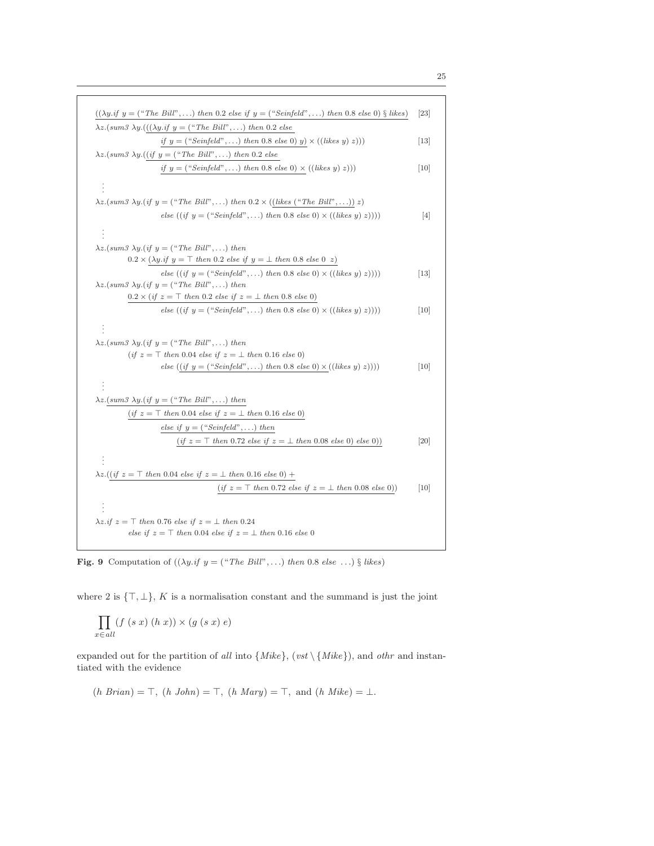| $((\lambda y \cdot if \ y = ("The Bill", \dots)) \ then \ 0.2 \ else \ if \ y = ("Seinfeld", \dots) \ then \ 0.8 \ else \ 0) \ \S \ likes)$ | $\left[23\right]$ |
|---------------------------------------------------------------------------------------------------------------------------------------------|-------------------|
| $\lambda z. (sum3 \lambda y. (((\lambda y. if y = ("The Bill",) then 0.2 else$                                                              |                   |
| if $y = ("Seinfeld",)$ then 0.8 else 0) $y) \times ((likes y) z))$                                                                          | $[13]$            |
| $\lambda z. (sum3 \; \lambda y. ((if \; y = ("The Bill", \ldots)) then \; 0.2 \; else$                                                      |                   |
| if $y = ("Seinfeld",)$ then 0.8 else 0) $\times ((likes y) z))$                                                                             | 10                |
|                                                                                                                                             |                   |
| $\lambda z. (sum3 \lambda y. (if \ y = ("The Bill",) then 0.2 \times ((likes ("The Bill",)) z)$                                             |                   |
| else ((if $y = ("Seinfeld",)$ then 0.8 else 0) $\times ((likes y) z)))$ )                                                                   |                   |
|                                                                                                                                             | $\lceil 4 \rceil$ |
|                                                                                                                                             |                   |
| $\lambda z. (sum3 \lambda y. (if y = ("The Bill",) then$                                                                                    |                   |
| $0.2 \times (\lambda y \cdot if \ y = \top \ then \ 0.2 \ else \ if \ y = \bot \ then \ 0.8 \ else \ 0 \ z)$                                |                   |
| else ((if $y = ("Seinfeld",)$ then 0.8 else 0) $\times ((likes y) z)))$ )                                                                   | $[13]$            |
| $\lambda z. (sum3 \lambda y. (if y = ("The Bill",) then$                                                                                    |                   |
| $0.2 \times (if z = \top \ then \ 0.2 \ else \ if \ z = \bot \ then \ 0.8 \ else \ 0)$                                                      |                   |
| else ((if $y = ("Seinfeld",)$ then 0.8 else 0) $\times ((likes y) z)))$ )                                                                   | 10                |
|                                                                                                                                             |                   |
| $\lambda z. (sum3 \; \lambda y. (if \; y = (``The \; Bill", \ldots)) then$                                                                  |                   |
| (if $z = \top$ then 0.04 else if $z = \bot$ then 0.16 else 0)                                                                               |                   |
| else $((if y = ("Seinfeld",) then 0.8 else 0) \times ((likes y) z))))$                                                                      | [10]              |
|                                                                                                                                             |                   |
| $\lambda z. (sum3 \lambda y. (if y = ("The Bill",) then$                                                                                    |                   |
| (if $z = \top$ then 0.04 else if $z = \bot$ then 0.16 else 0)                                                                               |                   |
| else if $y =$ ("Seinfeld",) then                                                                                                            |                   |
| $(if z = \top then 0.72 else if z = \bot then 0.08 else 0) else 0))$                                                                        | 20                |
|                                                                                                                                             |                   |
|                                                                                                                                             |                   |
| $\lambda z. ((if z = \top \ then \ 0.04 \ else \ if \ z = \bot \ then \ 0.16 \ else \ 0)$ +                                                 |                   |
| $(if z = \top then 0.72 else if z = \bot then 0.08 else 0))$                                                                                | 10                |
|                                                                                                                                             |                   |
| $\lambda z$ if $z = \top$ then 0.76 else if $z = \bot$ then 0.24                                                                            |                   |
| else if $z = \top$ then 0.04 else if $z = \bot$ then 0.16 else 0                                                                            |                   |

Fig. 9 Computation of  $((\lambda y \cdot if \ y = ("The Bill", ...) then 0.8 else ...)]$  & likes)

where 2 is  $\{\top, \bot\}$ , K is a normalisation constant and the summand is just the joint

$$
\prod_{x \in all} (f (s x) (h x)) \times (g (s x) e)
$$

expanded out for the partition of all into  $\{Mike\}$ ,  $(vst \setminus \{Mike\})$ , and othr and instantiated with the evidence

 $(h \; Brian) = \top, (h \; John) = \top, (h \; Mary) = \top, \text{ and } (h \; Mike) = \bot.$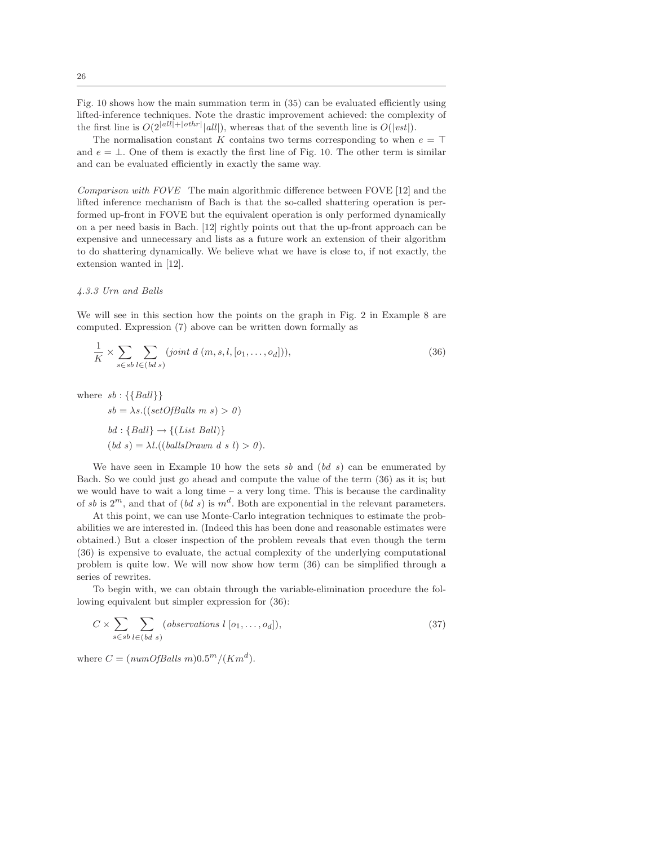Fig. 10 shows how the main summation term in (35) can be evaluated efficiently using lifted-inference techniques. Note the drastic improvement achieved: the complexity of the first line is  $O(2^{|all|\hat{}}+|^{other}||all|)$ , whereas that of the seventh line is  $O(|vst|)$ .

The normalisation constant K contains two terms corresponding to when  $e = \top$ and  $e = \perp$ . One of them is exactly the first line of Fig. 10. The other term is similar and can be evaluated efficiently in exactly the same way.

Comparison with FOVE The main algorithmic difference between FOVE [12] and the lifted inference mechanism of Bach is that the so-called shattering operation is performed up-front in FOVE but the equivalent operation is only performed dynamically on a per need basis in Bach. [12] rightly points out that the up-front approach can be expensive and unnecessary and lists as a future work an extension of their algorithm to do shattering dynamically. We believe what we have is close to, if not exactly, the extension wanted in [12].

#### 4.3.3 Urn and Balls

We will see in this section how the points on the graph in Fig. 2 in Example 8 are computed. Expression (7) above can be written down formally as

$$
\frac{1}{K} \times \sum_{s \in sb} \sum_{l \in (bd \, s)} (joint \, d \, (m, s, l, [o_1, \dots, o_d])),\tag{36}
$$

where  $sb: \{\{Ball\}\}\$ 

 $sb = \lambda s.((setOfBalls \ m \ s) > 0)$  $bd : \{Ball\} \rightarrow \{ (List\ Ball) \}$  $(bd s) = \lambda l.((ballsDraw n d s l) > 0).$ 

We have seen in Example 10 how the sets sb and  $(bd s)$  can be enumerated by Bach. So we could just go ahead and compute the value of the term (36) as it is; but we would have to wait a long time – a very long time. This is because the cardinality of sb is  $2^m$ , and that of  $(bd s)$  is  $m^d$ . Both are exponential in the relevant parameters.

At this point, we can use Monte-Carlo integration techniques to estimate the probabilities we are interested in. (Indeed this has been done and reasonable estimates were obtained.) But a closer inspection of the problem reveals that even though the term (36) is expensive to evaluate, the actual complexity of the underlying computational problem is quite low. We will now show how term (36) can be simplified through a series of rewrites.

To begin with, we can obtain through the variable-elimination procedure the following equivalent but simpler expression for (36):

$$
C \times \sum_{s \in sb} \sum_{l \in (bd \ s)} (observations \ l \ [o_1, \ldots, o_d]), \tag{37}
$$

where  $C = (numOfBalls\ m)0.5^m/(Km^d)$ .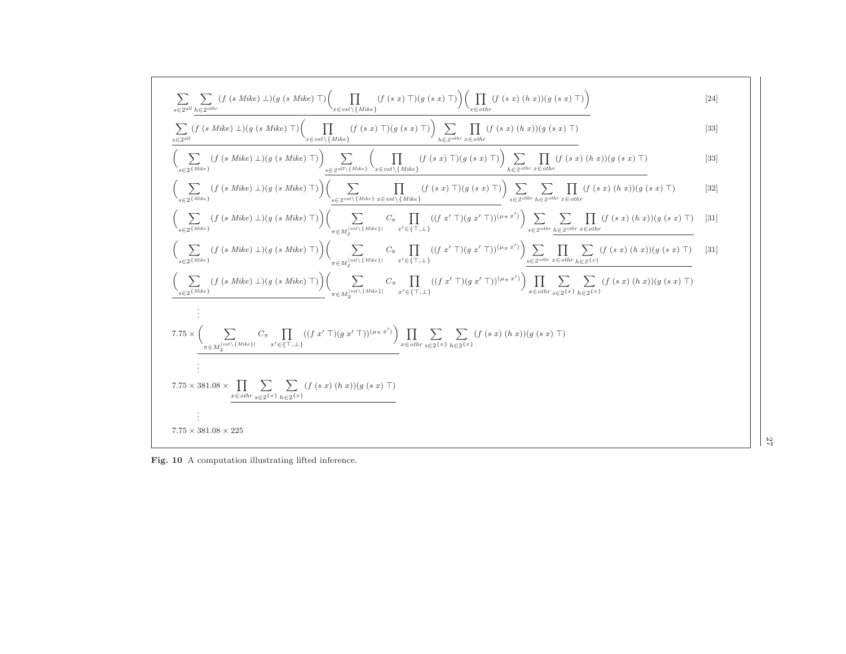

27

Fig. <sup>10</sup> <sup>A</sup> computation illustrating lifted inference.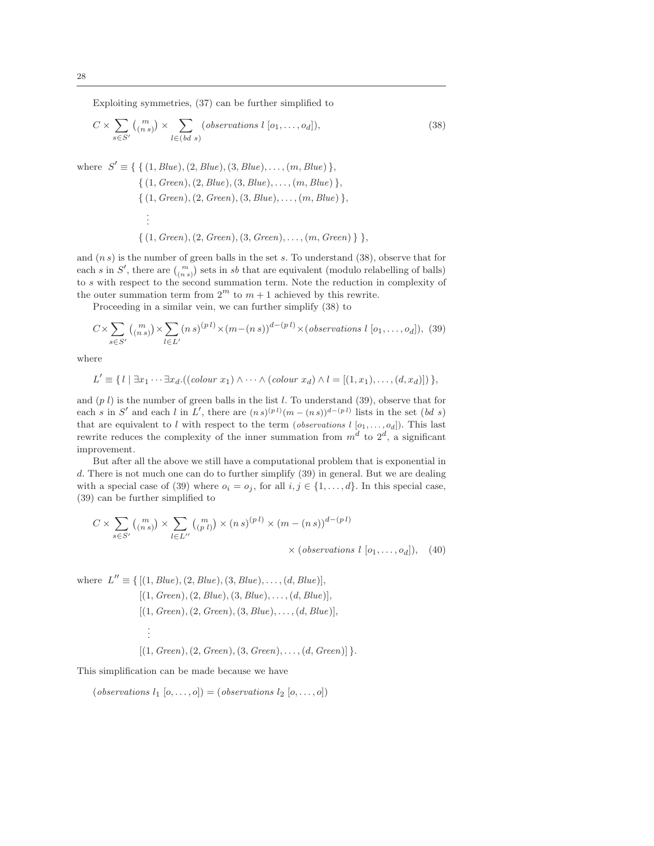Exploiting symmetries, (37) can be further simplified to

$$
C \times \sum_{s \in S'} {m \choose (ns)} \times \sum_{l \in (bd \ s)} (observations \ l \ [o_1, \ldots, o_d]), \tag{38}
$$

where 
$$
S' \equiv \{ \{ (1, Blue), (2, Blue), (3, Blue), ..., (m, Blue) \}, \{ (1, Green), (2, Blue), (3, Blue), ..., (m, Blue) \}, \{ (1, Green), (2, Green), (3, Blue), ..., (m, Blue) \}, \}
$$
  
\n
$$
\vdots
$$
\n
$$
\{ (1, Green), (2, Green), (3, Green), ..., (m, Green) \}, \}
$$

and  $(n s)$  is the number of green balls in the set s. To understand  $(38)$ , observe that for each s in S', there are  $\binom{m}{(n s)}$  sets in sb that are equivalent (modulo relabelling of balls) to s with respect to the second summation term. Note the reduction in complexity of the outer summation term from  $2^m$  to  $m + 1$  achieved by this rewrite.

Proceeding in a similar vein, we can further simplify (38) to

$$
C \times \sum_{s \in S'} \binom{m}{(ns)} \times \sum_{l \in L'} (n s)^{(pl)} \times (m - (n s))^{d - (pl)} \times (observations \ l \ [o_1, \ldots, o_d]), \ (39)
$$

where

$$
L' \equiv \{l \mid \exists x_1 \cdots \exists x_d. ((colour \; x_1) \land \cdots \land (colour \; x_d) \land l = [(1, x_1), \ldots, (d, x_d)]) \},
$$

and  $(p l)$  is the number of green balls in the list l. To understand  $(39)$ , observe that for each s in S' and each l in L', there are  $(n s)^{(p l)} (m - (n s))^{d-(p l)}$  lists in the set  $(b d s)$ that are equivalent to l with respect to the term (*observations*  $l$  [ $o_1, \ldots, o_d$ ]). This last rewrite reduces the complexity of the inner summation from  $m<sup>d</sup>$  to  $2<sup>d</sup>$ , a significant improvement.

But after all the above we still have a computational problem that is exponential in d. There is not much one can do to further simplify (39) in general. But we are dealing with a special case of (39) where  $o_i = o_j$ , for all  $i, j \in \{1, ..., d\}$ . In this special case, (39) can be further simplified to

$$
C \times \sum_{s \in S'} {m \choose (n^s)} \times \sum_{l \in L''} {m \choose (p^l)} \times (n \cdot s)^{(p^l)} \times (m - (n \cdot s))^{d - (pl)}
$$
  
 
$$
\times (observations \; l \; [o_1, \dots, o_d]), \quad (40)
$$

where 
$$
L'' \equiv \{ [(1, Blue), (2, Blue), (3, Blue), ..., (d, Blue)],
$$
  
\n $[(1, Green), (2, Blue), (3, Blue), ..., (d, Blue)],$   
\n $[(1, Green), (2, Green), (3, Blue), ..., (d, Blue)],$   
\n $\vdots$   
\n $[(1, Green), (2, Green), (3, Green), ..., (d, Green)] \}.$ 

This simplification can be made because we have

(observations  $l_1$  [ $o, \ldots, o$ ]) = (observations  $l_2$  [ $o, \ldots, o$ ])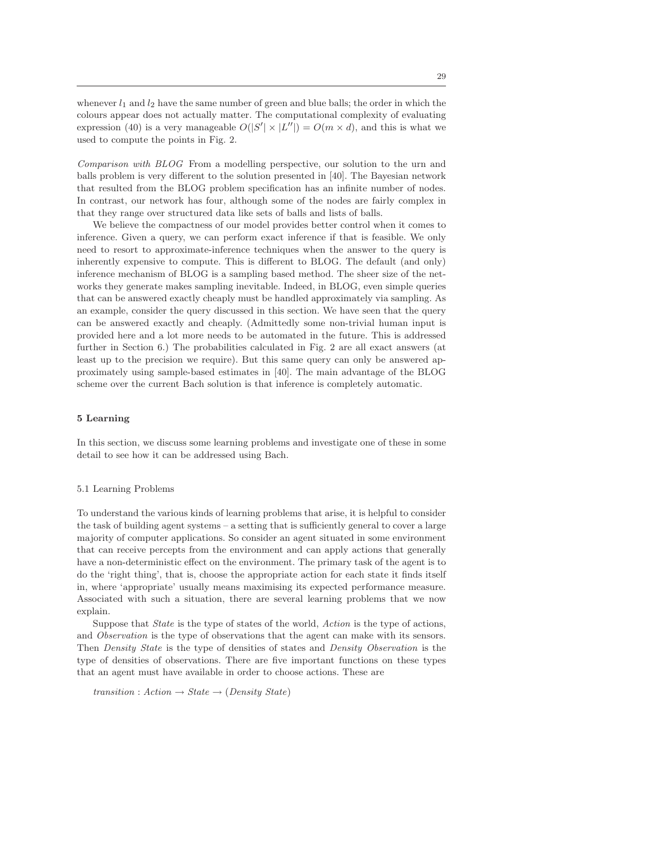whenever  $l_1$  and  $l_2$  have the same number of green and blue balls; the order in which the colours appear does not actually matter. The computational complexity of evaluating expression (40) is a very manageable  $O(|S'|\times |L''|) = O(m\times d)$ , and this is what we used to compute the points in Fig. 2.

Comparison with BLOG From a modelling perspective, our solution to the urn and balls problem is very different to the solution presented in [40]. The Bayesian network that resulted from the BLOG problem specification has an infinite number of nodes. In contrast, our network has four, although some of the nodes are fairly complex in that they range over structured data like sets of balls and lists of balls.

We believe the compactness of our model provides better control when it comes to inference. Given a query, we can perform exact inference if that is feasible. We only need to resort to approximate-inference techniques when the answer to the query is inherently expensive to compute. This is different to BLOG. The default (and only) inference mechanism of BLOG is a sampling based method. The sheer size of the networks they generate makes sampling inevitable. Indeed, in BLOG, even simple queries that can be answered exactly cheaply must be handled approximately via sampling. As an example, consider the query discussed in this section. We have seen that the query can be answered exactly and cheaply. (Admittedly some non-trivial human input is provided here and a lot more needs to be automated in the future. This is addressed further in Section 6.) The probabilities calculated in Fig. 2 are all exact answers (at least up to the precision we require). But this same query can only be answered approximately using sample-based estimates in [40]. The main advantage of the BLOG scheme over the current Bach solution is that inference is completely automatic.

#### 5 Learning

In this section, we discuss some learning problems and investigate one of these in some detail to see how it can be addressed using Bach.

#### 5.1 Learning Problems

To understand the various kinds of learning problems that arise, it is helpful to consider the task of building agent systems – a setting that is sufficiently general to cover a large majority of computer applications. So consider an agent situated in some environment that can receive percepts from the environment and can apply actions that generally have a non-deterministic effect on the environment. The primary task of the agent is to do the 'right thing', that is, choose the appropriate action for each state it finds itself in, where 'appropriate' usually means maximising its expected performance measure. Associated with such a situation, there are several learning problems that we now explain.

Suppose that State is the type of states of the world, Action is the type of actions, and Observation is the type of observations that the agent can make with its sensors. Then Density State is the type of densities of states and Density Observation is the type of densities of observations. There are five important functions on these types that an agent must have available in order to choose actions. These are

 $transition: Action \rightarrow State \rightarrow (Density State)$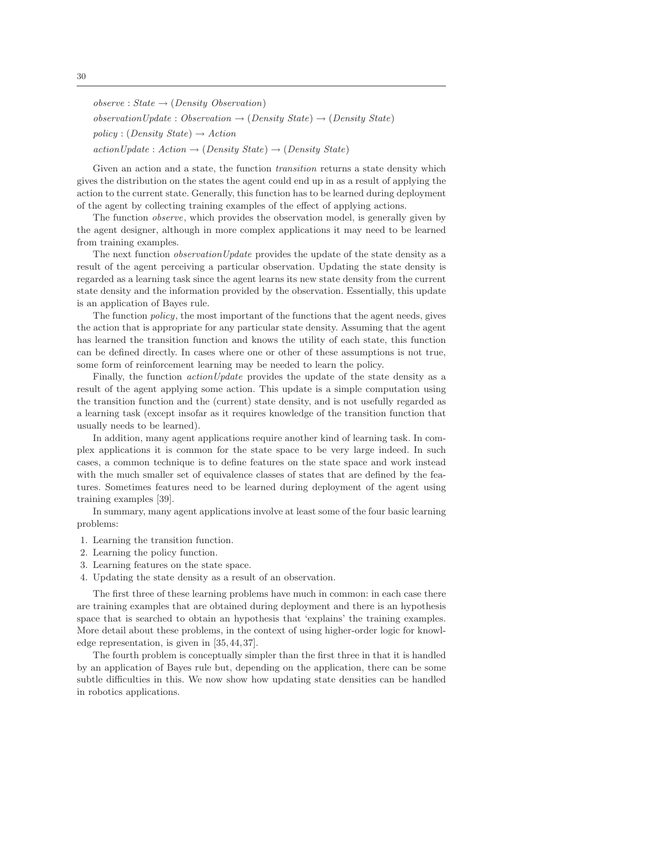$observe : State \rightarrow (Density\ Observation)$  $observationUpdate: Observation \rightarrow (Density State) \rightarrow (Density State)$  $policy: (Density State) \rightarrow Action$  $actionUpdate : Action \rightarrow (Density State) \rightarrow (Density State)$ 

Given an action and a state, the function transition returns a state density which gives the distribution on the states the agent could end up in as a result of applying the action to the current state. Generally, this function has to be learned during deployment of the agent by collecting training examples of the effect of applying actions.

The function observe, which provides the observation model, is generally given by the agent designer, although in more complex applications it may need to be learned from training examples.

The next function *observation Update* provides the update of the state density as a result of the agent perceiving a particular observation. Updating the state density is regarded as a learning task since the agent learns its new state density from the current state density and the information provided by the observation. Essentially, this update is an application of Bayes rule.

The function *policy*, the most important of the functions that the agent needs, gives the action that is appropriate for any particular state density. Assuming that the agent has learned the transition function and knows the utility of each state, this function can be defined directly. In cases where one or other of these assumptions is not true, some form of reinforcement learning may be needed to learn the policy.

Finally, the function *action Update* provides the update of the state density as a result of the agent applying some action. This update is a simple computation using the transition function and the (current) state density, and is not usefully regarded as a learning task (except insofar as it requires knowledge of the transition function that usually needs to be learned).

In addition, many agent applications require another kind of learning task. In complex applications it is common for the state space to be very large indeed. In such cases, a common technique is to define features on the state space and work instead with the much smaller set of equivalence classes of states that are defined by the features. Sometimes features need to be learned during deployment of the agent using training examples [39].

In summary, many agent applications involve at least some of the four basic learning problems:

- 1. Learning the transition function.
- 2. Learning the policy function.
- 3. Learning features on the state space.
- 4. Updating the state density as a result of an observation.

The first three of these learning problems have much in common: in each case there are training examples that are obtained during deployment and there is an hypothesis space that is searched to obtain an hypothesis that 'explains' the training examples. More detail about these problems, in the context of using higher-order logic for knowledge representation, is given in [35,44,37].

The fourth problem is conceptually simpler than the first three in that it is handled by an application of Bayes rule but, depending on the application, there can be some subtle difficulties in this. We now show how updating state densities can be handled in robotics applications.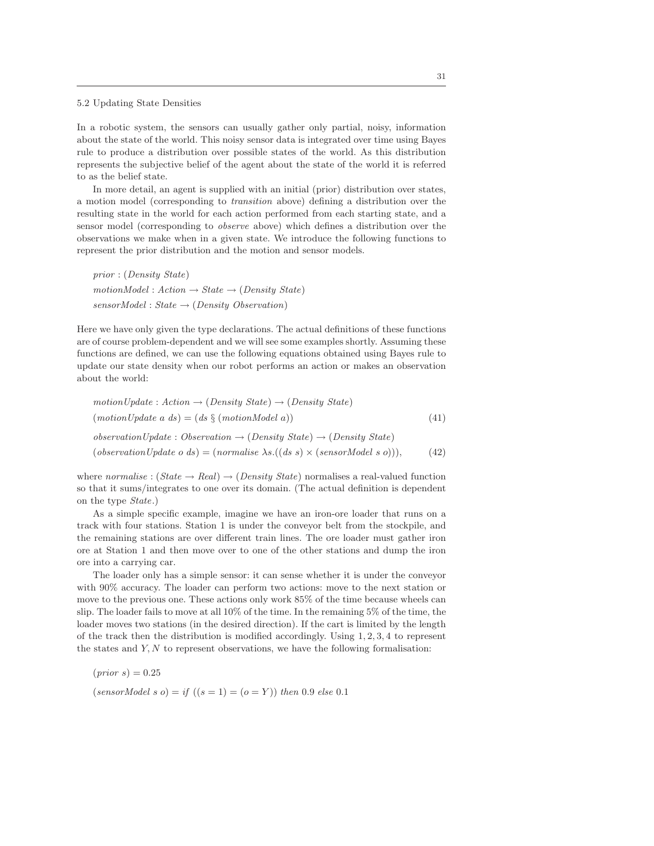#### 5.2 Updating State Densities

In a robotic system, the sensors can usually gather only partial, noisy, information about the state of the world. This noisy sensor data is integrated over time using Bayes rule to produce a distribution over possible states of the world. As this distribution represents the subjective belief of the agent about the state of the world it is referred to as the belief state.

In more detail, an agent is supplied with an initial (prior) distribution over states, a motion model (corresponding to transition above) defining a distribution over the resulting state in the world for each action performed from each starting state, and a sensor model (corresponding to observe above) which defines a distribution over the observations we make when in a given state. We introduce the following functions to represent the prior distribution and the motion and sensor models.

```
prior : (Density State)
motion Model: Action \rightarrow State \rightarrow (Density State)sensorModel : State \rightarrow (Density\ Observation)
```
Here we have only given the type declarations. The actual definitions of these functions are of course problem-dependent and we will see some examples shortly. Assuming these functions are defined, we can use the following equations obtained using Bayes rule to update our state density when our robot performs an action or makes an observation about the world:

$$
motionUpdate : Action \rightarrow (Density State) \rightarrow (Density State)
$$
  
(motionUpdate a ds) = (ds § (motionModel a)) \t(41)  
observationUpdate : Observation \rightarrow (Density State) \rightarrow (Density State)  
(observationUpdate o ds) = (normalise  $\lambda s.(ds s) \times (sensorModel s o))$ ), \t(42)

where normalise :  $(State \rightarrow Real) \rightarrow (Density State)$  normalises a real-valued function so that it sums/integrates to one over its domain. (The actual definition is dependent on the type State.)

As a simple specific example, imagine we have an iron-ore loader that runs on a track with four stations. Station 1 is under the conveyor belt from the stockpile, and the remaining stations are over different train lines. The ore loader must gather iron ore at Station 1 and then move over to one of the other stations and dump the iron ore into a carrying car.

The loader only has a simple sensor: it can sense whether it is under the conveyor with 90% accuracy. The loader can perform two actions: move to the next station or move to the previous one. These actions only work 85% of the time because wheels can slip. The loader fails to move at all 10% of the time. In the remaining 5% of the time, the loader moves two stations (in the desired direction). If the cart is limited by the length of the track then the distribution is modified accordingly. Using 1, 2, 3, 4 to represent the states and  $Y, N$  to represent observations, we have the following formalisation:

 $(prior s) = 0.25$  $(sensorModel \ s \ o) = if \ ((s = 1) = (o = Y)) \ then \ 0.9 \ else \ 0.1$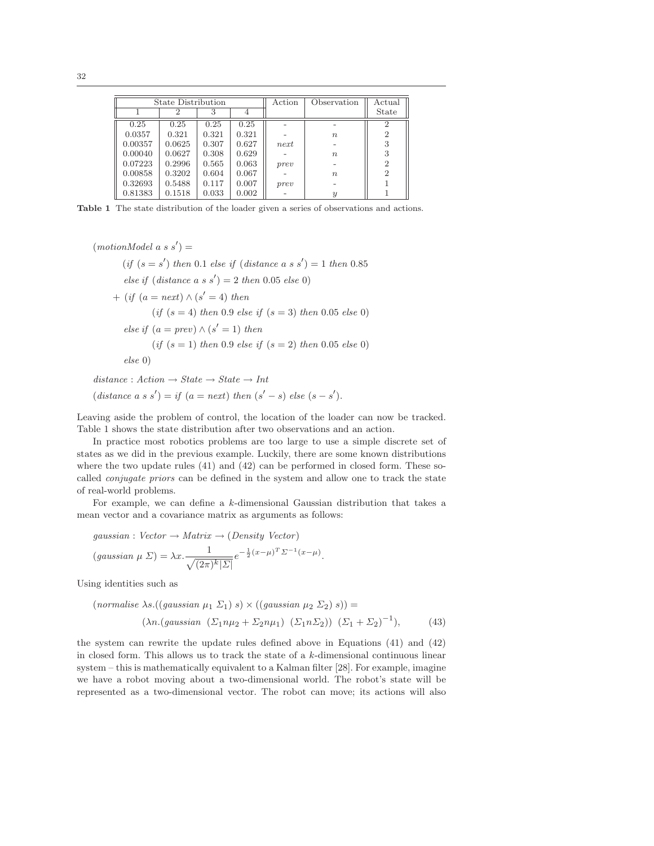| <b>State Distribution</b> |        |       | Action | Observation | Actual           |                |
|---------------------------|--------|-------|--------|-------------|------------------|----------------|
|                           | 2      |       |        |             |                  | State          |
| 0.25                      | 0.25   | 0.25  | 0.25   |             |                  | 2              |
| 0.0357                    | 0.321  | 0.321 | 0.321  |             | $\eta$           | $\overline{2}$ |
| 0.00357                   | 0.0625 | 0.307 | 0.627  | next        |                  | 3              |
| 0.00040                   | 0.0627 | 0.308 | 0.629  |             | $\eta$           | 3              |
| 0.07223                   | 0.2996 | 0.565 | 0.063  | prev        |                  | 2              |
| 0.00858                   | 0.3202 | 0.604 | 0.067  |             | $\eta$           | $\overline{2}$ |
| 0.32693                   | 0.5488 | 0.117 | 0.007  | prev        |                  |                |
| 0.81383                   | 0.1518 | 0.033 | 0.002  |             | $\boldsymbol{y}$ |                |

Table 1 The state distribution of the loader given a series of observations and actions.

 $(motionModel\ a\ s\ s') =$  $(if (s = s')$  then 0.1 else if  $(distance a s s') = 1$  then 0.85 else if  $(distance \ a \ s \ s') = 2 \ then \ 0.05 \ else \ 0)$  $+$  (if  $(a = next) \wedge (s' = 4)$  then (if  $(s = 4)$  then 0.9 else if  $(s = 3)$  then 0.05 else 0) else if  $(a = prev) \wedge (s' = 1)$  then (if  $(s = 1)$  then 0.9 else if  $(s = 2)$  then 0.05 else 0) else 0)

distance: Action 
$$
\rightarrow
$$
 State  $\rightarrow$  State  $\rightarrow$  Int  
(distance a s s') = if (a = next) then (s' - s) else (s - s').

Leaving aside the problem of control, the location of the loader can now be tracked. Table 1 shows the state distribution after two observations and an action.

In practice most robotics problems are too large to use a simple discrete set of states as we did in the previous example. Luckily, there are some known distributions where the two update rules (41) and (42) can be performed in closed form. These socalled conjugate priors can be defined in the system and allow one to track the state of real-world problems.

For example, we can define a k-dimensional Gaussian distribution that takes a mean vector and a covariance matrix as arguments as follows:

$$
gaussian: Vector \rightarrow Matrix \rightarrow (Density \ Vector)
$$

$$
(gaussian \mu \Sigma) = \lambda x. \frac{1}{\sqrt{(2\pi)^k |\Sigma|}} e^{-\frac{1}{2}(x-\mu)^T \Sigma^{-1} (x-\mu)}.
$$

Using identities such as

(*normalise* 
$$
\lambda s.((gaussian \mu_1 \Sigma_1) s) \times ((gaussian \mu_2 \Sigma_2) s)) =
$$
  
\n( $\lambda n.(\text{gaussian } (\Sigma_1 n \mu_2 + \Sigma_2 n \mu_1) (\Sigma_1 n \Sigma_2)) (\Sigma_1 + \Sigma_2)^{-1}),$  (43)

the system can rewrite the update rules defined above in Equations (41) and (42) in closed form. This allows us to track the state of a k-dimensional continuous linear system – this is mathematically equivalent to a Kalman filter [28]. For example, imagine we have a robot moving about a two-dimensional world. The robot's state will be represented as a two-dimensional vector. The robot can move; its actions will also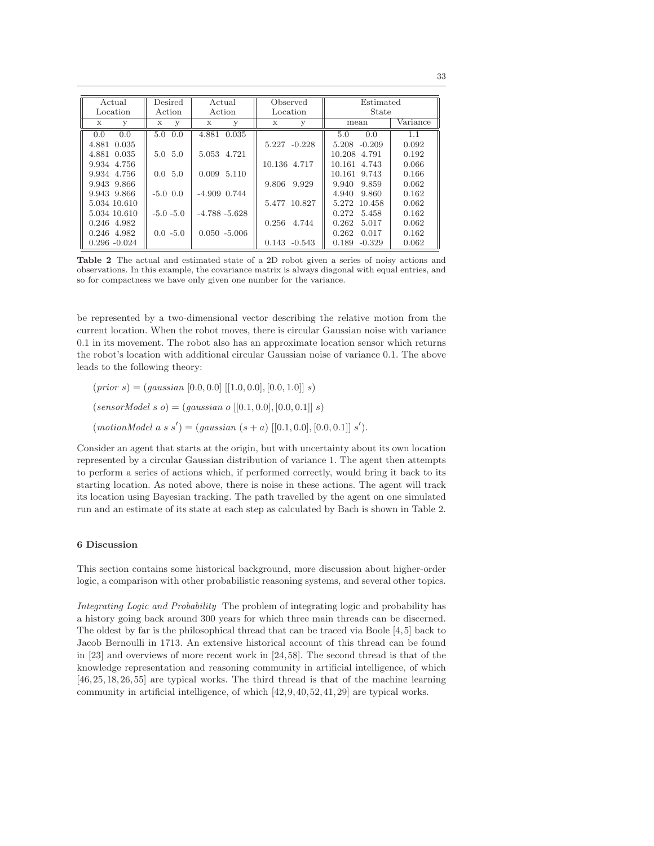| Actual          | Desired        | Actual            | Observed          | Estimated         |          |
|-----------------|----------------|-------------------|-------------------|-------------------|----------|
| Location        | Action         | Action            | Location          | State             |          |
| X<br>У          | X<br>y         | $\mathbf{x}$<br>у | X<br>у            | mean              | Variance |
| 0.0<br>0.0      | $5.0 \ \ 0.0$  | 0.035<br>4.881    |                   | 0.0<br>5.0        | 1.1      |
| 4.881 0.035     |                |                   | 5.227 -0.228      | 5.208<br>$-0.209$ | 0.092    |
| 4.881 0.035     | 5.0 5.0        | 5.053 4.721       |                   | 10.208 4.791      | 0.192    |
| 9.934 4.756     |                |                   | 10.136 4.717      | 10.161 4.743      | 0.066    |
| 9.934 4.756     | $0.0\ 5.0$     | $0.009$ 5.110     |                   | 10.161 9.743      | 0.166    |
| 9.943 9.866     |                |                   | 9.929<br>9.806    | 9.859<br>9.940    | 0.062    |
| 9.943 9.866     | $-5.0 \ \ 0.0$ | $-4.909$ 0.744    |                   | 4.940<br>9.860    | 0.162    |
| 5.034 10.610    |                |                   | 5.477 10.827      | 5.272 10.458      | 0.062    |
| 5.034 10.610    | $-5.0 - 5.0$   | $-4.788 - 5.628$  |                   | 0.272<br>5.458    | 0.162    |
| 0.246 4.982     |                |                   | 0.256<br>4.744    | 0.262<br>5.017    | 0.062    |
| 0.246 4.982     | $0.0 - 5.0$    | $0.050 - 5.006$   |                   | 0.262<br>0.017    | 0.162    |
| $0.296 - 0.024$ |                |                   | 0.143<br>$-0.543$ | 0.189<br>$-0.329$ | 0.062    |

Table 2 The actual and estimated state of a 2D robot given a series of noisy actions and observations. In this example, the covariance matrix is always diagonal with equal entries, and so for compactness we have only given one number for the variance.

be represented by a two-dimensional vector describing the relative motion from the current location. When the robot moves, there is circular Gaussian noise with variance 0.1 in its movement. The robot also has an approximate location sensor which returns the robot's location with additional circular Gaussian noise of variance 0.1. The above leads to the following theory:

 $(prior s) = (gaussian [0.0, 0.0] [[1.0, 0.0], [0.0, 1.0]] s)$  $(sensorModel \ s \ o) = (gaussian \ o \ [[0.1, 0.0], [0.0, 0.1]] \ s)$  $(motionModel a s s') = (gaussian (s + a) [[0.1, 0.0], [0.0, 0.1]] s').$ 

Consider an agent that starts at the origin, but with uncertainty about its own location represented by a circular Gaussian distribution of variance 1. The agent then attempts to perform a series of actions which, if performed correctly, would bring it back to its starting location. As noted above, there is noise in these actions. The agent will track its location using Bayesian tracking. The path travelled by the agent on one simulated run and an estimate of its state at each step as calculated by Bach is shown in Table 2.

## 6 Discussion

This section contains some historical background, more discussion about higher-order logic, a comparison with other probabilistic reasoning systems, and several other topics.

Integrating Logic and Probability The problem of integrating logic and probability has a history going back around 300 years for which three main threads can be discerned. The oldest by far is the philosophical thread that can be traced via Boole [4,5] back to Jacob Bernoulli in 1713. An extensive historical account of this thread can be found in [23] and overviews of more recent work in [24,58]. The second thread is that of the knowledge representation and reasoning community in artificial intelligence, of which [46,25,18,26,55] are typical works. The third thread is that of the machine learning community in artificial intelligence, of which [42,9,40,52,41,29] are typical works.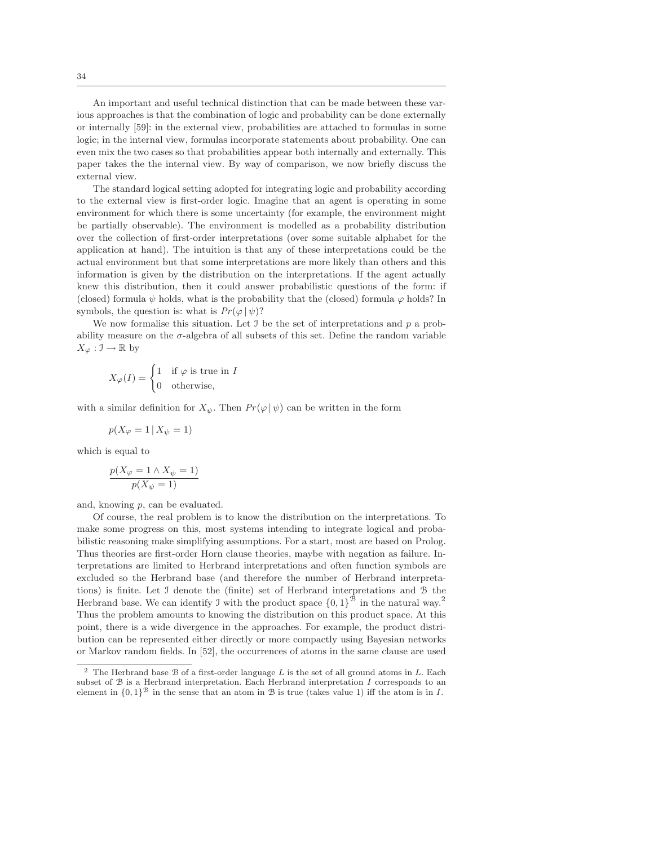An important and useful technical distinction that can be made between these various approaches is that the combination of logic and probability can be done externally or internally [59]: in the external view, probabilities are attached to formulas in some logic; in the internal view, formulas incorporate statements about probability. One can even mix the two cases so that probabilities appear both internally and externally. This paper takes the the internal view. By way of comparison, we now briefly discuss the external view.

The standard logical setting adopted for integrating logic and probability according to the external view is first-order logic. Imagine that an agent is operating in some environment for which there is some uncertainty (for example, the environment might be partially observable). The environment is modelled as a probability distribution over the collection of first-order interpretations (over some suitable alphabet for the application at hand). The intuition is that any of these interpretations could be the actual environment but that some interpretations are more likely than others and this information is given by the distribution on the interpretations. If the agent actually knew this distribution, then it could answer probabilistic questions of the form: if (closed) formula  $\psi$  holds, what is the probability that the (closed) formula  $\varphi$  holds? In symbols, the question is: what is  $Pr(\varphi | \psi)$ ?

We now formalise this situation. Let  $\mathcal I$  be the set of interpretations and  $p$  a probability measure on the  $\sigma$ -algebra of all subsets of this set. Define the random variable  $X_{\varphi}: \mathcal{I} \to \mathbb{R}$  by

$$
X_{\varphi}(I) = \begin{cases} 1 & \text{if } \varphi \text{ is true in } I \\ 0 & \text{otherwise,} \end{cases}
$$

with a similar definition for  $X_{\psi}$ . Then  $Pr(\varphi | \psi)$  can be written in the form

$$
p(X_{\varphi} = 1 \,|\, X_{\psi} = 1)
$$

which is equal to

$$
\frac{p(X_{\varphi} = 1 \land X_{\psi} = 1)}{p(X_{\psi} = 1)}
$$

and, knowing p, can be evaluated.

Of course, the real problem is to know the distribution on the interpretations. To make some progress on this, most systems intending to integrate logical and probabilistic reasoning make simplifying assumptions. For a start, most are based on Prolog. Thus theories are first-order Horn clause theories, maybe with negation as failure. Interpretations are limited to Herbrand interpretations and often function symbols are excluded so the Herbrand base (and therefore the number of Herbrand interpretations) is finite. Let I denote the (finite) set of Herbrand interpretations and B the Herbrand base. We can identify J with the product space  ${0,1}^{\hat{\mathcal{B}}}$  in the natural way.<sup>2</sup> Thus the problem amounts to knowing the distribution on this product space. At this point, there is a wide divergence in the approaches. For example, the product distribution can be represented either directly or more compactly using Bayesian networks or Markov random fields. In [52], the occurrences of atoms in the same clause are used

<sup>&</sup>lt;sup>2</sup> The Herbrand base  $B$  of a first-order language  $L$  is the set of all ground atoms in  $L$ . Each subset of  $\mathcal B$  is a Herbrand interpretation. Each Herbrand interpretation  $I$  corresponds to an element in  $\{0,1\}^{\mathcal{B}}$  in the sense that an atom in B is true (takes value 1) iff the atom is in I.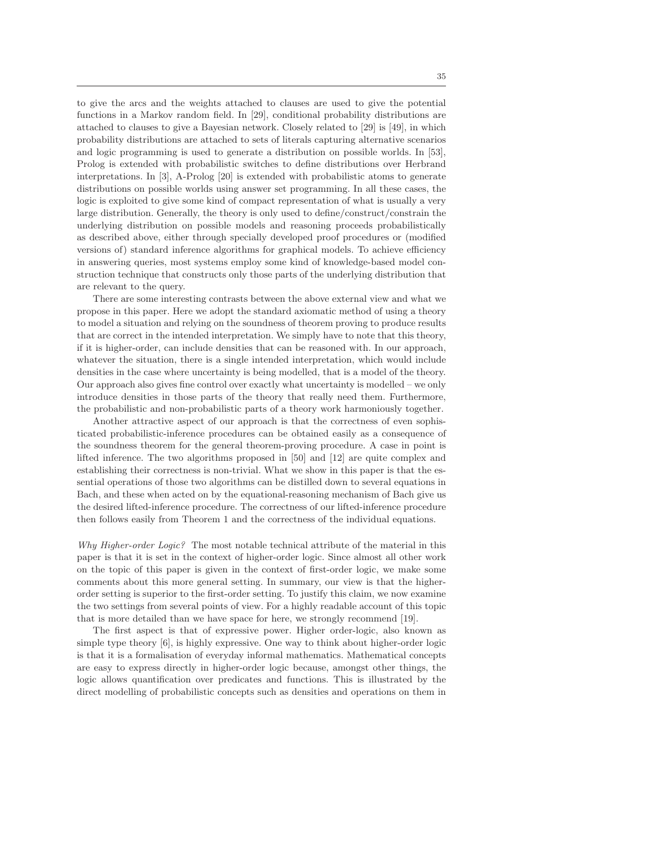to give the arcs and the weights attached to clauses are used to give the potential functions in a Markov random field. In [29], conditional probability distributions are attached to clauses to give a Bayesian network. Closely related to [29] is [49], in which probability distributions are attached to sets of literals capturing alternative scenarios and logic programming is used to generate a distribution on possible worlds. In [53], Prolog is extended with probabilistic switches to define distributions over Herbrand interpretations. In [3], A-Prolog [20] is extended with probabilistic atoms to generate distributions on possible worlds using answer set programming. In all these cases, the logic is exploited to give some kind of compact representation of what is usually a very large distribution. Generally, the theory is only used to define/construct/constrain the underlying distribution on possible models and reasoning proceeds probabilistically as described above, either through specially developed proof procedures or (modified versions of) standard inference algorithms for graphical models. To achieve efficiency in answering queries, most systems employ some kind of knowledge-based model construction technique that constructs only those parts of the underlying distribution that are relevant to the query.

There are some interesting contrasts between the above external view and what we propose in this paper. Here we adopt the standard axiomatic method of using a theory to model a situation and relying on the soundness of theorem proving to produce results that are correct in the intended interpretation. We simply have to note that this theory, if it is higher-order, can include densities that can be reasoned with. In our approach, whatever the situation, there is a single intended interpretation, which would include densities in the case where uncertainty is being modelled, that is a model of the theory. Our approach also gives fine control over exactly what uncertainty is modelled – we only introduce densities in those parts of the theory that really need them. Furthermore, the probabilistic and non-probabilistic parts of a theory work harmoniously together.

Another attractive aspect of our approach is that the correctness of even sophisticated probabilistic-inference procedures can be obtained easily as a consequence of the soundness theorem for the general theorem-proving procedure. A case in point is lifted inference. The two algorithms proposed in [50] and [12] are quite complex and establishing their correctness is non-trivial. What we show in this paper is that the essential operations of those two algorithms can be distilled down to several equations in Bach, and these when acted on by the equational-reasoning mechanism of Bach give us the desired lifted-inference procedure. The correctness of our lifted-inference procedure then follows easily from Theorem 1 and the correctness of the individual equations.

Why Higher-order Logic? The most notable technical attribute of the material in this paper is that it is set in the context of higher-order logic. Since almost all other work on the topic of this paper is given in the context of first-order logic, we make some comments about this more general setting. In summary, our view is that the higherorder setting is superior to the first-order setting. To justify this claim, we now examine the two settings from several points of view. For a highly readable account of this topic that is more detailed than we have space for here, we strongly recommend [19].

The first aspect is that of expressive power. Higher order-logic, also known as simple type theory [6], is highly expressive. One way to think about higher-order logic is that it is a formalisation of everyday informal mathematics. Mathematical concepts are easy to express directly in higher-order logic because, amongst other things, the logic allows quantification over predicates and functions. This is illustrated by the direct modelling of probabilistic concepts such as densities and operations on them in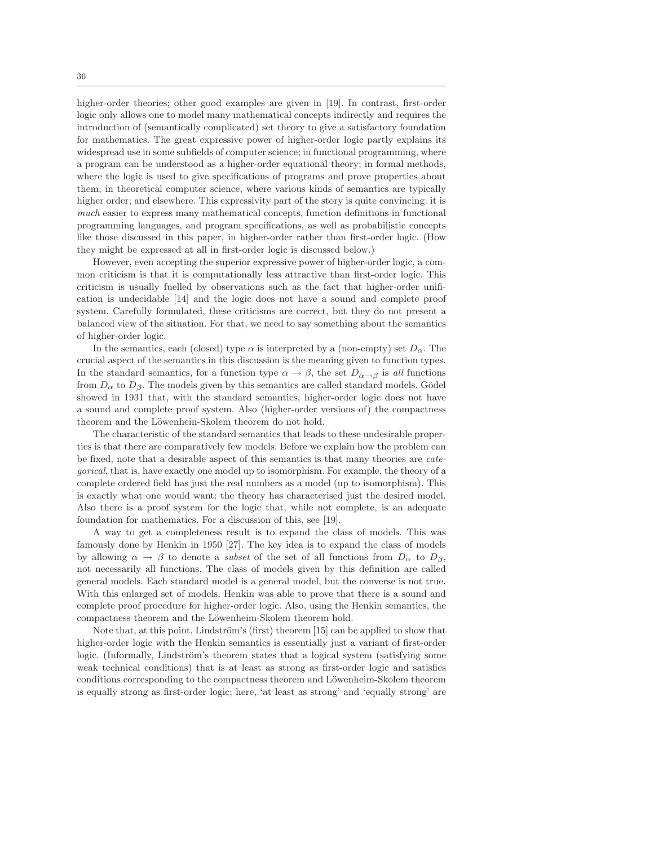higher-order theories; other good examples are given in [19]. In contrast, first-order logic only allows one to model many mathematical concepts indirectly and requires the introduction of (semantically complicated) set theory to give a satisfactory foundation for mathematics. The great expressive power of higher-order logic partly explains its widespread use in some subfields of computer science; in functional programming, where a program can be understood as a higher-order equational theory; in formal methods, where the logic is used to give specifications of programs and prove properties about them; in theoretical computer science, where various kinds of semantics are typically higher order; and elsewhere. This expressivity part of the story is quite convincing: it is much easier to express many mathematical concepts, function definitions in functional programming languages, and program specifications, as well as probabilistic concepts like those discussed in this paper, in higher-order rather than first-order logic. (How they might be expressed at all in first-order logic is discussed below.)

However, even accepting the superior expressive power of higher-order logic, a common criticism is that it is computationally less attractive than first-order logic. This criticism is usually fuelled by observations such as the fact that higher-order unification is undecidable [14] and the logic does not have a sound and complete proof system. Carefully formulated, these criticisms are correct, but they do not present a balanced view of the situation. For that, we need to say something about the semantics of higher-order logic.

In the semantics, each (closed) type  $\alpha$  is interpreted by a (non-empty) set  $D_{\alpha}$ . The crucial aspect of the semantics in this discussion is the meaning given to function types. In the standard semantics, for a function type  $\alpha \to \beta$ , the set  $D_{\alpha \to \beta}$  is all functions from  $D_{\alpha}$  to  $D_{\beta}$ . The models given by this semantics are called standard models. Gödel showed in 1931 that, with the standard semantics, higher-order logic does not have a sound and complete proof system. Also (higher-order versions of) the compactness theorem and the Löwenhein-Skolem theorem do not hold.

The characteristic of the standard semantics that leads to these undesirable properties is that there are comparatively few models. Before we explain how the problem can be fixed, note that a desirable aspect of this semantics is that many theories are categorical, that is, have exactly one model up to isomorphism. For example, the theory of a complete ordered field has just the real numbers as a model (up to isomorphism). This is exactly what one would want: the theory has characterised just the desired model. Also there is a proof system for the logic that, while not complete, is an adequate foundation for mathematics. For a discussion of this, see [19].

A way to get a completeness result is to expand the class of models. This was famously done by Henkin in 1950 [27]. The key idea is to expand the class of models by allowing  $\alpha \to \beta$  to denote a *subset* of the set of all functions from  $D_{\alpha}$  to  $D_{\beta}$ , not necessarily all functions. The class of models given by this definition are called general models. Each standard model is a general model, but the converse is not true. With this enlarged set of models, Henkin was able to prove that there is a sound and complete proof procedure for higher-order logic. Also, using the Henkin semantics, the compactness theorem and the Löwenheim-Skolem theorem hold.

Note that, at this point, Lindström's (first) theorem  $[15]$  can be applied to show that higher-order logic with the Henkin semantics is essentially just a variant of first-order logic. (Informally, Lindström's theorem states that a logical system (satisfying some weak technical conditions) that is at least as strong as first-order logic and satisfies conditions corresponding to the compactness theorem and Löwenheim-Skolem theorem is equally strong as first-order logic; here, 'at least as strong' and 'equally strong' are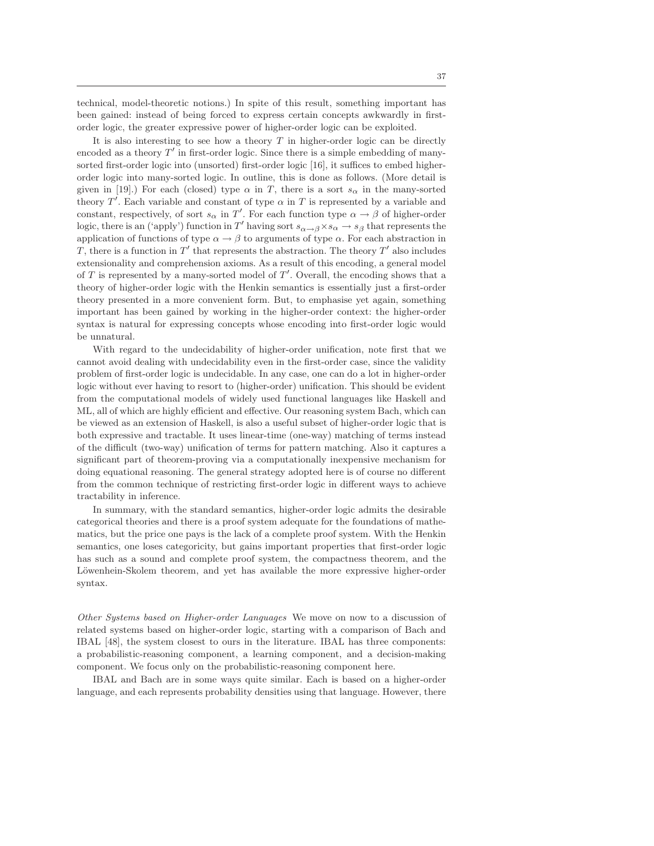technical, model-theoretic notions.) In spite of this result, something important has been gained: instead of being forced to express certain concepts awkwardly in firstorder logic, the greater expressive power of higher-order logic can be exploited.

It is also interesting to see how a theory  $T$  in higher-order logic can be directly encoded as a theory  $T'$  in first-order logic. Since there is a simple embedding of manysorted first-order logic into (unsorted) first-order logic [16], it suffices to embed higherorder logic into many-sorted logic. In outline, this is done as follows. (More detail is given in [19].) For each (closed) type  $\alpha$  in T, there is a sort  $s_{\alpha}$  in the many-sorted theory  $T'$ . Each variable and constant of type  $\alpha$  in T is represented by a variable and constant, respectively, of sort  $s_{\alpha}$  in T'. For each function type  $\alpha \to \beta$  of higher-order logic, there is an ('apply') function in T' having sort  $s_{\alpha\to\beta}\times s_\alpha \to s_\beta$  that represents the application of functions of type  $\alpha \rightarrow \beta$  to arguments of type  $\alpha$ . For each abstraction in T, there is a function in  $T'$  that represents the abstraction. The theory  $T'$  also includes extensionality and comprehension axioms. As a result of this encoding, a general model of  $T$  is represented by a many-sorted model of  $T'$ . Overall, the encoding shows that a theory of higher-order logic with the Henkin semantics is essentially just a first-order theory presented in a more convenient form. But, to emphasise yet again, something important has been gained by working in the higher-order context: the higher-order syntax is natural for expressing concepts whose encoding into first-order logic would be unnatural.

With regard to the undecidability of higher-order unification, note first that we cannot avoid dealing with undecidability even in the first-order case, since the validity problem of first-order logic is undecidable. In any case, one can do a lot in higher-order logic without ever having to resort to (higher-order) unification. This should be evident from the computational models of widely used functional languages like Haskell and ML, all of which are highly efficient and effective. Our reasoning system Bach, which can be viewed as an extension of Haskell, is also a useful subset of higher-order logic that is both expressive and tractable. It uses linear-time (one-way) matching of terms instead of the difficult (two-way) unification of terms for pattern matching. Also it captures a significant part of theorem-proving via a computationally inexpensive mechanism for doing equational reasoning. The general strategy adopted here is of course no different from the common technique of restricting first-order logic in different ways to achieve tractability in inference.

In summary, with the standard semantics, higher-order logic admits the desirable categorical theories and there is a proof system adequate for the foundations of mathematics, but the price one pays is the lack of a complete proof system. With the Henkin semantics, one loses categoricity, but gains important properties that first-order logic has such as a sound and complete proof system, the compactness theorem, and the Löwenhein-Skolem theorem, and yet has available the more expressive higher-order syntax.

Other Systems based on Higher-order Languages We move on now to a discussion of related systems based on higher-order logic, starting with a comparison of Bach and IBAL [48], the system closest to ours in the literature. IBAL has three components: a probabilistic-reasoning component, a learning component, and a decision-making component. We focus only on the probabilistic-reasoning component here.

IBAL and Bach are in some ways quite similar. Each is based on a higher-order language, and each represents probability densities using that language. However, there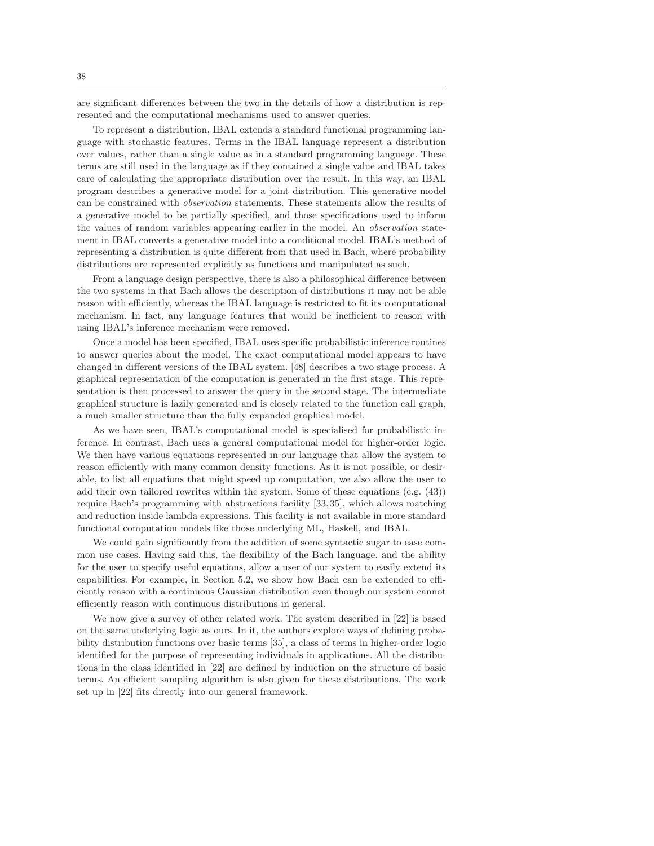are significant differences between the two in the details of how a distribution is represented and the computational mechanisms used to answer queries.

To represent a distribution, IBAL extends a standard functional programming language with stochastic features. Terms in the IBAL language represent a distribution over values, rather than a single value as in a standard programming language. These terms are still used in the language as if they contained a single value and IBAL takes care of calculating the appropriate distribution over the result. In this way, an IBAL program describes a generative model for a joint distribution. This generative model can be constrained with observation statements. These statements allow the results of a generative model to be partially specified, and those specifications used to inform the values of random variables appearing earlier in the model. An observation statement in IBAL converts a generative model into a conditional model. IBAL's method of representing a distribution is quite different from that used in Bach, where probability distributions are represented explicitly as functions and manipulated as such.

From a language design perspective, there is also a philosophical difference between the two systems in that Bach allows the description of distributions it may not be able reason with efficiently, whereas the IBAL language is restricted to fit its computational mechanism. In fact, any language features that would be inefficient to reason with using IBAL's inference mechanism were removed.

Once a model has been specified, IBAL uses specific probabilistic inference routines to answer queries about the model. The exact computational model appears to have changed in different versions of the IBAL system. [48] describes a two stage process. A graphical representation of the computation is generated in the first stage. This representation is then processed to answer the query in the second stage. The intermediate graphical structure is lazily generated and is closely related to the function call graph, a much smaller structure than the fully expanded graphical model.

As we have seen, IBAL's computational model is specialised for probabilistic inference. In contrast, Bach uses a general computational model for higher-order logic. We then have various equations represented in our language that allow the system to reason efficiently with many common density functions. As it is not possible, or desirable, to list all equations that might speed up computation, we also allow the user to add their own tailored rewrites within the system. Some of these equations (e.g. (43)) require Bach's programming with abstractions facility [33,35], which allows matching and reduction inside lambda expressions. This facility is not available in more standard functional computation models like those underlying ML, Haskell, and IBAL.

We could gain significantly from the addition of some syntactic sugar to ease common use cases. Having said this, the flexibility of the Bach language, and the ability for the user to specify useful equations, allow a user of our system to easily extend its capabilities. For example, in Section 5.2, we show how Bach can be extended to efficiently reason with a continuous Gaussian distribution even though our system cannot efficiently reason with continuous distributions in general.

We now give a survey of other related work. The system described in [22] is based on the same underlying logic as ours. In it, the authors explore ways of defining probability distribution functions over basic terms [35], a class of terms in higher-order logic identified for the purpose of representing individuals in applications. All the distributions in the class identified in [22] are defined by induction on the structure of basic terms. An efficient sampling algorithm is also given for these distributions. The work set up in [22] fits directly into our general framework.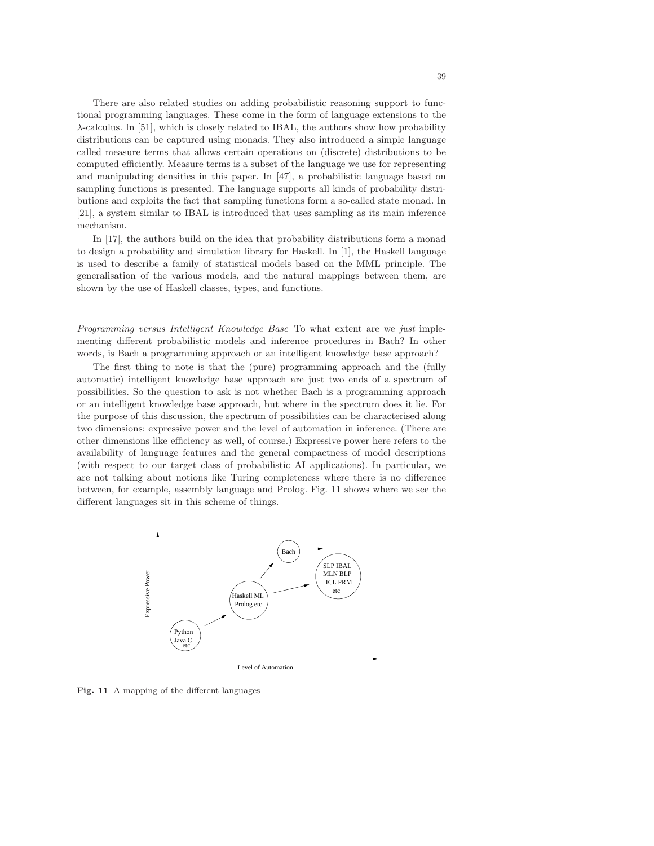There are also related studies on adding probabilistic reasoning support to functional programming languages. These come in the form of language extensions to the  $\lambda$ -calculus. In [51], which is closely related to IBAL, the authors show how probability distributions can be captured using monads. They also introduced a simple language called measure terms that allows certain operations on (discrete) distributions to be computed efficiently. Measure terms is a subset of the language we use for representing and manipulating densities in this paper. In [47], a probabilistic language based on sampling functions is presented. The language supports all kinds of probability distributions and exploits the fact that sampling functions form a so-called state monad. In [21], a system similar to IBAL is introduced that uses sampling as its main inference mechanism.

In [17], the authors build on the idea that probability distributions form a monad to design a probability and simulation library for Haskell. In [1], the Haskell language is used to describe a family of statistical models based on the MML principle. The generalisation of the various models, and the natural mappings between them, are shown by the use of Haskell classes, types, and functions.

Programming versus Intelligent Knowledge Base To what extent are we just implementing different probabilistic models and inference procedures in Bach? In other words, is Bach a programming approach or an intelligent knowledge base approach?

The first thing to note is that the (pure) programming approach and the (fully automatic) intelligent knowledge base approach are just two ends of a spectrum of possibilities. So the question to ask is not whether Bach is a programming approach or an intelligent knowledge base approach, but where in the spectrum does it lie. For the purpose of this discussion, the spectrum of possibilities can be characterised along two dimensions: expressive power and the level of automation in inference. (There are other dimensions like efficiency as well, of course.) Expressive power here refers to the availability of language features and the general compactness of model descriptions (with respect to our target class of probabilistic AI applications). In particular, we are not talking about notions like Turing completeness where there is no difference between, for example, assembly language and Prolog. Fig. 11 shows where we see the different languages sit in this scheme of things.



Fig. 11 A mapping of the different languages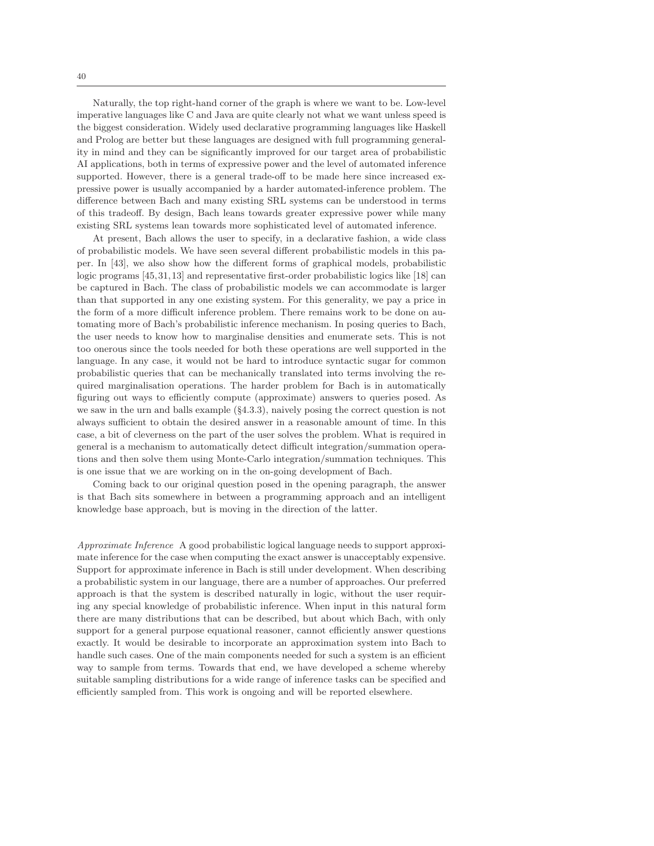Naturally, the top right-hand corner of the graph is where we want to be. Low-level imperative languages like C and Java are quite clearly not what we want unless speed is the biggest consideration. Widely used declarative programming languages like Haskell and Prolog are better but these languages are designed with full programming generality in mind and they can be significantly improved for our target area of probabilistic AI applications, both in terms of expressive power and the level of automated inference supported. However, there is a general trade-off to be made here since increased expressive power is usually accompanied by a harder automated-inference problem. The difference between Bach and many existing SRL systems can be understood in terms of this tradeoff. By design, Bach leans towards greater expressive power while many existing SRL systems lean towards more sophisticated level of automated inference.

At present, Bach allows the user to specify, in a declarative fashion, a wide class of probabilistic models. We have seen several different probabilistic models in this paper. In [43], we also show how the different forms of graphical models, probabilistic logic programs [45,31,13] and representative first-order probabilistic logics like [18] can be captured in Bach. The class of probabilistic models we can accommodate is larger than that supported in any one existing system. For this generality, we pay a price in the form of a more difficult inference problem. There remains work to be done on automating more of Bach's probabilistic inference mechanism. In posing queries to Bach, the user needs to know how to marginalise densities and enumerate sets. This is not too onerous since the tools needed for both these operations are well supported in the language. In any case, it would not be hard to introduce syntactic sugar for common probabilistic queries that can be mechanically translated into terms involving the required marginalisation operations. The harder problem for Bach is in automatically figuring out ways to efficiently compute (approximate) answers to queries posed. As we saw in the urn and balls example (§4.3.3), naively posing the correct question is not always sufficient to obtain the desired answer in a reasonable amount of time. In this case, a bit of cleverness on the part of the user solves the problem. What is required in general is a mechanism to automatically detect difficult integration/summation operations and then solve them using Monte-Carlo integration/summation techniques. This is one issue that we are working on in the on-going development of Bach.

Coming back to our original question posed in the opening paragraph, the answer is that Bach sits somewhere in between a programming approach and an intelligent knowledge base approach, but is moving in the direction of the latter.

Approximate Inference A good probabilistic logical language needs to support approximate inference for the case when computing the exact answer is unacceptably expensive. Support for approximate inference in Bach is still under development. When describing a probabilistic system in our language, there are a number of approaches. Our preferred approach is that the system is described naturally in logic, without the user requiring any special knowledge of probabilistic inference. When input in this natural form there are many distributions that can be described, but about which Bach, with only support for a general purpose equational reasoner, cannot efficiently answer questions exactly. It would be desirable to incorporate an approximation system into Bach to handle such cases. One of the main components needed for such a system is an efficient way to sample from terms. Towards that end, we have developed a scheme whereby suitable sampling distributions for a wide range of inference tasks can be specified and efficiently sampled from. This work is ongoing and will be reported elsewhere.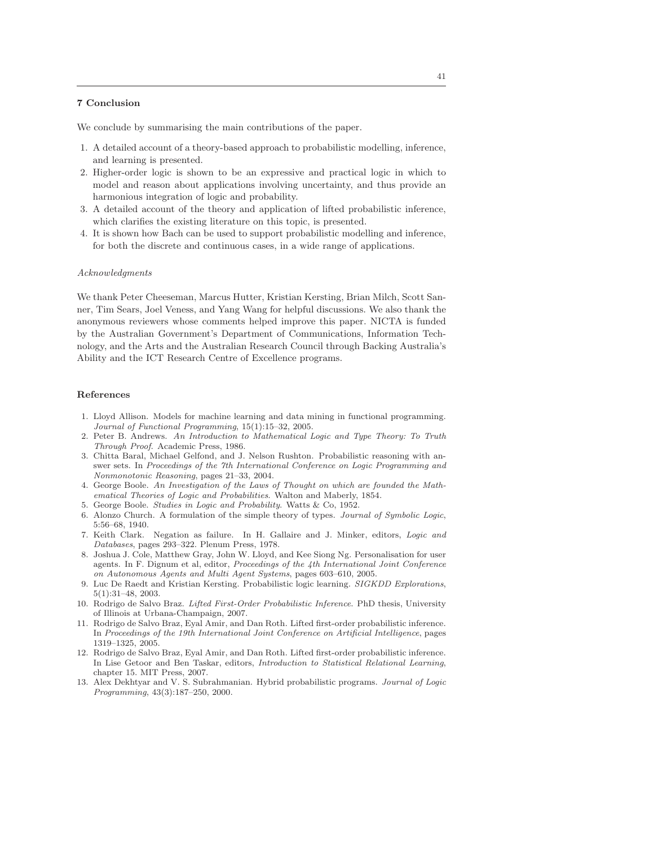#### 7 Conclusion

We conclude by summarising the main contributions of the paper.

- 1. A detailed account of a theory-based approach to probabilistic modelling, inference, and learning is presented.
- 2. Higher-order logic is shown to be an expressive and practical logic in which to model and reason about applications involving uncertainty, and thus provide an harmonious integration of logic and probability.
- 3. A detailed account of the theory and application of lifted probabilistic inference, which clarifies the existing literature on this topic, is presented.
- 4. It is shown how Bach can be used to support probabilistic modelling and inference, for both the discrete and continuous cases, in a wide range of applications.

#### Acknowledgments

We thank Peter Cheeseman, Marcus Hutter, Kristian Kersting, Brian Milch, Scott Sanner, Tim Sears, Joel Veness, and Yang Wang for helpful discussions. We also thank the anonymous reviewers whose comments helped improve this paper. NICTA is funded by the Australian Government's Department of Communications, Information Technology, and the Arts and the Australian Research Council through Backing Australia's Ability and the ICT Research Centre of Excellence programs.

#### References

- 1. Lloyd Allison. Models for machine learning and data mining in functional programming. Journal of Functional Programming, 15(1):15–32, 2005.
- 2. Peter B. Andrews. An Introduction to Mathematical Logic and Type Theory: To Truth Through Proof. Academic Press, 1986.
- 3. Chitta Baral, Michael Gelfond, and J. Nelson Rushton. Probabilistic reasoning with answer sets. In Proceedings of the 7th International Conference on Logic Programming and Nonmonotonic Reasoning, pages 21–33, 2004.
- 4. George Boole. An Investigation of the Laws of Thought on which are founded the Mathematical Theories of Logic and Probabilities. Walton and Maberly, 1854.
- 5. George Boole. Studies in Logic and Probability. Watts & Co, 1952.
- 6. Alonzo Church. A formulation of the simple theory of types. Journal of Symbolic Logic, 5:56–68, 1940.
- 7. Keith Clark. Negation as failure. In H. Gallaire and J. Minker, editors, Logic and Databases, pages 293–322. Plenum Press, 1978.
- 8. Joshua J. Cole, Matthew Gray, John W. Lloyd, and Kee Siong Ng. Personalisation for user agents. In F. Dignum et al, editor, Proceedings of the 4th International Joint Conference on Autonomous Agents and Multi Agent Systems, pages 603–610, 2005.
- 9. Luc De Raedt and Kristian Kersting. Probabilistic logic learning. SIGKDD Explorations, 5(1):31–48, 2003.
- 10. Rodrigo de Salvo Braz. Lifted First-Order Probabilistic Inference. PhD thesis, University of Illinois at Urbana-Champaign, 2007.
- 11. Rodrigo de Salvo Braz, Eyal Amir, and Dan Roth. Lifted first-order probabilistic inference. In Proceedings of the 19th International Joint Conference on Artificial Intelligence, pages 1319–1325, 2005.
- 12. Rodrigo de Salvo Braz, Eyal Amir, and Dan Roth. Lifted first-order probabilistic inference. In Lise Getoor and Ben Taskar, editors, Introduction to Statistical Relational Learning, chapter 15. MIT Press, 2007.
- 13. Alex Dekhtyar and V. S. Subrahmanian. Hybrid probabilistic programs. Journal of Logic Programming, 43(3):187–250, 2000.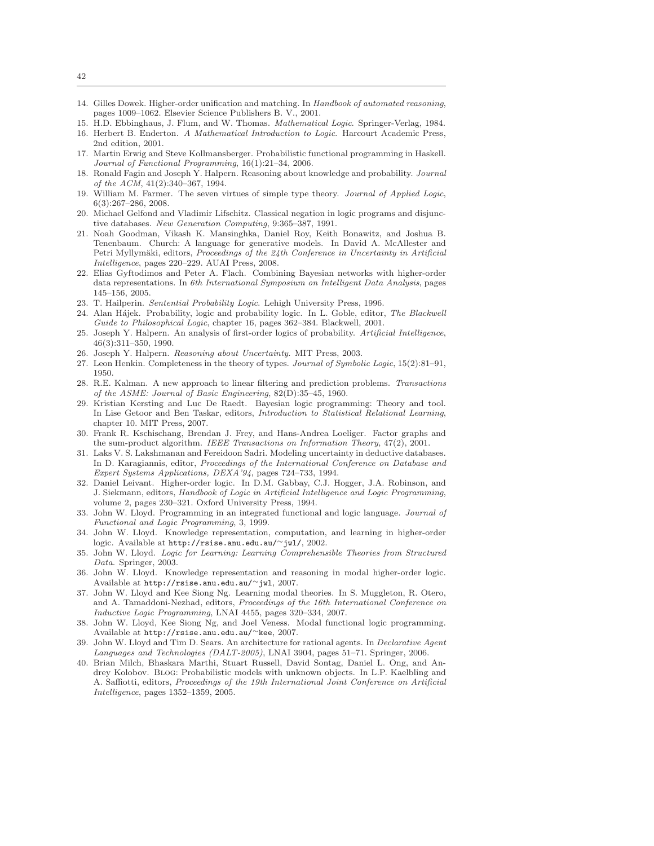- 14. Gilles Dowek. Higher-order unification and matching. In Handbook of automated reasoning, pages 1009–1062. Elsevier Science Publishers B. V., 2001.
- 15. H.D. Ebbinghaus, J. Flum, and W. Thomas. Mathematical Logic. Springer-Verlag, 1984.
- 16. Herbert B. Enderton. A Mathematical Introduction to Logic. Harcourt Academic Press, 2nd edition, 2001.
- 17. Martin Erwig and Steve Kollmansberger. Probabilistic functional programming in Haskell. Journal of Functional Programming, 16(1):21–34, 2006.
- 18. Ronald Fagin and Joseph Y. Halpern. Reasoning about knowledge and probability. Journal of the ACM, 41(2):340–367, 1994.
- 19. William M. Farmer. The seven virtues of simple type theory. Journal of Applied Logic, 6(3):267–286, 2008.
- 20. Michael Gelfond and Vladimir Lifschitz. Classical negation in logic programs and disjunctive databases. New Generation Computing, 9:365–387, 1991.
- 21. Noah Goodman, Vikash K. Mansinghka, Daniel Roy, Keith Bonawitz, and Joshua B. Tenenbaum. Church: A language for generative models. In David A. McAllester and Petri Myllymäki, editors, Proceedings of the 24th Conference in Uncertainty in Artificial Intelligence, pages 220–229. AUAI Press, 2008.
- 22. Elias Gyftodimos and Peter A. Flach. Combining Bayesian networks with higher-order data representations. In 6th International Symposium on Intelligent Data Analysis, pages 145–156, 2005.
- 23. T. Hailperin. Sentential Probability Logic. Lehigh University Press, 1996.
- 24. Alan Hájek. Probability, logic and probability logic. In L. Goble, editor, The Blackwell Guide to Philosophical Logic, chapter 16, pages 362–384. Blackwell, 2001.
- 25. Joseph Y. Halpern. An analysis of first-order logics of probability. Artificial Intelligence, 46(3):311–350, 1990.
- 26. Joseph Y. Halpern. Reasoning about Uncertainty. MIT Press, 2003.
- 27. Leon Henkin. Completeness in the theory of types. Journal of Symbolic Logic, 15(2):81–91, 1950.
- 28. R.E. Kalman. A new approach to linear filtering and prediction problems. Transactions of the ASME: Journal of Basic Engineering, 82(D):35–45, 1960.
- 29. Kristian Kersting and Luc De Raedt. Bayesian logic programming: Theory and tool. In Lise Getoor and Ben Taskar, editors, Introduction to Statistical Relational Learning, chapter 10. MIT Press, 2007.
- 30. Frank R. Kschischang, Brendan J. Frey, and Hans-Andrea Loeliger. Factor graphs and the sum-product algorithm. IEEE Transactions on Information Theory, 47(2), 2001.
- 31. Laks V. S. Lakshmanan and Fereidoon Sadri. Modeling uncertainty in deductive databases. In D. Karagiannis, editor, Proceedings of the International Conference on Database and Expert Systems Applications, DEXA'94, pages 724–733, 1994.
- 32. Daniel Leivant. Higher-order logic. In D.M. Gabbay, C.J. Hogger, J.A. Robinson, and J. Siekmann, editors, Handbook of Logic in Artificial Intelligence and Logic Programming, volume 2, pages 230–321. Oxford University Press, 1994.
- 33. John W. Lloyd. Programming in an integrated functional and logic language. Journal of Functional and Logic Programming, 3, 1999.
- 34. John W. Lloyd. Knowledge representation, computation, and learning in higher-order logic. Available at http://rsise.anu.edu.au/∼jwl/, 2002.
- 35. John W. Lloyd. Logic for Learning: Learning Comprehensible Theories from Structured Data. Springer, 2003.
- 36. John W. Lloyd. Knowledge representation and reasoning in modal higher-order logic. Available at http://rsise.anu.edu.au/∼jwl, 2007.
- 37. John W. Lloyd and Kee Siong Ng. Learning modal theories. In S. Muggleton, R. Otero, and A. Tamaddoni-Nezhad, editors, Proceedings of the 16th International Conference on Inductive Logic Programming, LNAI 4455, pages 320–334, 2007.
- 38. John W. Lloyd, Kee Siong Ng, and Joel Veness. Modal functional logic programming. Available at http://rsise.anu.edu.au/∼kee, 2007.
- 39. John W. Lloyd and Tim D. Sears. An architecture for rational agents. In Declarative Agent Languages and Technologies (DALT-2005), LNAI 3904, pages 51–71. Springer, 2006.
- 40. Brian Milch, Bhaskara Marthi, Stuart Russell, David Sontag, Daniel L. Ong, and Andrey Kolobov. Blog: Probabilistic models with unknown objects. In L.P. Kaelbling and A. Saffiotti, editors, Proceedings of the 19th International Joint Conference on Artificial Intelligence, pages 1352–1359, 2005.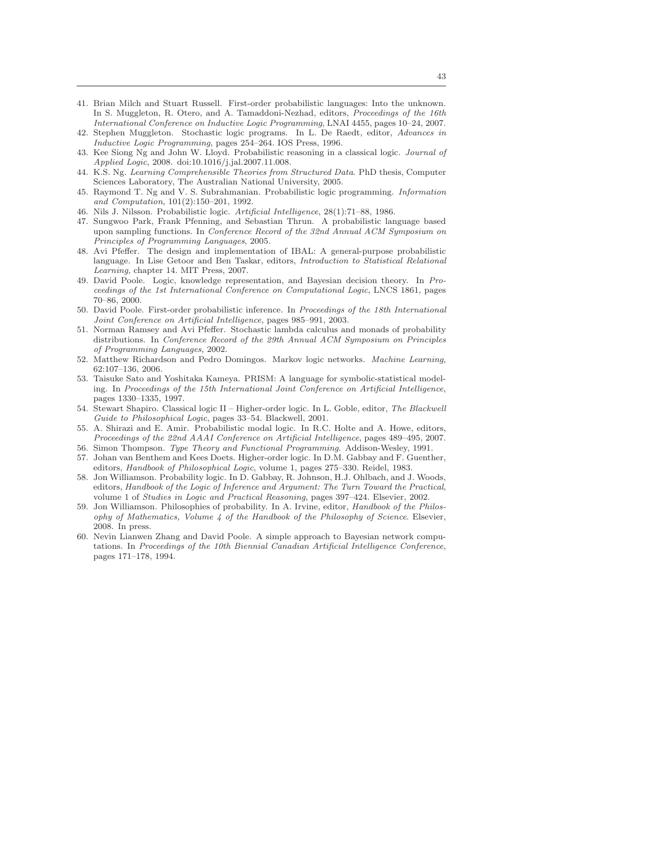- 41. Brian Milch and Stuart Russell. First-order probabilistic languages: Into the unknown. In S. Muggleton, R. Otero, and A. Tamaddoni-Nezhad, editors, *Proceedings of the 16th* International Conference on Inductive Logic Programming, LNAI 4455, pages 10–24, 2007.
- 42. Stephen Muggleton. Stochastic logic programs. In L. De Raedt, editor, Advances in Inductive Logic Programming, pages 254–264. IOS Press, 1996.
- 43. Kee Siong Ng and John W. Lloyd. Probabilistic reasoning in a classical logic. Journal of Applied Logic, 2008. doi:10.1016/j.jal.2007.11.008.
- 44. K.S. Ng. Learning Comprehensible Theories from Structured Data. PhD thesis, Computer Sciences Laboratory, The Australian National University, 2005.
- 45. Raymond T. Ng and V. S. Subrahmanian. Probabilistic logic programming. Information and Computation, 101(2):150–201, 1992.
- 46. Nils J. Nilsson. Probabilistic logic. Artificial Intelligence, 28(1):71–88, 1986.
- 47. Sungwoo Park, Frank Pfenning, and Sebastian Thrun. A probabilistic language based upon sampling functions. In Conference Record of the 32nd Annual ACM Symposium on Principles of Programming Languages, 2005.
- 48. Avi Pfeffer. The design and implementation of IBAL: A general-purpose probabilistic language. In Lise Getoor and Ben Taskar, editors, *Introduction to Statistical Relational* Learning, chapter 14. MIT Press, 2007.
- 49. David Poole. Logic, knowledge representation, and Bayesian decision theory. In Proceedings of the 1st International Conference on Computational Logic, LNCS 1861, pages 70–86, 2000.
- 50. David Poole. First-order probabilistic inference. In Proceedings of the 18th International Joint Conference on Artificial Intelligence, pages 985–991, 2003.
- 51. Norman Ramsey and Avi Pfeffer. Stochastic lambda calculus and monads of probability distributions. In Conference Record of the 29th Annual ACM Symposium on Principles of Programming Languages, 2002.
- 52. Matthew Richardson and Pedro Domingos. Markov logic networks. Machine Learning, 62:107–136, 2006.
- 53. Taisuke Sato and Yoshitaka Kameya. PRISM: A language for symbolic-statistical modeling. In Proceedings of the 15th International Joint Conference on Artificial Intelligence, pages 1330–1335, 1997.
- 54. Stewart Shapiro. Classical logic II Higher-order logic. In L. Goble, editor, The Blackwell Guide to Philosophical Logic, pages 33–54. Blackwell, 2001.
- 55. A. Shirazi and E. Amir. Probabilistic modal logic. In R.C. Holte and A. Howe, editors, Proceedings of the 22nd AAAI Conference on Artificial Intelligence, pages 489–495, 2007.
- 56. Simon Thompson. Type Theory and Functional Programming. Addison-Wesley, 1991. 57. Johan van Benthem and Kees Doets. Higher-order logic. In D.M. Gabbay and F. Guenther, editors, Handbook of Philosophical Logic, volume 1, pages 275–330. Reidel, 1983.
- 58. Jon Williamson. Probability logic. In D. Gabbay, R. Johnson, H.J. Ohlbach, and J. Woods, editors, Handbook of the Logic of Inference and Argument: The Turn Toward the Practical, volume 1 of Studies in Logic and Practical Reasoning, pages 397–424. Elsevier, 2002.
- 59. Jon Williamson. Philosophies of probability. In A. Irvine, editor, Handbook of the Philosophy of Mathematics, Volume 4 of the Handbook of the Philosophy of Science. Elsevier, 2008. In press.
- 60. Nevin Lianwen Zhang and David Poole. A simple approach to Bayesian network computations. In Proceedings of the 10th Biennial Canadian Artificial Intelligence Conference, pages 171–178, 1994.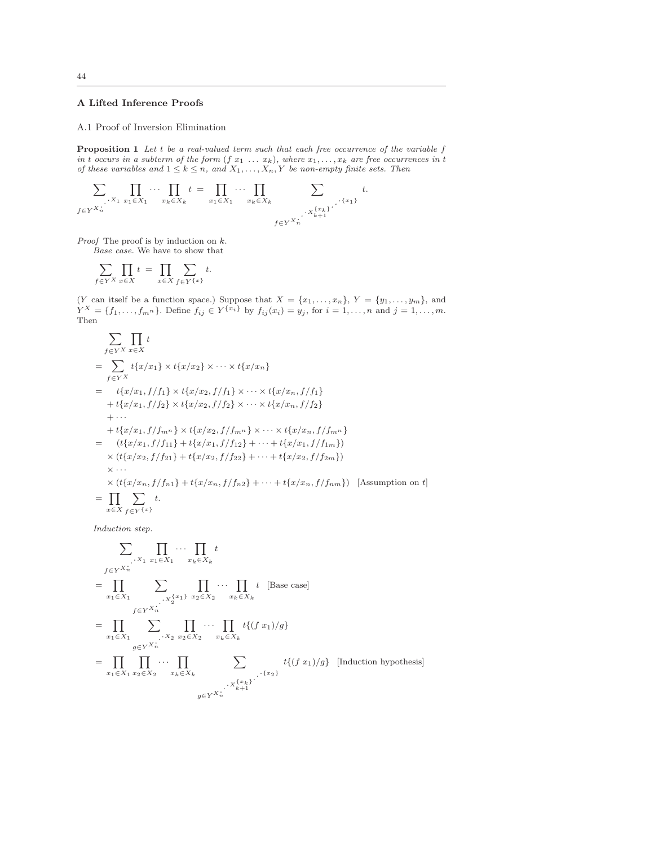## A Lifted Inference Proofs

A.1 Proof of Inversion Elimination

Proposition 1 Let t be a real-valued term such that each free occurrence of the variable f in t occurs in a subterm of the form  $(f x_1 \ldots x_k)$ , where  $x_1, \ldots, x_k$  are free occurrences in t of these variables and  $1 \leq k \leq n$ , and  $X_1, \ldots, X_n, Y$  be non-empty finite sets. Then

$$
\sum_{f \in Y^{X_n}} \prod_{x_1 \in X_1} \cdots \prod_{x_k \in X_k} t = \prod_{x_1 \in X_1} \cdots \prod_{x_k \in X_k} \sum_{\substack{x_k \in X_k \\ f \in Y^{X_n}} \cdots \sum_{x_{k+1} \in X_1}} t.
$$

*Proof* The proof is by induction on  $k$ .

Base case. We have to show that

$$
\sum_{f \in Y^X} \prod_{x \in X} t = \prod_{x \in X} \sum_{f \in Y^{\{x\}}} t.
$$

(Y can itself be a function space.) Suppose that  $X = \{x_1, \ldots, x_n\}$ ,  $Y = \{y_1, \ldots, y_m\}$ , and  $Y^X = \{f_1, \ldots, f_{m} \}$ . Define  $f_{ij} \in Y^{\{x_i\}}$  by  $f_{ij}(x_i) = y_j$ , for  $i = 1, \ldots, n$  and  $j = 1, \ldots, m$ . Then

$$
\sum_{f \in Y} \prod_{x \in X} t
$$
\n
$$
= \sum_{f \in Y} t\{x/x_1\} \times t\{x/x_2\} \times \cdots \times t\{x/x_n\}
$$
\n
$$
= t\{x/x_1, f/f_1\} \times t\{x/x_2, f/f_1\} \times \cdots \times t\{x/x_n, f/f_1\}
$$
\n
$$
+ t\{x/x_1, f/f_2\} \times t\{x/x_2, f/f_2\} \times \cdots \times t\{x/x_n, f/f_2\}
$$
\n
$$
+ \cdots
$$
\n
$$
+ t\{x/x_1, f/f_{m^n}\} \times t\{x/x_2, f/f_{m^n}\} \times \cdots \times t\{x/x_n, f/f_{m^n}\}
$$
\n
$$
= (t\{x/x_1, f/f_{11}\} + t\{x/x_1, f/f_{12}\} + \cdots + t\{x/x_1, f/f_{1m}\})
$$
\n
$$
\times (t\{x/x_2, f/f_{21}\} + t\{x/x_2, f/f_{22}\} + \cdots + t\{x/x_2, f/f_{2m}\})
$$
\n
$$
\times \cdots
$$
\n
$$
\times (t\{x/x_n, f/f_{n1}\} + t\{x/x_n, f/f_{n2}\} + \cdots + t\{x/x_n, f/f_{nm}\})
$$
 [Assumption on t]\n
$$
= \prod_{x \in X} \sum_{f \in Y^{\{x\}}}
$$

Induction step.

$$
\sum_{f \in Y^{X_n}} \prod_{x_1} \cdots \prod_{x_k \in X_k} t
$$
\n
$$
= \prod_{x_1 \in X_1} \sum_{x_1 \in X_1} \prod_{x_2 \in X_2} \prod_{x_2 \in X_2} \cdots \prod_{x_k \in X_k} t \quad \text{[Base case]}
$$
\n
$$
= \prod_{x_1 \in X_1} \sum_{y \in Y^{X_n}} \prod_{x_2 \in X_2} \cdots \prod_{x_k \in X_k} t \{(f x_1)/g\}
$$
\n
$$
= \prod_{x_1 \in X_1} \prod_{x_2 \in X_2} \cdots \prod_{x_k \in X_k} \sum_{x_k \in X_k} t \{(f x_1)/g\} \quad \text{[Induction hypothesis]}
$$
\n
$$
= \prod_{x_1 \in X_1} \prod_{x_2 \in X_2} \cdots \prod_{x_k \in X_k} \sum_{x_k \in X_k} \cdots \sum_{x_k \{x_k\}} \cdots \sum_{x_k \{x_k\}} t \{(f x_1)/g\} \quad \text{[Induction hypothesis]}
$$
\n
$$
g \in Y^{X_n} \cdots X_{k+1}^{x_k}
$$